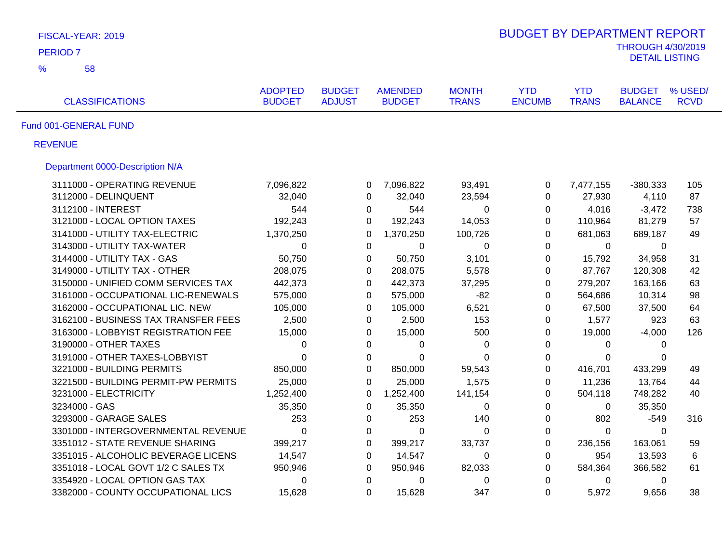| FISCAL-YEAR: 2019                    |                                 |                                |                                 |                              | <b>BUDGET BY DEPARTMENT REPORT</b> |                            |                                 |                        |
|--------------------------------------|---------------------------------|--------------------------------|---------------------------------|------------------------------|------------------------------------|----------------------------|---------------------------------|------------------------|
| <b>PERIOD 7</b>                      |                                 | <b>THROUGH 4/30/2019</b>       |                                 |                              |                                    |                            |                                 |                        |
| $\frac{9}{6}$<br>58                  |                                 |                                |                                 |                              |                                    |                            | <b>DETAIL LISTING</b>           |                        |
| <b>CLASSIFICATIONS</b>               | <b>ADOPTED</b><br><b>BUDGET</b> | <b>BUDGET</b><br><b>ADJUST</b> | <b>AMENDED</b><br><b>BUDGET</b> | <b>MONTH</b><br><b>TRANS</b> | <b>YTD</b><br><b>ENCUMB</b>        | <b>YTD</b><br><b>TRANS</b> | <b>BUDGET</b><br><b>BALANCE</b> | % USED/<br><b>RCVD</b> |
| Fund 001-GENERAL FUND                |                                 |                                |                                 |                              |                                    |                            |                                 |                        |
| <b>REVENUE</b>                       |                                 |                                |                                 |                              |                                    |                            |                                 |                        |
| Department 0000-Description N/A      |                                 |                                |                                 |                              |                                    |                            |                                 |                        |
| 3111000 - OPERATING REVENUE          | 7,096,822                       | 0                              | 7,096,822                       | 93,491                       | $\pmb{0}$                          | 7,477,155                  | $-380,333$                      | 105                    |
| 3112000 - DELINQUENT                 | 32,040                          | $\Omega$                       | 32,040                          | 23,594                       | 0                                  | 27,930                     | 4,110                           | 87                     |
| 3112100 - INTEREST                   | 544                             | 0                              | 544                             | $\mathbf 0$                  | 0                                  | 4,016                      | $-3,472$                        | 738                    |
| 3121000 - LOCAL OPTION TAXES         | 192,243                         | $\Omega$                       | 192,243                         | 14,053                       | 0                                  | 110,964                    | 81,279                          | 57                     |
| 3141000 - UTILITY TAX-ELECTRIC       | 1,370,250                       | $\Omega$                       | 1,370,250                       | 100,726                      | $\mathbf 0$                        | 681,063                    | 689,187                         | 49                     |
| 3143000 - UTILITY TAX-WATER          | 0                               | $\Omega$                       | $\Omega$                        | 0                            | $\Omega$                           | 0                          | $\Omega$                        |                        |
| 3144000 - UTILITY TAX - GAS          | 50,750                          | 0                              | 50,750                          | 3,101                        | $\mathbf 0$                        | 15,792                     | 34,958                          | 31                     |
| 3149000 - UTILITY TAX - OTHER        | 208,075                         | 0                              | 208,075                         | 5,578                        | $\Omega$                           | 87,767                     | 120,308                         | 42                     |
| 3150000 - UNIFIED COMM SERVICES TAX  | 442,373                         | 0                              | 442,373                         | 37,295                       | $\mathbf 0$                        | 279,207                    | 163,166                         | 63                     |
| 3161000 - OCCUPATIONAL LIC-RENEWALS  | 575,000                         | $\Omega$                       | 575,000                         | $-82$                        | $\Omega$                           | 564,686                    | 10,314                          | 98                     |
| 3162000 - OCCUPATIONAL LIC. NEW      | 105,000                         | $\Omega$                       | 105,000                         | 6,521                        | $\Omega$                           | 67,500                     | 37,500                          | 64                     |
| 3162100 - BUSINESS TAX TRANSFER FEES | 2,500                           | 0                              | 2,500                           | 153                          | 0                                  | 1,577                      | 923                             | 63                     |
| 3163000 - LOBBYIST REGISTRATION FEE  | 15,000                          | $\Omega$                       | 15,000                          | 500                          | $\Omega$                           | 19,000                     | $-4,000$                        | 126                    |
| 3190000 - OTHER TAXES                | 0                               | $\Omega$                       | 0                               | $\pmb{0}$                    | 0                                  | 0                          | $\Omega$                        |                        |
| 3191000 - OTHER TAXES-LOBBYIST       | $\Omega$                        | $\Omega$                       | $\Omega$                        | 0                            | 0                                  | $\Omega$                   | $\Omega$                        |                        |
| 3221000 - BUILDING PERMITS           | 850,000                         | $\Omega$                       | 850,000                         | 59,543                       | $\mathbf 0$                        | 416,701                    | 433,299                         | 49                     |
| 3221500 - BUILDING PERMIT-PW PERMITS | 25,000                          | $\Omega$                       | 25,000                          | 1,575                        | $\pmb{0}$                          | 11,236                     | 13,764                          | 44                     |
| 3231000 - ELECTRICITY                | 1,252,400                       | $\Omega$                       | 1,252,400                       | 141,154                      | 0                                  | 504,118                    | 748,282                         | 40                     |
| 3234000 - GAS                        | 35,350                          | 0                              | 35,350                          | $\mathbf 0$                  | 0                                  | 0                          | 35,350                          |                        |
| 3293000 - GARAGE SALES               | 253                             | 0                              | 253                             | 140                          | $\mathbf 0$                        | 802                        | $-549$                          | 316                    |
| 3301000 - INTERGOVERNMENTAL REVENUE  | 0                               | $\mathbf 0$                    | 0                               | $\pmb{0}$                    | $\pmb{0}$                          | $\mathbf 0$                | $\mathbf 0$                     |                        |
| 3351012 - STATE REVENUE SHARING      | 399,217                         | 0                              | 399,217                         | 33,737                       | $\pmb{0}$                          | 236,156                    | 163,061                         | 59                     |
| 3351015 - ALCOHOLIC BEVERAGE LICENS  | 14,547                          | $\mathbf 0$                    | 14,547                          | 0                            | $\pmb{0}$                          | 954                        | 13,593                          | 6                      |
| 3351018 - LOCAL GOVT 1/2 C SALES TX  | 950,946                         | 0                              | 950,946                         | 82,033                       | 0                                  | 584,364                    | 366,582                         | 61                     |
| 3354920 - LOCAL OPTION GAS TAX       | 0                               | $\mathbf 0$                    | 0                               | 0                            | $\mathbf 0$                        | 0                          | 0                               |                        |
| 3382000 - COUNTY OCCUPATIONAL LICS   | 15,628                          | $\Omega$                       | 15,628                          | 347                          | $\mathbf 0$                        | 5,972                      | 9,656                           | 38                     |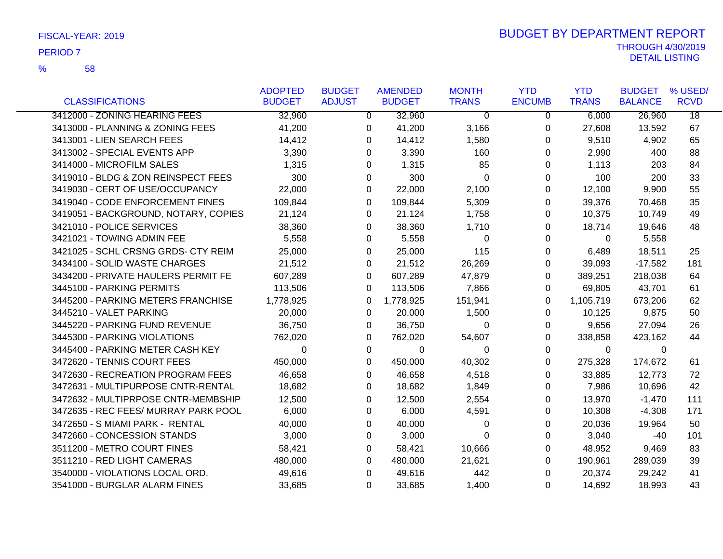|                                      | <b>ADOPTED</b> | <b>BUDGET</b> | <b>AMENDED</b> | <b>MONTH</b>   | <b>YTD</b>     | <b>YTD</b>   | <b>BUDGET</b>  | % USED/         |
|--------------------------------------|----------------|---------------|----------------|----------------|----------------|--------------|----------------|-----------------|
| <b>CLASSIFICATIONS</b>               | <b>BUDGET</b>  | <b>ADJUST</b> | <b>BUDGET</b>  | <b>TRANS</b>   | <b>ENCUMB</b>  | <b>TRANS</b> | <b>BALANCE</b> | <b>RCVD</b>     |
| 3412000 - ZONING HEARING FEES        | 32,960         | 0             | 32,960         | $\Omega$       | $\overline{0}$ | 6,000        | 26,960         | $\overline{18}$ |
| 3413000 - PLANNING & ZONING FEES     | 41,200         | 0             | 41,200         | 3,166          | 0              | 27,608       | 13,592         | 67              |
| 3413001 - LIEN SEARCH FEES           | 14,412         | 0             | 14,412         | 1,580          | 0              | 9,510        | 4,902          | 65              |
| 3413002 - SPECIAL EVENTS APP         | 3,390          | 0             | 3,390          | 160            | 0              | 2,990        | 400            | 88              |
| 3414000 - MICROFILM SALES            | 1,315          | 0             | 1,315          | 85             | 0              | 1,113        | 203            | 84              |
| 3419010 - BLDG & ZON REINSPECT FEES  | 300            | 0             | 300            | $\Omega$       | 0              | 100          | 200            | 33              |
| 3419030 - CERT OF USE/OCCUPANCY      | 22,000         | 0             | 22,000         | 2,100          | 0              | 12,100       | 9,900          | 55              |
| 3419040 - CODE ENFORCEMENT FINES     | 109,844        | 0             | 109,844        | 5,309          | 0              | 39,376       | 70,468         | 35              |
| 3419051 - BACKGROUND, NOTARY, COPIES | 21,124         | 0             | 21,124         | 1,758          | 0              | 10,375       | 10,749         | 49              |
| 3421010 - POLICE SERVICES            | 38,360         | 0             | 38,360         | 1,710          | 0              | 18,714       | 19,646         | 48              |
| 3421021 - TOWING ADMIN FEE           | 5,558          | 0             | 5,558          | 0              | 0              | 0            | 5,558          |                 |
| 3421025 - SCHL CRSNG GRDS- CTY REIM  | 25,000         | 0             | 25,000         | 115            | 0              | 6,489        | 18,511         | 25              |
| 3434100 - SOLID WASTE CHARGES        | 21,512         | 0             | 21,512         | 26,269         | 0              | 39,093       | $-17,582$      | 181             |
| 3434200 - PRIVATE HAULERS PERMIT FE  | 607,289        | 0             | 607,289        | 47,879         | 0              | 389,251      | 218,038        | 64              |
| 3445100 - PARKING PERMITS            | 113,506        | 0             | 113,506        | 7,866          | 0              | 69,805       | 43,701         | 61              |
| 3445200 - PARKING METERS FRANCHISE   | 1,778,925      | 0             | 1,778,925      | 151,941        | 0              | 1,105,719    | 673,206        | 62              |
| 3445210 - VALET PARKING              | 20,000         | 0             | 20,000         | 1,500          | 0              | 10,125       | 9,875          | 50              |
| 3445220 - PARKING FUND REVENUE       | 36,750         | 0             | 36,750         | 0              | 0              | 9,656        | 27,094         | 26              |
| 3445300 - PARKING VIOLATIONS         | 762,020        | 0             | 762,020        | 54,607         | 0              | 338,858      | 423,162        | 44              |
| 3445400 - PARKING METER CASH KEY     | $\Omega$       | 0             | 0              | 0              | 0              | 0            | 0              |                 |
| 3472620 - TENNIS COURT FEES          | 450,000        | 0             | 450,000        | 40,302         | 0              | 275,328      | 174,672        | 61              |
| 3472630 - RECREATION PROGRAM FEES    | 46,658         | 0             | 46,658         | 4,518          | 0              | 33,885       | 12,773         | 72              |
| 3472631 - MULTIPURPOSE CNTR-RENTAL   | 18,682         | 0             | 18,682         | 1,849          | 0              | 7,986        | 10,696         | 42              |
| 3472632 - MULTIPRPOSE CNTR-MEMBSHIP  | 12,500         | 0             | 12,500         | 2,554          | 0              | 13,970       | $-1,470$       | 111             |
| 3472635 - REC FEES/ MURRAY PARK POOL | 6,000          | 0             | 6,000          | 4,591          | 0              | 10,308       | $-4,308$       | 171             |
| 3472650 - S MIAMI PARK - RENTAL      | 40,000         | 0             | 40,000         | 0              | 0              | 20,036       | 19,964         | 50              |
| 3472660 - CONCESSION STANDS          | 3,000          | 0             | 3,000          | $\overline{0}$ | 0              | 3,040        | -40            | 101             |
| 3511200 - METRO COURT FINES          | 58,421         | 0             | 58,421         | 10,666         | 0              | 48,952       | 9,469          | 83              |
| 3511210 - RED LIGHT CAMERAS          | 480,000        | 0             | 480,000        | 21,621         | 0              | 190,961      | 289,039        | 39              |
| 3540000 - VIOLATIONS LOCAL ORD.      | 49,616         | 0             | 49,616         | 442            | 0              | 20,374       | 29,242         | 41              |
| 3541000 - BURGLAR ALARM FINES        | 33,685         | 0             | 33,685         | 1,400          | 0              | 14,692       | 18,993         | 43              |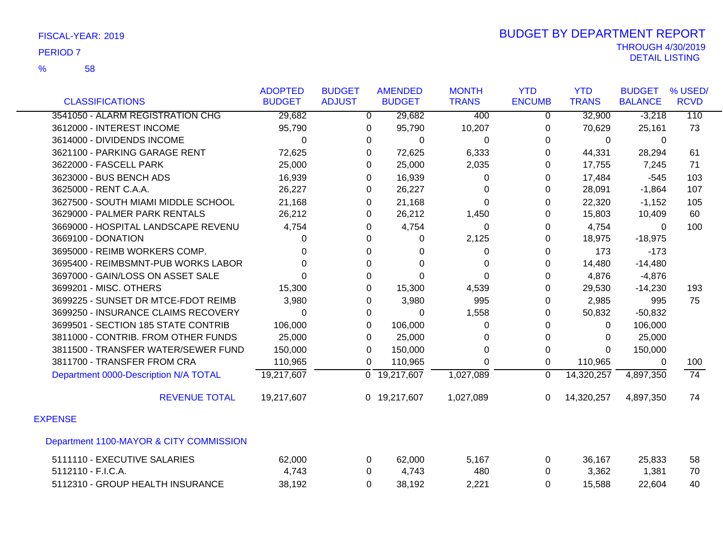|                                         | <b>ADOPTED</b> | <b>BUDGET</b> | <b>AMENDED</b>            | <b>MONTH</b> | <b>YTD</b>    | <b>YTD</b>   | <b>BUDGET</b>  | % USED/         |
|-----------------------------------------|----------------|---------------|---------------------------|--------------|---------------|--------------|----------------|-----------------|
| <b>CLASSIFICATIONS</b>                  | <b>BUDGET</b>  | <b>ADJUST</b> | <b>BUDGET</b>             | <b>TRANS</b> | <b>ENCUMB</b> | <b>TRANS</b> | <b>BALANCE</b> | <b>RCVD</b>     |
| 3541050 - ALARM REGISTRATION CHG        | 29,682         | 0             | 29,682                    | 400          | $\mathbf 0$   | 32,900       | $-3,218$       | 110             |
| 3612000 - INTEREST INCOME               | 95,790         | 0             | 95,790                    | 10,207       | $\Omega$      | 70,629       | 25,161         | 73              |
| 3614000 - DIVIDENDS INCOME              | 0              | 0             | 0                         | 0            | $\Omega$      | 0            | 0              |                 |
| 3621100 - PARKING GARAGE RENT           | 72,625         | 0             | 72,625                    | 6,333        | 0             | 44,331       | 28,294         | 61              |
| 3622000 - FASCELL PARK                  | 25,000         | 0             | 25,000                    | 2,035        | 0             | 17,755       | 7,245          | 71              |
| 3623000 - BUS BENCH ADS                 | 16,939         | 0             | 16,939                    | 0            | 0             | 17,484       | $-545$         | 103             |
| 3625000 - RENT C.A.A.                   | 26,227         | 0             | 26,227                    | 0            | $\Omega$      | 28,091       | $-1,864$       | 107             |
| 3627500 - SOUTH MIAMI MIDDLE SCHOOL     | 21,168         | 0             | 21,168                    | 0            | 0             | 22,320       | $-1,152$       | 105             |
| 3629000 - PALMER PARK RENTALS           | 26,212         | 0             | 26,212                    | 1,450        | $\Omega$      | 15,803       | 10,409         | 60              |
| 3669000 - HOSPITAL LANDSCAPE REVENU     | 4,754          | 0             | 4,754                     | 0            | $\Omega$      | 4,754        | $\Omega$       | 100             |
| 3669100 - DONATION                      | 0              | $\Omega$      | 0                         | 2,125        | $\Omega$      | 18,975       | $-18,975$      |                 |
| 3695000 - REIMB WORKERS COMP.           | 0              | 0             | 0                         | 0            | 0             | 173          | $-173$         |                 |
| 3695400 - REIMBSMNT-PUB WORKS LABOR     | $\Omega$       | 0             | $\Omega$                  | 0            | $\Omega$      | 14,480       | $-14,480$      |                 |
| 3697000 - GAIN/LOSS ON ASSET SALE       | $\Omega$       | $\Omega$      | $\Omega$                  | $\Omega$     | 0             | 4,876        | $-4,876$       |                 |
| 3699201 - MISC. OTHERS                  | 15,300         | 0             | 15,300                    | 4,539        | 0             | 29,530       | $-14,230$      | 193             |
| 3699225 - SUNSET DR MTCE-FDOT REIMB     | 3,980          | 0             | 3,980                     | 995          | 0             | 2,985        | 995            | 75              |
| 3699250 - INSURANCE CLAIMS RECOVERY     | $\Omega$       | 0             | 0                         | 1,558        | 0             | 50,832       | $-50,832$      |                 |
| 3699501 - SECTION 185 STATE CONTRIB     | 106,000        | 0             | 106,000                   | 0            | 0             | 0            | 106,000        |                 |
| 3811000 - CONTRIB. FROM OTHER FUNDS     | 25,000         | 0             | 25,000                    | 0            | 0             | $\Omega$     | 25,000         |                 |
| 3811500 - TRANSFER WATER/SEWER FUND     | 150,000        | 0             | 150,000                   | 0            | $\Omega$      | $\Omega$     | 150,000        |                 |
| 3811700 - TRANSFER FROM CRA             | 110,965        | 0             | 110,965                   | 0            | $\Omega$      | 110,965      | $\Omega$       | 100             |
| Department 0000-Description N/A TOTAL   | 19,217,607     |               | $\overline{0}$ 19,217,607 | 1,027,089    | $\mathbf 0$   | 14,320,257   | 4,897,350      | $\overline{74}$ |
| <b>REVENUE TOTAL</b>                    | 19,217,607     |               | 0 19,217,607              | 1,027,089    | $\Omega$      | 14,320,257   | 4,897,350      | 74              |
| <b>EXPENSE</b>                          |                |               |                           |              |               |              |                |                 |
| Department 1100-MAYOR & CITY COMMISSION |                |               |                           |              |               |              |                |                 |
| 5111110 - EXECUTIVE SALARIES            | 62,000         | 0             | 62,000                    | 5,167        | 0             | 36,167       | 25,833         | 58              |
| 5112110 - F.I.C.A.                      | 4,743          | 0             | 4,743                     | 480          | $\Omega$      | 3,362        | 1,381          | 70              |
| 5112310 - GROUP HEALTH INSURANCE        | 38,192         | 0             | 38,192                    | 2,221        | $\Omega$      | 15,588       | 22,604         | 40              |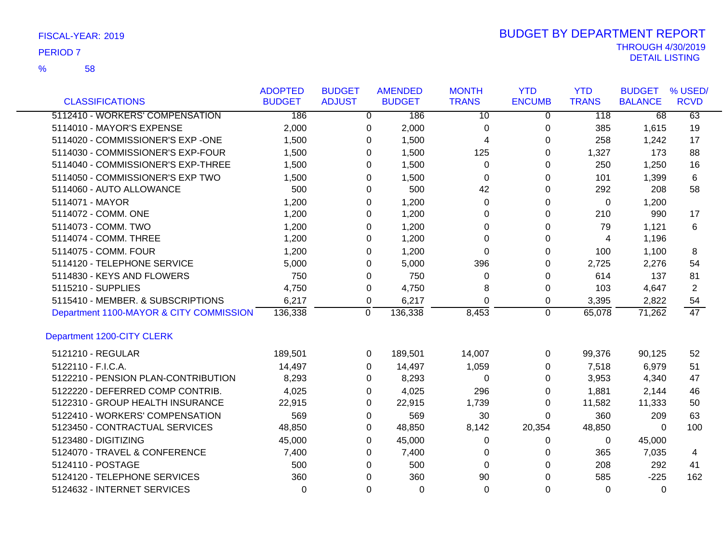58 %

|                                         | <b>ADOPTED</b> | <b>BUDGET</b> |          | <b>AMENDED</b> | <b>MONTH</b>    | <b>YTD</b>    | <b>YTD</b>   | <b>BUDGET</b>  | % USED/     |
|-----------------------------------------|----------------|---------------|----------|----------------|-----------------|---------------|--------------|----------------|-------------|
| <b>CLASSIFICATIONS</b>                  | <b>BUDGET</b>  | <b>ADJUST</b> |          | <b>BUDGET</b>  | <b>TRANS</b>    | <b>ENCUMB</b> | <b>TRANS</b> | <b>BALANCE</b> | <b>RCVD</b> |
| 5112410 - WORKERS' COMPENSATION         | 186            |               | 0        | 186            | $\overline{10}$ | 0             | 118          | 68             | 63          |
| 5114010 - MAYOR'S EXPENSE               | 2,000          |               | 0        | 2,000          | 0               | 0             | 385          | 1,615          | 19          |
| 5114020 - COMMISSIONER'S EXP -ONE       | 1,500          |               | 0        | 1,500          | 4               | 0             | 258          | 1,242          | 17          |
| 5114030 - COMMISSIONER'S EXP-FOUR       | 1,500          |               | 0        | 1,500          | 125             | 0             | 1,327        | 173            | 88          |
| 5114040 - COMMISSIONER'S EXP-THREE      | 1,500          |               | 0        | 1,500          | 0               | 0             | 250          | 1,250          | 16          |
| 5114050 - COMMISSIONER'S EXP TWO        | 1,500          |               | 0        | 1,500          | 0               | 0             | 101          | 1,399          | 6           |
| 5114060 - AUTO ALLOWANCE                | 500            |               | $\Omega$ | 500            | 42              | 0             | 292          | 208            | 58          |
| 5114071 - MAYOR                         | 1,200          |               | 0        | 1,200          | 0               | 0             | $\Omega$     | 1,200          |             |
| 5114072 - COMM. ONE                     | 1,200          |               | 0        | 1,200          | 0               | 0             | 210          | 990            | 17          |
| 5114073 - COMM. TWO                     | 1,200          |               | 0        | 1,200          | 0               | 0             | 79           | 1,121          | 6           |
| 5114074 - COMM. THREE                   | 1,200          |               | $\Omega$ | 1,200          | $\Omega$        | 0             | 4            | 1,196          |             |
| 5114075 - COMM. FOUR                    | 1,200          |               | 0        | 1,200          | $\Omega$        | 0             | 100          | 1,100          | 8           |
| 5114120 - TELEPHONE SERVICE             | 5,000          |               | 0        | 5,000          | 396             | 0             | 2,725        | 2,276          | 54          |
| 5114830 - KEYS AND FLOWERS              | 750            |               | 0        | 750            | 0               | 0             | 614          | 137            | 81          |
| 5115210 - SUPPLIES                      | 4,750          |               | 0        | 4,750          | 8               | 0             | 103          | 4,647          | 2           |
| 5115410 - MEMBER. & SUBSCRIPTIONS       | 6,217          |               | 0        | 6,217          | $\Omega$        | 0             | 3,395        | 2,822          | 54          |
| Department 1100-MAYOR & CITY COMMISSION | 136,338        |               | 0        | 136,338        | 8,453           | $\mathbf 0$   | 65,078       | 71,262         | 47          |
| Department 1200-CITY CLERK              |                |               |          |                |                 |               |              |                |             |
| 5121210 - REGULAR                       | 189,501        |               | 0        | 189,501        | 14,007          | 0             | 99,376       | 90,125         | 52          |
| 5122110 - F.I.C.A.                      | 14,497         |               | 0        | 14,497         | 1,059           | 0             | 7,518        | 6,979          | 51          |
| 5122210 - PENSION PLAN-CONTRIBUTION     | 8,293          |               | 0        | 8,293          | 0               | 0             | 3,953        | 4,340          | 47          |
| 5122220 - DEFERRED COMP CONTRIB.        | 4,025          |               | 0        | 4,025          | 296             | 0             | 1,881        | 2,144          | 46          |
| 5122310 - GROUP HEALTH INSURANCE        | 22,915         |               | 0        | 22,915         | 1,739           | 0             | 11,582       | 11,333         | 50          |
| 5122410 - WORKERS' COMPENSATION         | 569            |               | 0        | 569            | 30              | $\Omega$      | 360          | 209            | 63          |
| 5123450 - CONTRACTUAL SERVICES          | 48,850         |               | 0        | 48,850         | 8,142           | 20,354        | 48,850       | $\Omega$       | 100         |
| 5123480 - DIGITIZING                    | 45,000         |               | 0        | 45,000         | 0               | 0             | 0            | 45,000         |             |
| 5124070 - TRAVEL & CONFERENCE           | 7,400          |               | 0        | 7,400          | 0               | 0             | 365          | 7,035          | 4           |
| 5124110 - POSTAGE                       | 500            |               | 0        | 500            | 0               | $\Omega$      | 208          | 292            | 41          |
| 5124120 - TELEPHONE SERVICES            | 360            |               | 0        | 360            | 90              | $\Omega$      | 585          | $-225$         | 162         |
| 5124632 - INTERNET SERVICES             | $\Omega$       |               | 0        | $\Omega$       | $\Omega$        | $\Omega$      | $\Omega$     | $\Omega$       |             |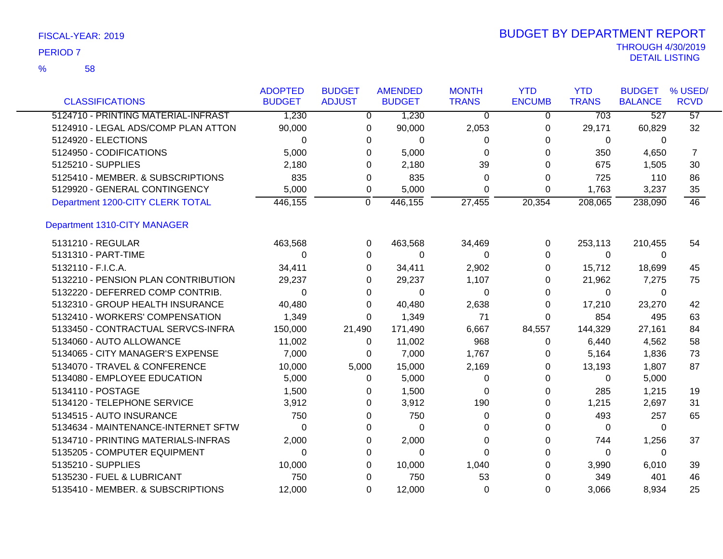58 %

|                                     | <b>ADOPTED</b> | <b>BUDGET</b>  | <b>AMENDED</b> | <b>MONTH</b>   | <b>YTD</b>     | <b>YTD</b>   | <b>BUDGET</b>  | % USED/         |
|-------------------------------------|----------------|----------------|----------------|----------------|----------------|--------------|----------------|-----------------|
| <b>CLASSIFICATIONS</b>              | <b>BUDGET</b>  | <b>ADJUST</b>  | <b>BUDGET</b>  | <b>TRANS</b>   | <b>ENCUMB</b>  | <b>TRANS</b> | <b>BALANCE</b> | <b>RCVD</b>     |
| 5124710 - PRINTING MATERIAL-INFRAST | 1,230          | $\overline{0}$ | 1,230          | $\overline{0}$ | $\overline{0}$ | 703          | 527            | $\overline{57}$ |
| 5124910 - LEGAL ADS/COMP PLAN ATTON | 90,000         | 0              | 90,000         | 2,053          | 0              | 29,171       | 60,829         | 32              |
| 5124920 - ELECTIONS                 | $\Omega$       | 0              | 0              | 0              | 0              | 0            | $\Omega$       |                 |
| 5124950 - CODIFICATIONS             | 5,000          | 0              | 5,000          | $\Omega$       | 0              | 350          | 4,650          | $\overline{7}$  |
| 5125210 - SUPPLIES                  | 2,180          | 0              | 2,180          | 39             |                | 675          | 1,505          | 30              |
| 5125410 - MEMBER. & SUBSCRIPTIONS   | 835            | 0              | 835            | 0              | 0              | 725          | 110            | 86              |
| 5129920 - GENERAL CONTINGENCY       | 5,000          | 0              | 5,000          | 0              | $\Omega$       | 1,763        | 3,237          | 35              |
| Department 1200-CITY CLERK TOTAL    | 446,155        | 0              | 446,155        | 27,455         | 20,354         | 208,065      | 238,090        | 46              |
| Department 1310-CITY MANAGER        |                |                |                |                |                |              |                |                 |
| 5131210 - REGULAR                   | 463,568        | 0              | 463,568        | 34,469         | 0              | 253,113      | 210,455        | 54              |
| 5131310 - PART-TIME                 | 0              | $\Omega$       | 0              | 0              | 0              | $\Omega$     | $\Omega$       |                 |
| 5132110 - F.I.C.A.                  | 34,411         | 0              | 34,411         | 2,902          | 0              | 15,712       | 18,699         | 45              |
| 5132210 - PENSION PLAN CONTRIBUTION | 29,237         | 0              | 29,237         | 1,107          | 0              | 21,962       | 7,275          | 75              |
| 5132220 - DEFERRED COMP CONTRIB.    | $\Omega$       | 0              | 0              | 0              | 0              | $\Omega$     | $\Omega$       |                 |
| 5132310 - GROUP HEALTH INSURANCE    | 40,480         | $\Omega$       | 40,480         | 2,638          | 0              | 17,210       | 23,270         | 42              |
| 5132410 - WORKERS' COMPENSATION     | 1,349          | $\Omega$       | 1,349          | 71             | 0              | 854          | 495            | 63              |
| 5133450 - CONTRACTUAL SERVCS-INFRA  | 150,000        | 21,490         | 171,490        | 6,667          | 84,557         | 144,329      | 27,161         | 84              |
| 5134060 - AUTO ALLOWANCE            | 11,002         | 0              | 11,002         | 968            | 0              | 6,440        | 4,562          | 58              |
| 5134065 - CITY MANAGER'S EXPENSE    | 7,000          | 0              | 7,000          | 1,767          | 0              | 5,164        | 1,836          | 73              |
| 5134070 - TRAVEL & CONFERENCE       | 10,000         | 5,000          | 15,000         | 2,169          | 0              | 13,193       | 1,807          | 87              |
| 5134080 - EMPLOYEE EDUCATION        | 5,000          | 0              | 5,000          | 0              | 0              | 0            | 5,000          |                 |
| 5134110 - POSTAGE                   | 1,500          | 0              | 1,500          | 0              | 0              | 285          | 1,215          | 19              |
| 5134120 - TELEPHONE SERVICE         | 3,912          | 0              | 3,912          | 190            | 0              | 1,215        | 2,697          | 31              |
| 5134515 - AUTO INSURANCE            | 750            | 0              | 750            | 0              | 0              | 493          | 257            | 65              |
| 5134634 - MAINTENANCE-INTERNET SFTW | $\Omega$       | 0              | 0              | 0              | ი              | $\Omega$     | 0              |                 |
| 5134710 - PRINTING MATERIALS-INFRAS | 2,000          | 0              | 2,000          | 0              | 0              | 744          | 1,256          | 37              |
| 5135205 - COMPUTER EQUIPMENT        | $\Omega$       | 0              | 0              | 0              | 0              | $\Omega$     | $\Omega$       |                 |
| 5135210 - SUPPLIES                  | 10,000         | 0              | 10,000         | 1,040          | 0              | 3,990        | 6,010          | 39              |
| 5135230 - FUEL & LUBRICANT          | 750            | 0              | 750            | 53             | 0              | 349          | 401            | 46              |
| 5135410 - MEMBER. & SUBSCRIPTIONS   | 12,000         | 0              | 12,000         | 0              | 0              | 3,066        | 8,934          | 25              |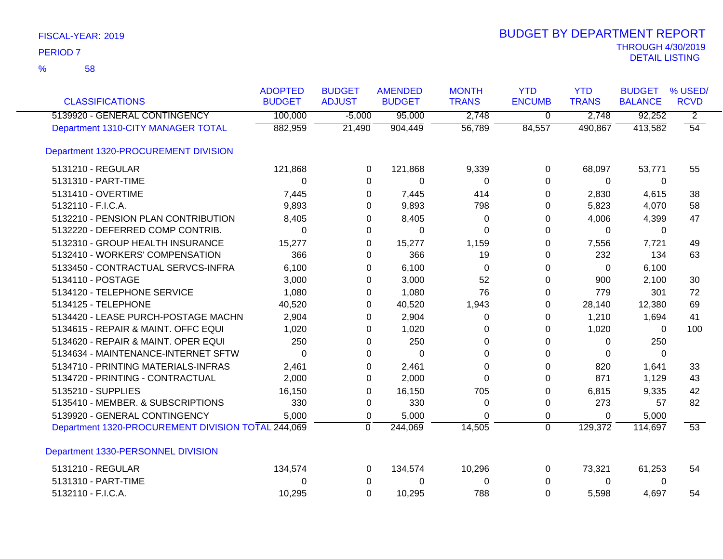| <b>CLASSIFICATIONS</b>                             | <b>ADOPTED</b><br><b>BUDGET</b> | <b>BUDGET</b><br><b>ADJUST</b> | <b>AMENDED</b><br><b>BUDGET</b> | <b>MONTH</b><br><b>TRANS</b> | <b>YTD</b><br><b>ENCUMB</b> | <b>YTD</b><br><b>TRANS</b> | <b>BUDGET</b><br><b>BALANCE</b> | % USED/<br><b>RCVD</b> |
|----------------------------------------------------|---------------------------------|--------------------------------|---------------------------------|------------------------------|-----------------------------|----------------------------|---------------------------------|------------------------|
| 5139920 - GENERAL CONTINGENCY                      | 100,000                         | $-5,000$                       | 95,000                          | 2,748                        | 0                           | 2,748                      | 92,252                          | $\overline{2}$         |
| Department 1310-CITY MANAGER TOTAL                 | 882,959                         | 21,490                         | 904,449                         | 56,789                       | 84,557                      | 490,867                    | 413,582                         | $\overline{54}$        |
| Department 1320-PROCUREMENT DIVISION               |                                 |                                |                                 |                              |                             |                            |                                 |                        |
| 5131210 - REGULAR                                  | 121,868                         | 0                              | 121,868                         | 9,339                        | 0                           | 68,097                     | 53,771                          | 55                     |
| 5131310 - PART-TIME                                | 0                               | 0                              | 0                               | 0                            | $\Omega$                    | 0                          | 0                               |                        |
| 5131410 - OVERTIME                                 | 7,445                           | 0                              | 7,445                           | 414                          | $\Omega$                    | 2,830                      | 4,615                           | 38                     |
| 5132110 - F.I.C.A.                                 | 9,893                           | 0                              | 9,893                           | 798                          | 0                           | 5,823                      | 4,070                           | 58                     |
| 5132210 - PENSION PLAN CONTRIBUTION                | 8,405                           | 0                              | 8,405                           | 0                            | 0                           | 4,006                      | 4,399                           | 47                     |
| 5132220 - DEFERRED COMP CONTRIB.                   | 0                               | 0                              | 0                               | $\Omega$                     | $\Omega$                    | 0                          | 0                               |                        |
| 5132310 - GROUP HEALTH INSURANCE                   | 15,277                          | 0                              | 15,277                          | 1,159                        | $\Omega$                    | 7,556                      | 7,721                           | 49                     |
| 5132410 - WORKERS' COMPENSATION                    | 366                             | 0                              | 366                             | 19                           | 0                           | 232                        | 134                             | 63                     |
| 5133450 - CONTRACTUAL SERVCS-INFRA                 | 6,100                           | 0                              | 6,100                           | $\Omega$                     | $\Omega$                    | $\mathbf{0}$               | 6,100                           |                        |
| 5134110 - POSTAGE                                  | 3,000                           | 0                              | 3,000                           | 52                           | 0                           | 900                        | 2,100                           | 30                     |
| 5134120 - TELEPHONE SERVICE                        | 1,080                           | 0                              | 1,080                           | 76                           | $\Omega$                    | 779                        | 301                             | 72                     |
| 5134125 - TELEPHONE                                | 40,520                          | 0                              | 40,520                          | 1,943                        | 0                           | 28,140                     | 12,380                          | 69                     |
| 5134420 - LEASE PURCH-POSTAGE MACHN                | 2,904                           | 0                              | 2,904                           | 0                            | 0                           | 1,210                      | 1,694                           | 41                     |
| 5134615 - REPAIR & MAINT. OFFC EQUI                | 1,020                           | 0                              | 1,020                           | $\Omega$                     | 0                           | 1,020                      | $\Omega$                        | 100                    |
| 5134620 - REPAIR & MAINT. OPER EQUI                | 250                             | 0                              | 250                             | 0                            | $\Omega$                    | 0                          | 250                             |                        |
| 5134634 - MAINTENANCE-INTERNET SFTW                | 0                               | 0                              | $\Omega$                        | $\Omega$                     | $\Omega$                    | $\Omega$                   | $\Omega$                        |                        |
| 5134710 - PRINTING MATERIALS-INFRAS                | 2,461                           | 0                              | 2,461                           | 0                            | 0                           | 820                        | 1,641                           | 33                     |
| 5134720 - PRINTING - CONTRACTUAL                   | 2,000                           | 0                              | 2,000                           | $\Omega$                     | $\Omega$                    | 871                        | 1,129                           | 43                     |
| 5135210 - SUPPLIES                                 | 16,150                          | 0                              | 16,150                          | 705                          | 0                           | 6,815                      | 9,335                           | 42                     |
| 5135410 - MEMBER. & SUBSCRIPTIONS                  | 330                             | 0                              | 330                             | 0                            | 0                           | 273                        | 57                              | 82                     |
| 5139920 - GENERAL CONTINGENCY                      | 5,000                           | 0                              | 5,000                           | 0                            | $\mathbf 0$                 | 0                          | 5,000                           |                        |
| Department 1320-PROCUREMENT DIVISION TOTAL 244,069 |                                 | 0                              | 244,069                         | 14,505                       | $\overline{0}$              | 129,372                    | 114,697                         | 53                     |
| Department 1330-PERSONNEL DIVISION                 |                                 |                                |                                 |                              |                             |                            |                                 |                        |
| 5131210 - REGULAR                                  | 134,574                         | 0                              | 134,574                         | 10,296                       | 0                           | 73,321                     | 61,253                          | 54                     |
| 5131310 - PART-TIME                                | 0                               | 0                              | 0                               | 0                            | 0                           | 0                          | 0                               |                        |
| 5132110 - F.I.C.A.                                 | 10,295                          | $\Omega$                       | 10,295                          | 788                          | $\Omega$                    | 5,598                      | 4,697                           | 54                     |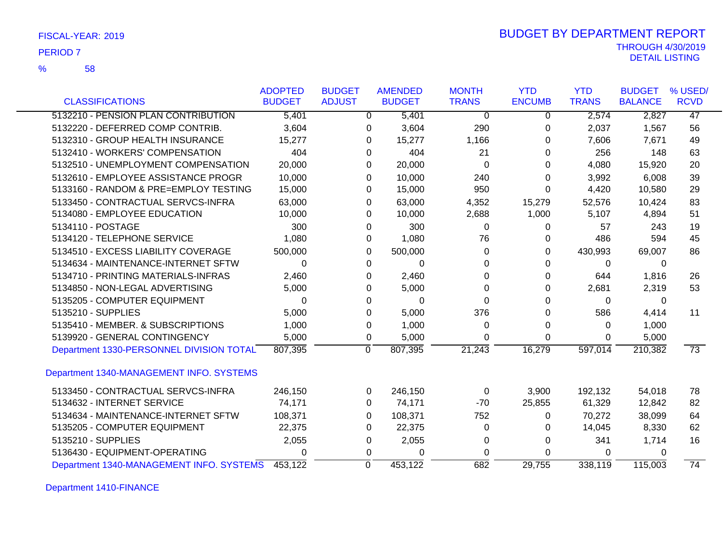| FISCAL-YEAR: 2019 |  |  |
|-------------------|--|--|
|-------------------|--|--|

# THROUGH 4/30/2019 DETAIL LISTING PERIOD <sup>7</sup> BUDGET BY DEPARTMENT REPORT

|                                          | <b>ADOPTED</b> | <b>BUDGET</b> | <b>AMENDED</b>            | <b>MONTH</b> | <b>YTD</b>    | <b>YTD</b>   | <b>BUDGET</b>  | % USED/         |
|------------------------------------------|----------------|---------------|---------------------------|--------------|---------------|--------------|----------------|-----------------|
| <b>CLASSIFICATIONS</b>                   | <b>BUDGET</b>  | <b>ADJUST</b> | <b>BUDGET</b>             | <b>TRANS</b> | <b>ENCUMB</b> | <b>TRANS</b> | <b>BALANCE</b> | <b>RCVD</b>     |
| 5132210 - PENSION PLAN CONTRIBUTION      | 5,401          |               | 5,401<br>$\Omega$         | $\Omega$     | 0             | 2,574        | 2,827          | 47              |
| 5132220 - DEFERRED COMP CONTRIB.         | 3,604          |               | 3,604<br>0                | 290          | $\Omega$      | 2,037        | 1,567          | 56              |
| 5132310 - GROUP HEALTH INSURANCE         | 15,277         |               | 15,277<br>0               | 1,166        | 0             | 7,606        | 7,671          | 49              |
| 5132410 - WORKERS' COMPENSATION          | 404            |               | 404<br>0                  | 21           | 0             | 256          | 148            | 63              |
| 5132510 - UNEMPLOYMENT COMPENSATION      | 20,000         |               | 20,000<br>0               | $\mathbf 0$  | 0             | 4,080        | 15,920         | 20              |
| 5132610 - EMPLOYEE ASSISTANCE PROGR      | 10,000         |               | 10,000<br>0               | 240          | 0             | 3,992        | 6,008          | 39              |
| 5133160 - RANDOM & PRE=EMPLOY TESTING    | 15,000         |               | 15,000<br>0               | 950          | 0             | 4,420        | 10,580         | 29              |
| 5133450 - CONTRACTUAL SERVCS-INFRA       | 63,000         |               | 63,000<br>0               | 4,352        | 15,279        | 52,576       | 10,424         | 83              |
| 5134080 - EMPLOYEE EDUCATION             | 10,000         |               | 10,000<br>0               | 2,688        | 1,000         | 5,107        | 4,894          | 51              |
| 5134110 - POSTAGE                        | 300            |               | 300<br>0                  | 0            | 0             | 57           | 243            | 19              |
| 5134120 - TELEPHONE SERVICE              | 1,080          |               | 1,080<br>0                | 76           | 0             | 486          | 594            | 45              |
| 5134510 - EXCESS LIABILITY COVERAGE      | 500,000        |               | 500,000<br>0              | $\Omega$     | 0             | 430,993      | 69,007         | 86              |
| 5134634 - MAINTENANCE-INTERNET SFTW      | 0              |               | 0<br>$\Omega$             | 0            | $\Omega$      | 0            | 0              |                 |
| 5134710 - PRINTING MATERIALS-INFRAS      | 2,460          |               | 2,460<br>0                | $\Omega$     | 0             | 644          | 1,816          | 26              |
| 5134850 - NON-LEGAL ADVERTISING          | 5,000          |               | 5,000<br>0                | $\Omega$     | 0             | 2,681        | 2,319          | 53              |
| 5135205 - COMPUTER EQUIPMENT             | 0              |               | $\Omega$<br>0             | $\Omega$     | 0             | 0            | 0              |                 |
| 5135210 - SUPPLIES                       | 5,000          |               | 5,000<br>0                | 376          | 0             | 586          | 4,414          | 11              |
| 5135410 - MEMBER, & SUBSCRIPTIONS        | 1,000          |               | 1,000<br>$\mathbf 0$      | 0            | 0             | $\Omega$     | 1,000          |                 |
| 5139920 - GENERAL CONTINGENCY            | 5,000          |               | 5,000<br>0                | 0            | $\Omega$      | 0            | 5,000          |                 |
| Department 1330-PERSONNEL DIVISION TOTAL | 807,395        |               | $\overline{0}$<br>807,395 | 21,243       | 16,279        | 597,014      | 210,382        | $\overline{73}$ |
| Department 1340-MANAGEMENT INFO. SYSTEMS |                |               |                           |              |               |              |                |                 |
| 5133450 - CONTRACTUAL SERVCS-INFRA       | 246,150        |               | 246,150<br>0              | 0            | 3,900         | 192,132      | 54,018         | 78              |
| 5134632 - INTERNET SERVICE               | 74,171         |               | 74,171<br>0               | $-70$        | 25,855        | 61,329       | 12,842         | 82              |
| 5134634 - MAINTENANCE-INTERNET SFTW      | 108,371        |               | 108,371<br>0              | 752          | 0             | 70,272       | 38,099         | 64              |
| 5135205 - COMPUTER EQUIPMENT             | 22,375         |               | 22,375<br>0               | 0            | 0             | 14,045       | 8,330          | 62              |
| 5135210 - SUPPLIES                       | 2,055          |               | 2,055<br>0                | 0            | 0             | 341          | 1,714          | 16              |
| 5136430 - EQUIPMENT-OPERATING            | 0              |               | 0<br>$\Omega$             | $\Omega$     | 0             | 0            | 0              |                 |
| Department 1340-MANAGEMENT INFO. SYSTEMS | 453,122        |               | $\mathbf 0$<br>453,122    | 682          | 29,755        | 338,119      | 115,003        | 74              |

Department 1410-FINANCE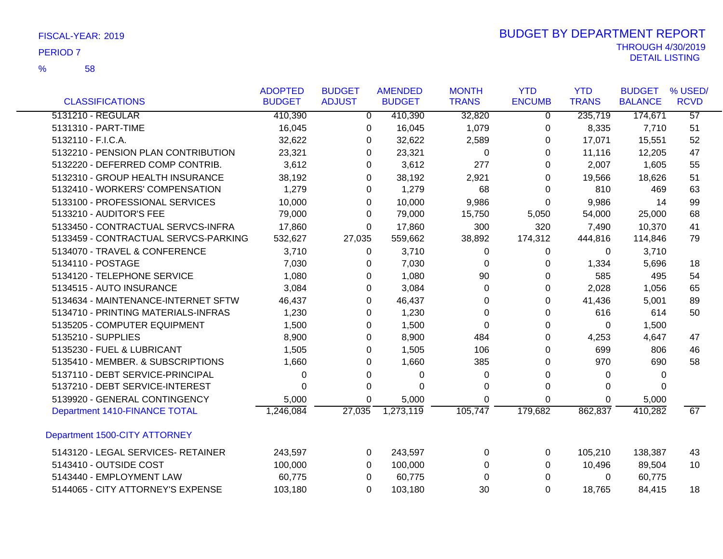58 %

|                                      | <b>ADOPTED</b> | <b>BUDGET</b>  | <b>AMENDED</b> | <b>MONTH</b> | <b>YTD</b>     | <b>YTD</b>   | <b>BUDGET</b>  | % USED/         |
|--------------------------------------|----------------|----------------|----------------|--------------|----------------|--------------|----------------|-----------------|
| <b>CLASSIFICATIONS</b>               | <b>BUDGET</b>  | <b>ADJUST</b>  | <b>BUDGET</b>  | <b>TRANS</b> | <b>ENCUMB</b>  | <b>TRANS</b> | <b>BALANCE</b> | <b>RCVD</b>     |
| 5131210 - REGULAR                    | 410,390        | $\overline{0}$ | 410,390        | 32,820       | $\overline{0}$ | 235,719      | 174,671        | $\overline{57}$ |
| 5131310 - PART-TIME                  | 16,045         | 0              | 16,045         | 1,079        | 0              | 8,335        | 7,710          | 51              |
| 5132110 - F.I.C.A.                   | 32,622         | 0              | 32,622         | 2,589        | 0              | 17,071       | 15,551         | 52              |
| 5132210 - PENSION PLAN CONTRIBUTION  | 23,321         | 0              | 23,321         | 0            | $\Omega$       | 11,116       | 12,205         | 47              |
| 5132220 - DEFERRED COMP CONTRIB.     | 3,612          | 0              | 3,612          | 277          | 0              | 2,007        | 1,605          | 55              |
| 5132310 - GROUP HEALTH INSURANCE     | 38,192         | 0              | 38,192         | 2,921        | 0              | 19,566       | 18,626         | 51              |
| 5132410 - WORKERS' COMPENSATION      | 1,279          | 0              | 1,279          | 68           | 0              | 810          | 469            | 63              |
| 5133100 - PROFESSIONAL SERVICES      | 10,000         | 0              | 10,000         | 9,986        | 0              | 9,986        | 14             | 99              |
| 5133210 - AUDITOR'S FEE              | 79,000         | 0              | 79,000         | 15,750       | 5,050          | 54,000       | 25,000         | 68              |
| 5133450 - CONTRACTUAL SERVCS-INFRA   | 17,860         | 0              | 17,860         | 300          | 320            | 7,490        | 10,370         | 41              |
| 5133459 - CONTRACTUAL SERVCS-PARKING | 532,627        | 27,035         | 559,662        | 38,892       | 174,312        | 444,816      | 114,846        | 79              |
| 5134070 - TRAVEL & CONFERENCE        | 3,710          | 0              | 3,710          | 0            | 0              | 0            | 3,710          |                 |
| 5134110 - POSTAGE                    | 7,030          | 0              | 7,030          | 0            | 0              | 1,334        | 5,696          | 18              |
| 5134120 - TELEPHONE SERVICE          | 1,080          | 0              | 1,080          | 90           | 0              | 585          | 495            | 54              |
| 5134515 - AUTO INSURANCE             | 3,084          | 0              | 3,084          | 0            | 0              | 2,028        | 1,056          | 65              |
| 5134634 - MAINTENANCE-INTERNET SFTW  | 46,437         | 0              | 46,437         | 0            | $\Omega$       | 41,436       | 5,001          | 89              |
| 5134710 - PRINTING MATERIALS-INFRAS  | 1,230          | $\Omega$       | 1,230          | $\Omega$     | $\Omega$       | 616          | 614            | 50              |
| 5135205 - COMPUTER EQUIPMENT         | 1,500          | 0              | 1,500          | 0            | 0              | 0            | 1,500          |                 |
| 5135210 - SUPPLIES                   | 8,900          | 0              | 8,900          | 484          | 0              | 4,253        | 4,647          | 47              |
| 5135230 - FUEL & LUBRICANT           | 1,505          | 0              | 1,505          | 106          | $\Omega$       | 699          | 806            | 46              |
| 5135410 - MEMBER. & SUBSCRIPTIONS    | 1,660          | 0              | 1,660          | 385          | $\Omega$       | 970          | 690            | 58              |
| 5137110 - DEBT SERVICE-PRINCIPAL     | 0              | 0              | 0              | 0            | 0              | 0            | 0              |                 |
| 5137210 - DEBT SERVICE-INTEREST      | 0              | 0              | $\Omega$       | 0            | 0              | 0            | $\mathbf{0}$   |                 |
| 5139920 - GENERAL CONTINGENCY        | 5,000          | 0              | 5,000          | 0            | 0              | 0            | 5,000          |                 |
| Department 1410-FINANCE TOTAL        | 1,246,084      | 27,035         | 1,273,119      | 105,747      | 179,682        | 862,837      | 410,282        | 67              |
| Department 1500-CITY ATTORNEY        |                |                |                |              |                |              |                |                 |
| 5143120 - LEGAL SERVICES- RETAINER   | 243,597        | 0              | 243,597        | 0            | 0              | 105,210      | 138,387        | 43              |
| 5143410 - OUTSIDE COST               | 100,000        | 0              | 100,000        | 0            | 0              | 10,496       | 89,504         | 10              |
| 5143440 - EMPLOYMENT LAW             | 60,775         | 0              | 60,775         | 0            | 0              | 0            | 60,775         |                 |
| 5144065 - CITY ATTORNEY'S EXPENSE    | 103,180        | 0              | 103,180        | 30           | 0              | 18,765       | 84,415         | 18              |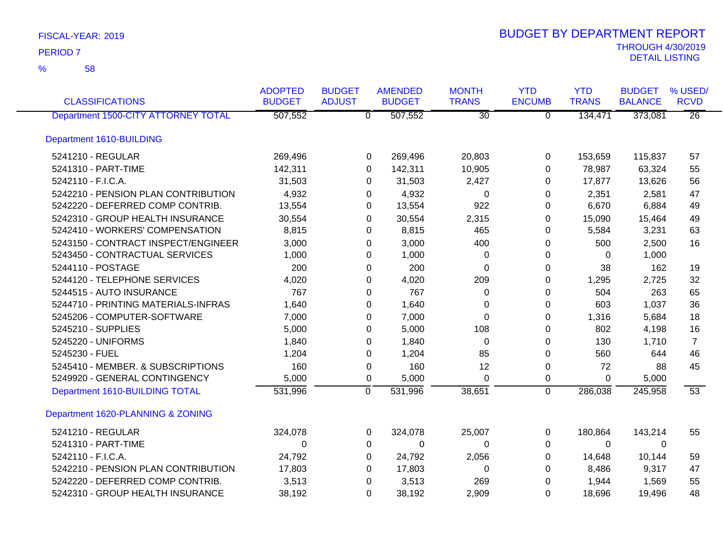| <b>CLASSIFICATIONS</b>              | <b>ADOPTED</b><br><b>BUDGET</b> | <b>BUDGET</b><br><b>ADJUST</b> | <b>AMENDED</b><br><b>BUDGET</b> | <b>MONTH</b><br><b>TRANS</b> | <b>YTD</b><br><b>ENCUMB</b> | <b>YTD</b><br><b>TRANS</b> | <b>BUDGET</b><br><b>BALANCE</b> | % USED/<br><b>RCVD</b> |
|-------------------------------------|---------------------------------|--------------------------------|---------------------------------|------------------------------|-----------------------------|----------------------------|---------------------------------|------------------------|
| Department 1500-CITY ATTORNEY TOTAL | 507,552                         | $\overline{0}$                 | 507,552                         | $\overline{30}$              | $\overline{0}$              | 134,471                    | 373,081                         | $\overline{26}$        |
| Department 1610-BUILDING            |                                 |                                |                                 |                              |                             |                            |                                 |                        |
| 5241210 - REGULAR                   | 269,496                         | $\mathbf 0$                    | 269,496                         | 20,803                       | 0                           | 153,659                    | 115,837                         | 57                     |
| 5241310 - PART-TIME                 | 142,311                         | $\Omega$                       | 142,311                         | 10,905                       | 0                           | 78,987                     | 63,324                          | 55                     |
| 5242110 - F.I.C.A.                  | 31,503                          | 0                              | 31,503                          | 2,427                        | 0                           | 17,877                     | 13,626                          | 56                     |
| 5242210 - PENSION PLAN CONTRIBUTION | 4,932                           |                                | 4,932<br>0                      | 0                            | 0                           | 2,351                      | 2,581                           | 47                     |
| 5242220 - DEFERRED COMP CONTRIB.    | 13,554                          |                                | 13,554<br>0                     | 922                          | 0                           | 6,670                      | 6,884                           | 49                     |
| 5242310 - GROUP HEALTH INSURANCE    | 30,554                          | 0                              | 30,554                          | 2,315                        | 0                           | 15,090                     | 15,464                          | 49                     |
| 5242410 - WORKERS' COMPENSATION     | 8,815                           |                                | 0<br>8,815                      | 465                          | 0                           | 5,584                      | 3,231                           | 63                     |
| 5243150 - CONTRACT INSPECT/ENGINEER | 3,000                           | 0                              | 3,000                           | 400                          | 0                           | 500                        | 2,500                           | 16                     |
| 5243450 - CONTRACTUAL SERVICES      | 1,000                           | 0                              | 1,000                           | 0                            | 0                           | 0                          | 1,000                           |                        |
| 5244110 - POSTAGE                   | 200                             | 0                              | 200                             | 0                            | 0                           | 38                         | 162                             | 19                     |
| 5244120 - TELEPHONE SERVICES        | 4,020                           |                                | 4,020<br>0                      | 209                          | 0                           | 1,295                      | 2,725                           | 32                     |
| 5244515 - AUTO INSURANCE            | 767                             | 0                              | 767                             | 0                            | 0                           | 504                        | 263                             | 65                     |
| 5244710 - PRINTING MATERIALS-INFRAS | 1,640                           | 0                              | 1,640                           | $\Omega$                     | 0                           | 603                        | 1,037                           | 36                     |
| 5245206 - COMPUTER-SOFTWARE         | 7,000                           | 0                              | 7,000                           | 0                            | 0                           | 1,316                      | 5,684                           | 18                     |
| 5245210 - SUPPLIES                  | 5,000                           | 0                              | 5,000                           | 108                          | 0                           | 802                        | 4,198                           | 16                     |
| 5245220 - UNIFORMS                  | 1,840                           | 0                              | 1,840                           | $\Omega$                     | 0                           | 130                        | 1,710                           | $\overline{7}$         |
| 5245230 - FUEL                      | 1,204                           | 0                              | 1,204                           | 85                           | 0                           | 560                        | 644                             | 46                     |
| 5245410 - MEMBER. & SUBSCRIPTIONS   | 160                             | 0                              | 160                             | 12                           | 0                           | 72                         | 88                              | 45                     |
| 5249920 - GENERAL CONTINGENCY       | 5,000                           | 0                              | 5,000                           | $\Omega$                     | 0                           | 0                          | 5,000                           |                        |
| Department 1610-BUILDING TOTAL      | 531,996                         | $\overline{0}$                 | 531,996                         | 38,651                       | $\overline{0}$              | 286,038                    | 245,958                         | 53                     |
| Department 1620-PLANNING & ZONING   |                                 |                                |                                 |                              |                             |                            |                                 |                        |
| 5241210 - REGULAR                   | 324,078                         | 0                              | 324,078                         | 25,007                       | 0                           | 180,864                    | 143,214                         | 55                     |
| 5241310 - PART-TIME                 | 0                               | 0                              | $\Omega$                        | $\Omega$                     | 0                           | $\Omega$                   | 0                               |                        |
| 5242110 - F.I.C.A.                  | 24,792                          |                                | 0<br>24,792                     | 2,056                        | 0                           | 14,648                     | 10,144                          | 59                     |
| 5242210 - PENSION PLAN CONTRIBUTION | 17,803                          |                                | 0<br>17,803                     | 0                            | 0                           | 8,486                      | 9,317                           | 47                     |
| 5242220 - DEFERRED COMP CONTRIB.    | 3,513                           | 0                              | 3,513                           | 269                          | 0                           | 1,944                      | 1,569                           | 55                     |
| 5242310 - GROUP HEALTH INSURANCE    | 38,192                          | 0                              | 38,192                          | 2,909                        | 0                           | 18,696                     | 19,496                          | 48                     |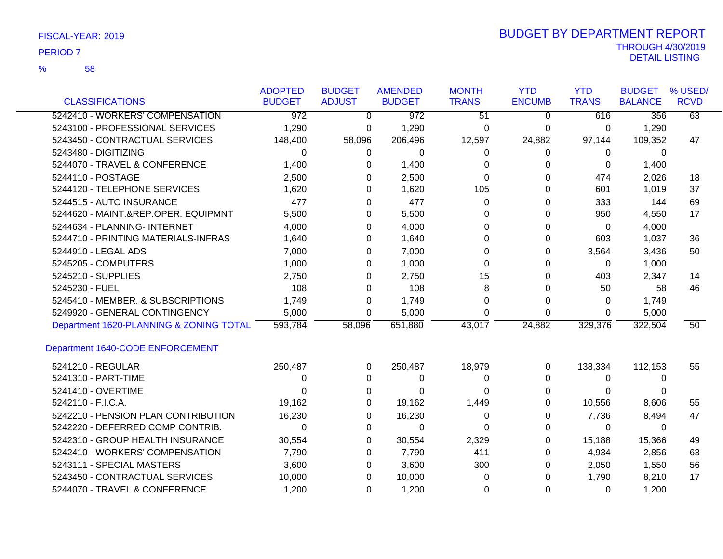| FISCAL-YEAR: 2019 |  |
|-------------------|--|
|-------------------|--|

| <b>CLASSIFICATIONS</b>                  | <b>ADOPTED</b><br><b>BUDGET</b> | <b>BUDGET</b><br><b>ADJUST</b> | <b>AMENDED</b><br><b>BUDGET</b> | <b>MONTH</b><br><b>TRANS</b> | <b>YTD</b><br><b>ENCUMB</b> | <b>YTD</b><br><b>TRANS</b> | <b>BUDGET</b><br><b>BALANCE</b> | % USED/<br><b>RCVD</b> |
|-----------------------------------------|---------------------------------|--------------------------------|---------------------------------|------------------------------|-----------------------------|----------------------------|---------------------------------|------------------------|
| 5242410 - WORKERS' COMPENSATION         | $\overline{972}$                |                                | 972                             |                              |                             |                            |                                 | 63                     |
|                                         |                                 | $\overline{0}$                 |                                 | 51                           | $\Omega$                    | 616                        | 356                             |                        |
| 5243100 - PROFESSIONAL SERVICES         | 1,290                           | 0                              | 1,290                           | 0                            | 0                           | 0                          | 1,290                           |                        |
| 5243450 - CONTRACTUAL SERVICES          | 148,400                         | 58,096                         | 206,496                         | 12,597                       | 24,882                      | 97,144                     | 109,352                         | 47                     |
| 5243480 - DIGITIZING                    | 0                               | 0                              | 0                               | 0                            | $\Omega$                    | $\Omega$                   | $\mathbf{0}$                    |                        |
| 5244070 - TRAVEL & CONFERENCE           | 1,400                           | $\Omega$                       | 1,400                           | 0                            | 0                           | $\Omega$                   | 1,400                           |                        |
| 5244110 - POSTAGE                       | 2,500                           | 0                              | 2,500                           | $\Omega$                     | 0                           | 474                        | 2,026                           | 18                     |
| 5244120 - TELEPHONE SERVICES            | 1,620                           | 0                              | 1,620                           | 105                          | 0                           | 601                        | 1,019                           | 37                     |
| 5244515 - AUTO INSURANCE                | 477                             | 0                              | 477                             | $\Omega$                     | 0                           | 333                        | 144                             | 69                     |
| 5244620 - MAINT.&REP.OPER. EQUIPMNT     | 5,500                           | 0                              | 5,500                           | 0                            | 0                           | 950                        | 4,550                           | 17                     |
| 5244634 - PLANNING- INTERNET            | 4,000                           | 0                              | 4,000                           | 0                            | 0                           | 0                          | 4,000                           |                        |
| 5244710 - PRINTING MATERIALS-INFRAS     | 1,640                           | 0                              | 1,640                           | 0                            | 0                           | 603                        | 1,037                           | 36                     |
| 5244910 - LEGAL ADS                     | 7,000                           | 0                              | 7,000                           | 0                            | 0                           | 3,564                      | 3,436                           | 50                     |
| 5245205 - COMPUTERS                     | 1,000                           | 0                              | 1,000                           | 0                            | 0                           | $\Omega$                   | 1,000                           |                        |
| 5245210 - SUPPLIES                      | 2,750                           | 0                              | 2,750                           | 15                           | 0                           | 403                        | 2,347                           | 14                     |
| 5245230 - FUEL                          | 108                             | 0                              | 108                             | 8                            | 0                           | 50                         | 58                              | 46                     |
| 5245410 - MEMBER. & SUBSCRIPTIONS       | 1,749                           | 0                              | 1,749                           | 0                            | 0                           | $\Omega$                   | 1,749                           |                        |
| 5249920 - GENERAL CONTINGENCY           | 5,000                           | 0                              | 5,000                           | 0                            | $\Omega$                    | $\Omega$                   | 5,000                           |                        |
| Department 1620-PLANNING & ZONING TOTAL | 593,784                         | 58,096                         | 651,880                         | 43,017                       | 24,882                      | 329,376                    | 322,504                         | 50                     |
| Department 1640-CODE ENFORCEMENT        |                                 |                                |                                 |                              |                             |                            |                                 |                        |
| 5241210 - REGULAR                       | 250,487                         | 0                              | 250,487                         | 18,979                       | 0                           | 138,334                    | 112,153                         | 55                     |
| 5241310 - PART-TIME                     | 0                               | 0                              | 0                               | 0                            | 0                           | 0                          | 0                               |                        |
| 5241410 - OVERTIME                      | 0                               | 0                              | 0                               | 0                            | 0                           | 0                          | 0                               |                        |
| 5242110 - F.I.C.A.                      | 19,162                          | 0                              | 19,162                          | 1,449                        | 0                           | 10,556                     | 8,606                           | 55                     |
| 5242210 - PENSION PLAN CONTRIBUTION     | 16,230                          | 0                              | 16,230                          | 0                            | 0                           | 7,736                      | 8,494                           | 47                     |
| 5242220 - DEFERRED COMP CONTRIB.        | 0                               | 0                              | $\Omega$                        | 0                            | 0                           | $\Omega$                   | 0                               |                        |
| 5242310 - GROUP HEALTH INSURANCE        | 30,554                          | 0                              | 30,554                          | 2,329                        | 0                           | 15,188                     | 15,366                          | 49                     |
| 5242410 - WORKERS' COMPENSATION         | 7,790                           | 0                              | 7,790                           | 411                          | 0                           | 4,934                      | 2,856                           | 63                     |
| 5243111 - SPECIAL MASTERS               | 3,600                           | 0                              | 3,600                           | 300                          | 0                           | 2,050                      | 1,550                           | 56                     |
| 5243450 - CONTRACTUAL SERVICES          | 10,000                          | 0                              | 10,000                          | 0                            | 0                           | 1,790                      | 8,210                           | 17                     |
| 5244070 - TRAVEL & CONFERENCE           | 1,200                           | 0                              | 1,200                           | 0                            | 0                           | $\Omega$                   | 1,200                           |                        |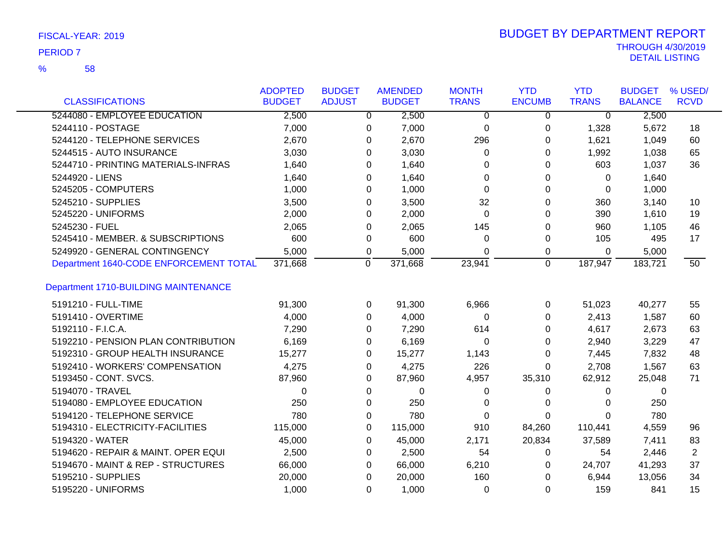58 %

| <b>CLASSIFICATIONS</b>                 | <b>ADOPTED</b><br><b>BUDGET</b> | <b>BUDGET</b><br><b>ADJUST</b> | <b>AMENDED</b><br><b>BUDGET</b> | <b>MONTH</b><br><b>TRANS</b> | <b>YTD</b><br><b>ENCUMB</b> | <b>YTD</b><br><b>TRANS</b> | <b>BUDGET</b><br><b>BALANCE</b> | % USED/<br><b>RCVD</b> |
|----------------------------------------|---------------------------------|--------------------------------|---------------------------------|------------------------------|-----------------------------|----------------------------|---------------------------------|------------------------|
| 5244080 - EMPLOYEE EDUCATION           | 2,500                           |                                | 2,500<br>$\mathbf{0}$           | 0                            | 0                           | $\overline{0}$             | 2,500                           |                        |
| 5244110 - POSTAGE                      | 7,000                           | 0                              | 7,000                           | $\mathbf 0$                  | 0                           | 1,328                      | 5,672                           | 18                     |
| 5244120 - TELEPHONE SERVICES           | 2,670                           | 0                              | 2,670                           | 296                          | 0                           | 1,621                      | 1,049                           | 60                     |
| 5244515 - AUTO INSURANCE               | 3,030                           | 0                              | 3,030                           | 0                            | 0                           | 1,992                      | 1,038                           | 65                     |
| 5244710 - PRINTING MATERIALS-INFRAS    | 1,640                           | 0                              | 1,640                           | 0                            | 0                           | 603                        | 1,037                           | 36                     |
| 5244920 - LIENS                        | 1,640                           | 0                              | 1,640                           | 0                            | 0                           | 0                          | 1,640                           |                        |
| 5245205 - COMPUTERS                    | 1,000                           | 0                              | 1,000                           | $\Omega$                     | 0                           | 0                          | 1,000                           |                        |
| 5245210 - SUPPLIES                     | 3,500                           | 0                              | 3,500                           | 32                           | 0                           | 360                        | 3,140                           | 10                     |
| 5245220 - UNIFORMS                     | 2,000                           | 0                              | 2,000                           | 0                            | 0                           | 390                        | 1,610                           | 19                     |
| 5245230 - FUEL                         | 2,065                           | 0                              | 2,065                           | 145                          | 0                           | 960                        | 1,105                           | 46                     |
| 5245410 - MEMBER. & SUBSCRIPTIONS      | 600                             | 0                              | 600                             | $\Omega$                     | 0                           | 105                        | 495                             | 17                     |
| 5249920 - GENERAL CONTINGENCY          | 5,000                           | 0                              | 5,000                           | $\Omega$                     | 0                           | 0                          | 5,000                           |                        |
| Department 1640-CODE ENFORCEMENT TOTAL | 371,668                         | $\mathbf 0$                    | 371,668                         | 23,941                       | $\mathbf 0$                 | 187,947                    | 183,721                         | $\overline{50}$        |
| Department 1710-BUILDING MAINTENANCE   |                                 |                                |                                 |                              |                             |                            |                                 |                        |
| 5191210 - FULL-TIME                    | 91,300                          | 0                              | 91,300                          | 6,966                        | 0                           | 51,023                     | 40,277                          | 55                     |
| 5191410 - OVERTIME                     | 4,000                           | $\Omega$                       | 4,000                           | $\Omega$                     | $\Omega$                    | 2,413                      | 1,587                           | 60                     |
| 5192110 - F.I.C.A.                     | 7,290                           | 0                              | 7,290                           | 614                          | 0                           | 4,617                      | 2,673                           | 63                     |
| 5192210 - PENSION PLAN CONTRIBUTION    | 6,169                           | 0                              | 6,169                           | 0                            | 0                           | 2,940                      | 3,229                           | 47                     |
| 5192310 - GROUP HEALTH INSURANCE       | 15,277                          | $\Omega$                       | 15,277                          | 1,143                        | 0                           | 7,445                      | 7,832                           | 48                     |
| 5192410 - WORKERS' COMPENSATION        | 4,275                           | 0                              | 4,275                           | 226                          | 0                           | 2,708                      | 1,567                           | 63                     |
| 5193450 - CONT. SVCS.                  | 87,960                          | 0                              | 87,960                          | 4,957                        | 35,310                      | 62,912                     | 25,048                          | 71                     |
| 5194070 - TRAVEL                       | 0                               | $\mathbf 0$                    | $\mathbf 0$                     | 0                            | 0                           | 0                          | 0                               |                        |
| 5194080 - EMPLOYEE EDUCATION           | 250                             | 0                              | 250                             | $\Omega$                     | 0                           | 0                          | 250                             |                        |
| 5194120 - TELEPHONE SERVICE            | 780                             | 0                              | 780                             | $\Omega$                     | 0                           | 0                          | 780                             |                        |
| 5194310 - ELECTRICITY-FACILITIES       | 115,000                         | 0                              | 115,000                         | 910                          | 84,260                      | 110,441                    | 4,559                           | 96                     |
| 5194320 - WATER                        | 45,000                          | 0                              | 45,000                          | 2,171                        | 20,834                      | 37,589                     | 7,411                           | 83                     |
| 5194620 - REPAIR & MAINT. OPER EQUI    | 2,500                           | $\Omega$                       | 2,500                           | 54                           | 0                           | 54                         | 2,446                           | $\overline{2}$         |
| 5194670 - MAINT & REP - STRUCTURES     | 66,000                          | 0                              | 66,000                          | 6,210                        | $\Omega$                    | 24,707                     | 41,293                          | 37                     |
| 5195210 - SUPPLIES                     | 20,000                          | $\Omega$                       | 20,000                          | 160                          | $\Omega$                    | 6,944                      | 13,056                          | 34                     |
| 5195220 - UNIFORMS                     | 1.000                           | $\Omega$                       | 1,000                           | $\Omega$                     | $\Omega$                    | 159                        | 841                             | 15                     |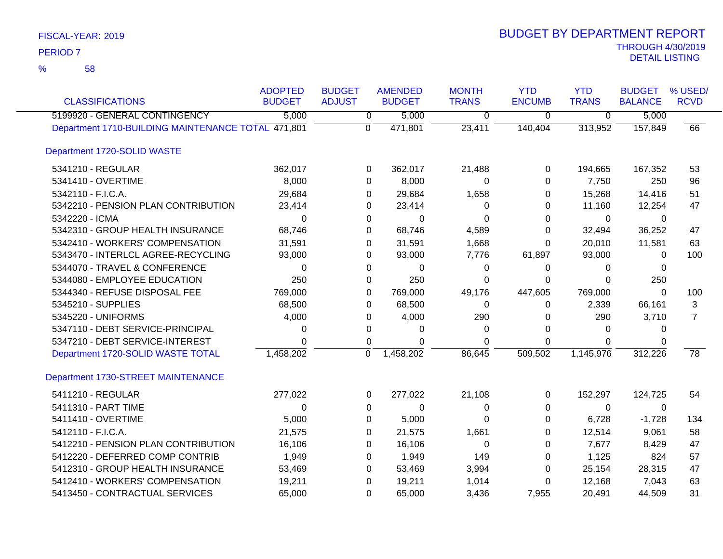58 %

| <b>CLASSIFICATIONS</b>                             | <b>ADOPTED</b><br><b>BUDGET</b> | <b>BUDGET</b><br><b>ADJUST</b> | <b>AMENDED</b><br><b>BUDGET</b> | <b>MONTH</b><br><b>TRANS</b> | <b>YTD</b><br><b>ENCUMB</b> | <b>YTD</b><br><b>TRANS</b> | <b>BUDGET</b><br><b>BALANCE</b> | % USED/<br><b>RCVD</b> |
|----------------------------------------------------|---------------------------------|--------------------------------|---------------------------------|------------------------------|-----------------------------|----------------------------|---------------------------------|------------------------|
| 5199920 - GENERAL CONTINGENCY                      | 5,000                           | 0                              | 5,000                           | $\overline{0}$               | $\overline{0}$              | $\overline{0}$             | 5,000                           |                        |
| Department 1710-BUILDING MAINTENANCE TOTAL 471,801 |                                 | $\overline{0}$                 | 471,801                         | 23,411                       | 140,404                     | 313,952                    | 157,849                         | 66                     |
| Department 1720-SOLID WASTE                        |                                 |                                |                                 |                              |                             |                            |                                 |                        |
| 5341210 - REGULAR                                  | 362,017                         | 0                              | 362,017                         | 21,488                       | 0                           | 194,665                    | 167,352                         | 53                     |
| 5341410 - OVERTIME                                 | 8,000                           | 0                              | 8,000                           | 0                            | 0                           | 7,750                      | 250                             | 96                     |
| 5342110 - F.I.C.A.                                 | 29,684                          | 0                              | 29,684                          | 1,658                        | 0                           | 15,268                     | 14,416                          | 51                     |
| 5342210 - PENSION PLAN CONTRIBUTION                | 23,414                          | 0                              | 23,414                          | 0                            | 0                           | 11,160                     | 12,254                          | 47                     |
| 5342220 - ICMA                                     | 0                               | 0                              | 0                               | 0                            | 0                           | 0                          | 0                               |                        |
| 5342310 - GROUP HEALTH INSURANCE                   | 68,746                          | 0                              | 68,746                          | 4,589                        | 0                           | 32,494                     | 36,252                          | 47                     |
| 5342410 - WORKERS' COMPENSATION                    | 31,591                          | 0                              | 31,591                          | 1,668                        | $\mathbf 0$                 | 20,010                     | 11,581                          | 63                     |
| 5343470 - INTERLCL AGREE-RECYCLING                 | 93,000                          | 0                              | 93,000                          | 7,776                        | 61,897                      | 93,000                     | $\Omega$                        | 100                    |
| 5344070 - TRAVEL & CONFERENCE                      | 0                               | 0                              | $\Omega$                        | 0                            | 0                           | 0                          | 0                               |                        |
| 5344080 - EMPLOYEE EDUCATION                       | 250                             | 0                              | 250                             | $\Omega$                     | 0                           | $\Omega$                   | 250                             |                        |
| 5344340 - REFUSE DISPOSAL FEE                      | 769,000                         | 0                              | 769,000                         | 49,176                       | 447,605                     | 769,000                    | 0                               | 100                    |
| 5345210 - SUPPLIES                                 | 68,500                          | 0                              | 68,500                          | 0                            | 0                           | 2,339                      | 66,161                          | 3                      |
| 5345220 - UNIFORMS                                 | 4,000                           | 0                              | 4,000                           | 290                          | 0                           | 290                        | 3,710                           | $\overline{7}$         |
| 5347110 - DEBT SERVICE-PRINCIPAL                   | 0                               | 0                              | $\Omega$                        | $\Omega$                     | $\Omega$                    | $\Omega$                   | 0                               |                        |
| 5347210 - DEBT SERVICE-INTEREST                    | 0                               | 0                              | $\Omega$                        | $\Omega$                     | 0                           | 0                          | 0                               |                        |
| Department 1720-SOLID WASTE TOTAL                  | 1,458,202                       | 0                              | 1,458,202                       | 86,645                       | 509,502                     | 1,145,976                  | 312,226                         | $\overline{78}$        |
| Department 1730-STREET MAINTENANCE                 |                                 |                                |                                 |                              |                             |                            |                                 |                        |
| 5411210 - REGULAR                                  | 277,022                         | 0                              | 277,022                         | 21,108                       | 0                           | 152,297                    | 124,725                         | 54                     |
| 5411310 - PART TIME                                | $\Omega$                        | 0                              | 0                               | 0                            | 0                           | 0                          | 0                               |                        |
| 5411410 - OVERTIME                                 | 5,000                           | 0                              | 5,000                           | $\Omega$                     | $\Omega$                    | 6,728                      | $-1,728$                        | 134                    |
| 5412110 - F.I.C.A.                                 | 21,575                          | 0                              | 21,575                          | 1,661                        | 0                           | 12,514                     | 9,061                           | 58                     |
| 5412210 - PENSION PLAN CONTRIBUTION                | 16,106                          | 0                              | 16,106                          | 0                            | 0                           | 7,677                      | 8,429                           | 47                     |
| 5412220 - DEFERRED COMP CONTRIB                    | 1,949                           | 0                              | 1,949                           | 149                          | 0                           | 1,125                      | 824                             | 57                     |
| 5412310 - GROUP HEALTH INSURANCE                   | 53,469                          | 0                              | 53,469                          | 3,994                        | 0                           | 25,154                     | 28,315                          | 47                     |
| 5412410 - WORKERS' COMPENSATION                    | 19,211                          | 0                              | 19,211                          | 1,014                        | 0                           | 12,168                     | 7,043                           | 63                     |
| 5413450 - CONTRACTUAL SERVICES                     | 65,000                          | $\Omega$                       | 65,000                          | 3,436                        | 7,955                       | 20,491                     | 44,509                          | 31                     |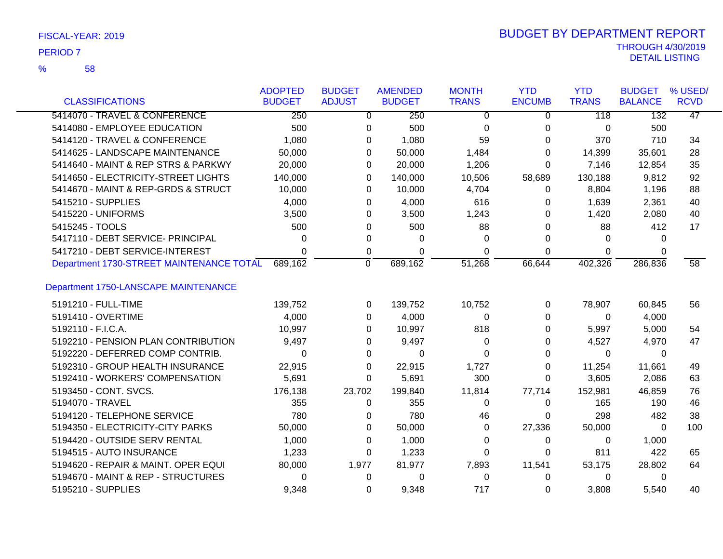| FISCAL-YEAR: 2019 |  |
|-------------------|--|
|                   |  |

| <b>CLASSIFICATIONS</b>                   | <b>ADOPTED</b><br><b>BUDGET</b> | <b>BUDGET</b><br><b>ADJUST</b> | <b>AMENDED</b><br><b>BUDGET</b> | <b>MONTH</b><br><b>TRANS</b> | <b>YTD</b><br><b>ENCUMB</b> | <b>YTD</b><br><b>TRANS</b> | <b>BUDGET</b><br><b>BALANCE</b> | % USED/<br><b>RCVD</b> |
|------------------------------------------|---------------------------------|--------------------------------|---------------------------------|------------------------------|-----------------------------|----------------------------|---------------------------------|------------------------|
| 5414070 - TRAVEL & CONFERENCE            | 250                             |                                | 250<br>0                        | 0                            | 0                           | 118                        | 132                             | 47                     |
| 5414080 - EMPLOYEE EDUCATION             | 500                             | 0                              | 500                             | 0                            | 0                           | 0                          | 500                             |                        |
| 5414120 - TRAVEL & CONFERENCE            | 1,080                           | 0                              | 1,080                           | 59                           | 0                           | 370                        | 710                             | 34                     |
| 5414625 - LANDSCAPE MAINTENANCE          | 50,000                          |                                | 50,000<br>0                     | 1,484                        | 0                           | 14,399                     | 35,601                          | 28                     |
| 5414640 - MAINT & REP STRS & PARKWY      | 20,000                          |                                | 20,000<br>0                     | 1,206                        | $\Omega$                    | 7,146                      | 12,854                          | 35                     |
| 5414650 - ELECTRICITY-STREET LIGHTS      | 140,000                         |                                | 140,000<br>0                    | 10,506                       | 58,689                      | 130,188                    | 9,812                           | 92                     |
| 5414670 - MAINT & REP-GRDS & STRUCT      | 10,000                          |                                | 10,000<br>0                     | 4,704                        | 0                           | 8,804                      | 1,196                           | 88                     |
| 5415210 - SUPPLIES                       | 4,000                           |                                | 4,000<br>0                      | 616                          | 0                           | 1,639                      | 2,361                           | 40                     |
| 5415220 - UNIFORMS                       | 3,500                           |                                | 3,500<br>0                      | 1,243                        | 0                           | 1,420                      | 2,080                           | 40                     |
| 5415245 - TOOLS                          | 500                             |                                | 500<br>0                        | 88                           | 0                           | 88                         | 412                             | 17                     |
| 5417110 - DEBT SERVICE- PRINCIPAL        | 0                               | 0                              | 0                               | $\Omega$                     | 0                           | 0                          | $\Omega$                        |                        |
| 5417210 - DEBT SERVICE-INTEREST          | $\Omega$                        | 0                              | $\Omega$                        | $\Omega$                     | $\Omega$                    | $\Omega$                   | $\Omega$                        |                        |
| Department 1730-STREET MAINTENANCE TOTAL | 689,162                         | $\Omega$                       | 689,162                         | 51,268                       | 66,644                      | 402,326                    | 286,836                         | 58                     |
| Department 1750-LANSCAPE MAINTENANCE     |                                 |                                |                                 |                              |                             |                            |                                 |                        |
| 5191210 - FULL-TIME                      | 139,752                         |                                | 139,752<br>0                    | 10,752                       | 0                           | 78,907                     | 60,845                          | 56                     |
| 5191410 - OVERTIME                       | 4,000                           |                                | 4,000<br>0                      | 0                            | 0                           | 0                          | 4,000                           |                        |
| 5192110 - F.I.C.A.                       | 10,997                          |                                | 10,997<br>0                     | 818                          | 0                           | 5,997                      | 5,000                           | 54                     |
| 5192210 - PENSION PLAN CONTRIBUTION      | 9,497                           |                                | 9,497<br>0                      | 0                            | 0                           | 4,527                      | 4,970                           | 47                     |
| 5192220 - DEFERRED COMP CONTRIB.         | 0                               | 0                              | $\Omega$                        | 0                            | 0                           | 0                          | 0                               |                        |
| 5192310 - GROUP HEALTH INSURANCE         | 22,915                          |                                | 22,915<br>0                     | 1,727                        | 0                           | 11,254                     | 11,661                          | 49                     |
| 5192410 - WORKERS' COMPENSATION          | 5,691                           |                                | 5,691<br>0                      | 300                          | $\Omega$                    | 3,605                      | 2,086                           | 63                     |
| 5193450 - CONT. SVCS.                    | 176,138                         | 23,702                         | 199,840                         | 11,814                       | 77,714                      | 152,981                    | 46,859                          | 76                     |
| 5194070 - TRAVEL                         | 355                             | 0                              | 355                             | 0                            | 0                           | 165                        | 190                             | 46                     |
| 5194120 - TELEPHONE SERVICE              | 780                             | 0                              | 780                             | 46                           | 0                           | 298                        | 482                             | 38                     |
| 5194350 - ELECTRICITY-CITY PARKS         | 50,000                          |                                | 50,000<br>0                     | 0                            | 27,336                      | 50,000                     | $\Omega$                        | 100                    |
| 5194420 - OUTSIDE SERV RENTAL            | 1,000                           |                                | 1,000<br>0                      | 0                            | 0                           | 0                          | 1,000                           |                        |
| 5194515 - AUTO INSURANCE                 | 1,233                           | 0                              | 1,233                           | $\Omega$                     | 0                           | 811                        | 422                             | 65                     |
| 5194620 - REPAIR & MAINT. OPER EQUI      | 80,000                          | 1,977                          | 81,977                          | 7,893                        | 11,541                      | 53,175                     | 28,802                          | 64                     |
| 5194670 - MAINT & REP - STRUCTURES       | $\Omega$                        | 0                              | 0                               | $\Omega$                     | $\Omega$                    | 0                          | $\Omega$                        |                        |
| 5195210 - SUPPLIES                       | 9,348                           | $\Omega$                       | 9,348                           | 717                          | $\Omega$                    | 3,808                      | 5,540                           | 40                     |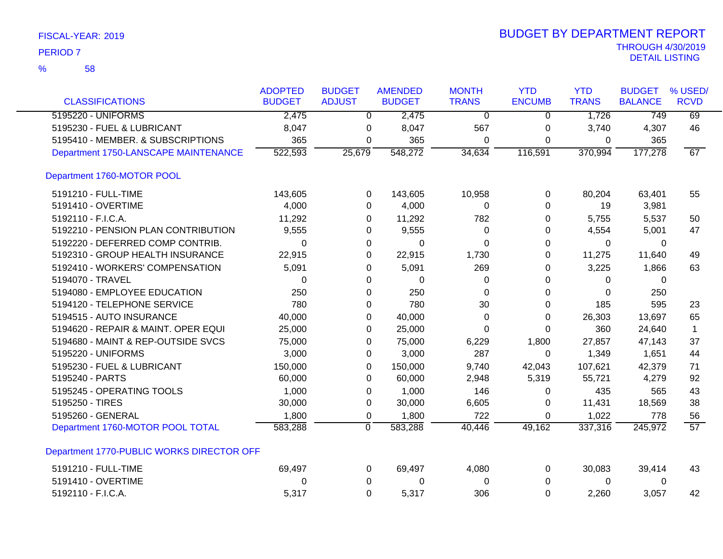|  | FISCAL-YEAR: 2019 |  |
|--|-------------------|--|
|--|-------------------|--|

|                                           | <b>ADOPTED</b> | <b>BUDGET</b>  | <b>AMENDED</b> | <b>MONTH</b>   | <b>YTD</b>    | <b>YTD</b>   | <b>BUDGET</b>  | % USED/         |
|-------------------------------------------|----------------|----------------|----------------|----------------|---------------|--------------|----------------|-----------------|
| <b>CLASSIFICATIONS</b>                    | <b>BUDGET</b>  | <b>ADJUST</b>  | <b>BUDGET</b>  | <b>TRANS</b>   | <b>ENCUMB</b> | <b>TRANS</b> | <b>BALANCE</b> | <b>RCVD</b>     |
| 5195220 - UNIFORMS                        | 2,475          | $\overline{0}$ | 2,475          | $\overline{0}$ | $\Omega$      | 1,726        | 749            | 69              |
| 5195230 - FUEL & LUBRICANT                | 8,047          | 0              | 8,047          | 567            | 0             | 3,740        | 4,307          | 46              |
| 5195410 - MEMBER. & SUBSCRIPTIONS         | 365            | 0              | 365            | 0              | 0             | 0            | 365            |                 |
| Department 1750-LANSCAPE MAINTENANCE      | 522,593        | 25,679         | 548,272        | 34,634         | 116,591       | 370,994      | 177,278        | 67              |
| Department 1760-MOTOR POOL                |                |                |                |                |               |              |                |                 |
| 5191210 - FULL-TIME                       | 143,605        | 0              | 143,605        | 10,958         | $\pmb{0}$     | 80,204       | 63,401         | 55              |
| 5191410 - OVERTIME                        | 4,000          | 0              | 4,000          | 0              | 0             | 19           | 3,981          |                 |
| 5192110 - F.I.C.A.                        | 11,292         | 0              | 11,292         | 782            | 0             | 5,755        | 5,537          | 50              |
| 5192210 - PENSION PLAN CONTRIBUTION       | 9,555          | 0              | 9,555          | $\Omega$       | 0             | 4,554        | 5,001          | 47              |
| 5192220 - DEFERRED COMP CONTRIB.          | 0              | 0              | 0              | $\Omega$       | 0             | 0            | 0              |                 |
| 5192310 - GROUP HEALTH INSURANCE          | 22,915         | 0              | 22,915         | 1,730          | 0             | 11,275       | 11,640         | 49              |
| 5192410 - WORKERS' COMPENSATION           | 5,091          | 0              | 5,091          | 269            | 0             | 3,225        | 1,866          | 63              |
| 5194070 - TRAVEL                          | 0              | 0              | 0              | 0              | 0             | $\Omega$     | 0              |                 |
| 5194080 - EMPLOYEE EDUCATION              | 250            | 0              | 250            | $\Omega$       | 0             | $\Omega$     | 250            |                 |
| 5194120 - TELEPHONE SERVICE               | 780            | $\Omega$       | 780            | 30             | $\Omega$      | 185          | 595            | 23              |
| 5194515 - AUTO INSURANCE                  | 40,000         | 0              | 40,000         | 0              | 0             | 26,303       | 13,697         | 65              |
| 5194620 - REPAIR & MAINT. OPER EQUI       | 25,000         | 0              | 25,000         | 0              | $\Omega$      | 360          | 24,640         | 1               |
| 5194680 - MAINT & REP-OUTSIDE SVCS        | 75,000         | 0              | 75,000         | 6,229          | 1,800         | 27,857       | 47,143         | 37              |
| 5195220 - UNIFORMS                        | 3,000          | 0              | 3,000          | 287            | 0             | 1,349        | 1,651          | 44              |
| 5195230 - FUEL & LUBRICANT                | 150,000        | 0              | 150,000        | 9,740          | 42,043        | 107,621      | 42,379         | 71              |
| 5195240 - PARTS                           | 60,000         | 0              | 60,000         | 2,948          | 5,319         | 55,721       | 4,279          | 92              |
| 5195245 - OPERATING TOOLS                 | 1,000          | 0              | 1,000          | 146            | 0             | 435          | 565            | 43              |
| 5195250 - TIRES                           | 30,000         | 0              | 30,000         | 6,605          | 0             | 11,431       | 18,569         | 38              |
| 5195260 - GENERAL                         | 1,800          | 0              | 1,800          | 722            | $\Omega$      | 1,022        | 778            | 56              |
| Department 1760-MOTOR POOL TOTAL          | 583,288        | 0              | 583,288        | 40,446         | 49,162        | 337,316      | 245,972        | $\overline{57}$ |
| Department 1770-PUBLIC WORKS DIRECTOR OFF |                |                |                |                |               |              |                |                 |
| 5191210 - FULL-TIME                       | 69,497         | 0              | 69,497         | 4,080          | 0             | 30,083       | 39,414         | 43              |
| 5191410 - OVERTIME                        | 0              | $\pmb{0}$      | 0              | 0              | 0             | $\mathbf 0$  | 0              |                 |
| 5192110 - F.I.C.A.                        | 5,317          | $\Omega$       | 5,317          | 306            | $\mathbf 0$   | 2,260        | 3,057          | 42              |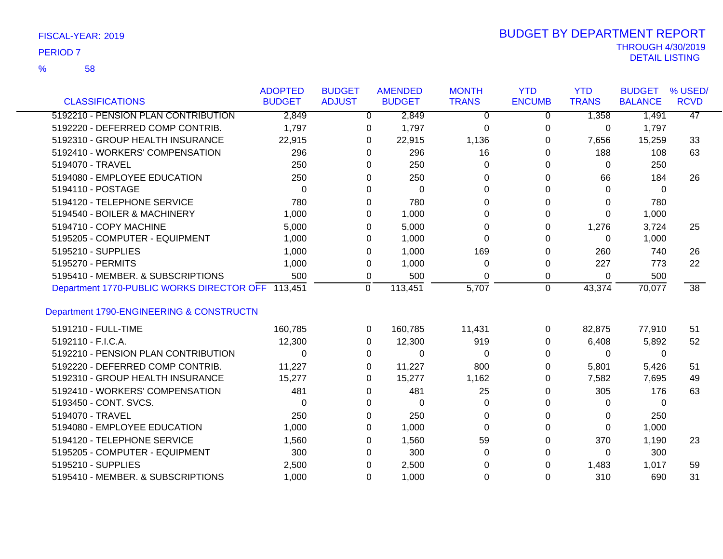|  | FISCAL-YEAR: 2019 |  |
|--|-------------------|--|
|  |                   |  |

| <b>CLASSIFICATIONS</b>                            | <b>ADOPTED</b><br><b>BUDGET</b> | <b>BUDGET</b><br><b>ADJUST</b> |              | <b>AMENDED</b><br><b>BUDGET</b> | <b>MONTH</b><br><b>TRANS</b> | <b>YTD</b><br><b>ENCUMB</b> | <b>YTD</b><br><b>TRANS</b> | <b>BUDGET</b><br><b>BALANCE</b> | % USED/<br><b>RCVD</b> |
|---------------------------------------------------|---------------------------------|--------------------------------|--------------|---------------------------------|------------------------------|-----------------------------|----------------------------|---------------------------------|------------------------|
| 5192210 - PENSION PLAN CONTRIBUTION               | 2,849                           |                                | $\mathbf{0}$ | 2,849                           | $\mathbf 0$                  | $\mathbf 0$                 | 1,358                      | 1,491                           | $\overline{47}$        |
| 5192220 - DEFERRED COMP CONTRIB.                  | 1,797                           |                                | 0            | 1,797                           | 0                            | 0                           | 0                          | 1,797                           |                        |
| 5192310 - GROUP HEALTH INSURANCE                  | 22,915                          |                                | 0            | 22,915                          | 1,136                        | 0                           | 7,656                      | 15,259                          | 33                     |
| 5192410 - WORKERS' COMPENSATION                   | 296                             |                                | 0            | 296                             | 16                           | 0                           | 188                        | 108                             | 63                     |
| 5194070 - TRAVEL                                  | 250                             |                                | 0            | 250                             | $\Omega$                     | 0                           | $\Omega$                   | 250                             |                        |
| 5194080 - EMPLOYEE EDUCATION                      | 250                             |                                | 0            | 250                             | 0                            | 0                           | 66                         | 184                             | 26                     |
| 5194110 - POSTAGE                                 | $\Omega$                        |                                | 0            | 0                               | 0                            | 0                           | 0                          | 0                               |                        |
| 5194120 - TELEPHONE SERVICE                       | 780                             |                                |              | 780                             | 0                            |                             |                            | 780                             |                        |
| 5194540 - BOILER & MACHINERY                      | 1,000                           |                                | 0            | 1,000                           | 0                            | 0                           | 0<br>0                     |                                 |                        |
|                                                   |                                 |                                | 0            |                                 |                              | 0                           |                            | 1,000                           |                        |
| 5194710 - COPY MACHINE                            | 5,000                           |                                | 0            | 5,000                           | 0                            | 0                           | 1,276                      | 3,724                           | 25                     |
| 5195205 - COMPUTER - EQUIPMENT                    | 1,000                           |                                | 0            | 1,000                           | 0                            | 0                           | 0                          | 1,000                           |                        |
| 5195210 - SUPPLIES                                | 1,000                           |                                | 0            | 1,000                           | 169                          | 0                           | 260                        | 740                             | 26                     |
| 5195270 - PERMITS                                 | 1,000                           |                                | 0            | 1,000                           | 0                            | 0                           | 227                        | 773                             | 22                     |
| 5195410 - MEMBER. & SUBSCRIPTIONS                 | 500                             |                                | 0            | 500                             | 0                            | 0                           | $\Omega$                   | 500                             |                        |
| Department 1770-PUBLIC WORKS DIRECTOR OFF 113,451 |                                 |                                | $\mathbf 0$  | 113,451                         | $\overline{5,707}$           | $\overline{0}$              | 43,374                     | 70,077                          | $\overline{38}$        |
| Department 1790-ENGINEERING & CONSTRUCTN          |                                 |                                |              |                                 |                              |                             |                            |                                 |                        |
| 5191210 - FULL-TIME                               | 160,785                         |                                | $\Omega$     | 160,785                         | 11,431                       | 0                           | 82,875                     | 77,910                          | 51                     |
| 5192110 - F.I.C.A.                                | 12,300                          |                                | 0            | 12,300                          | 919                          | 0                           | 6,408                      | 5,892                           | 52                     |
| 5192210 - PENSION PLAN CONTRIBUTION               | 0                               |                                | 0            | $\Omega$                        | 0                            | 0                           | $\Omega$                   | 0                               |                        |
| 5192220 - DEFERRED COMP CONTRIB.                  | 11,227                          |                                | 0            | 11,227                          | 800                          | 0                           | 5,801                      | 5,426                           | 51                     |
| 5192310 - GROUP HEALTH INSURANCE                  | 15,277                          |                                | 0            | 15,277                          | 1,162                        | 0                           | 7,582                      | 7,695                           | 49                     |
| 5192410 - WORKERS' COMPENSATION                   | 481                             |                                | 0            | 481                             | 25                           | 0                           | 305                        | 176                             | 63                     |
| 5193450 - CONT. SVCS.                             | 0                               |                                | 0            | $\mathbf 0$                     | 0                            | 0                           | 0                          | 0                               |                        |
| 5194070 - TRAVEL                                  | 250                             |                                | 0            | 250                             | 0                            | 0                           | 0                          | 250                             |                        |
| 5194080 - EMPLOYEE EDUCATION                      | 1,000                           |                                | 0            | 1,000                           | $\Omega$                     | 0                           | 0                          | 1,000                           |                        |
| 5194120 - TELEPHONE SERVICE                       | 1,560                           |                                | 0            | 1,560                           | 59                           | 0                           | 370                        | 1,190                           | 23                     |
| 5195205 - COMPUTER - EQUIPMENT                    | 300                             |                                | 0            | 300                             | $\Omega$                     | 0                           | $\Omega$                   | 300                             |                        |
| 5195210 - SUPPLIES                                | 2,500                           |                                | 0            | 2,500                           | 0                            | 0                           | 1,483                      | 1,017                           | 59                     |
| 5195410 - MEMBER. & SUBSCRIPTIONS                 | 1,000                           |                                | $\Omega$     | 1,000                           | 0                            | $\Omega$                    | 310                        | 690                             | 31                     |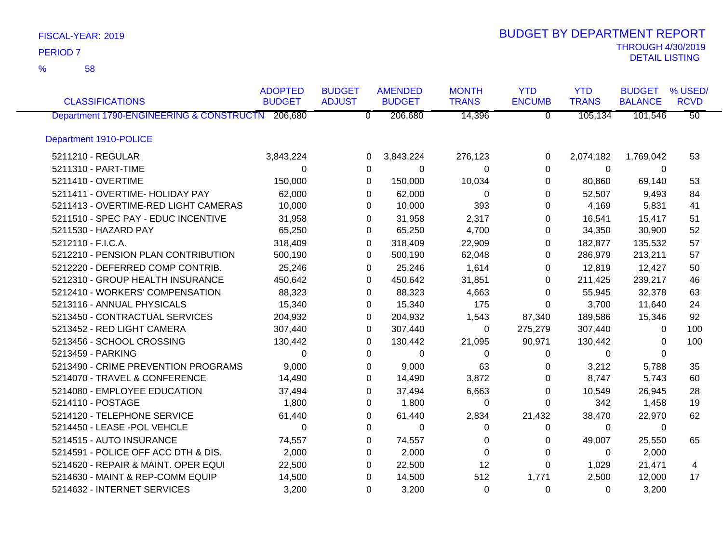58 %

| <b>CLASSIFICATIONS</b>                           | <b>ADOPTED</b><br><b>BUDGET</b> | <b>BUDGET</b><br><b>ADJUST</b> | <b>AMENDED</b><br><b>BUDGET</b> | <b>MONTH</b><br><b>TRANS</b> | <b>YTD</b><br><b>ENCUMB</b> | <b>YTD</b><br><b>TRANS</b> | <b>BUDGET</b><br><b>BALANCE</b> | % USED/<br><b>RCVD</b> |
|--------------------------------------------------|---------------------------------|--------------------------------|---------------------------------|------------------------------|-----------------------------|----------------------------|---------------------------------|------------------------|
| Department 1790-ENGINEERING & CONSTRUCTN 206,680 |                                 | $\overline{0}$                 | 206,680                         | 14,396                       | $\overline{0}$              | 105,134                    | 101,546                         | $\overline{50}$        |
| Department 1910-POLICE                           |                                 |                                |                                 |                              |                             |                            |                                 |                        |
| 5211210 - REGULAR                                | 3,843,224                       | 0                              | 3,843,224                       | 276,123                      | 0                           | 2,074,182                  | 1,769,042                       | 53                     |
| 5211310 - PART-TIME                              | $\Omega$                        | 0                              | 0                               | $\Omega$                     | 0                           | $\mathbf 0$                | $\Omega$                        |                        |
| 5211410 - OVERTIME                               | 150,000                         | 0                              | 150,000                         | 10,034                       | 0                           | 80,860                     | 69,140                          | 53                     |
| 5211411 - OVERTIME- HOLIDAY PAY                  | 62,000                          | 0                              | 62,000                          | 0                            | 0                           | 52,507                     | 9,493                           | 84                     |
| 5211413 - OVERTIME-RED LIGHT CAMERAS             | 10,000                          | 0                              | 10,000                          | 393                          | 0                           | 4,169                      | 5,831                           | 41                     |
| 5211510 - SPEC PAY - EDUC INCENTIVE              | 31,958                          | 0                              | 31,958                          | 2,317                        | 0                           | 16,541                     | 15,417                          | 51                     |
| 5211530 - HAZARD PAY                             | 65,250                          | 0                              | 65,250                          | 4,700                        | 0                           | 34,350                     | 30,900                          | 52                     |
| 5212110 - F.I.C.A.                               | 318,409                         | 0                              | 318,409                         | 22,909                       | 0                           | 182,877                    | 135,532                         | 57                     |
| 5212210 - PENSION PLAN CONTRIBUTION              | 500,190                         | 0                              | 500,190                         | 62,048                       | 0                           | 286,979                    | 213,211                         | 57                     |
| 5212220 - DEFERRED COMP CONTRIB.                 | 25,246                          | 0                              | 25,246                          | 1,614                        | 0                           | 12,819                     | 12,427                          | 50                     |
| 5212310 - GROUP HEALTH INSURANCE                 | 450,642                         | 0                              | 450,642                         | 31,851                       | 0                           | 211,425                    | 239,217                         | 46                     |
| 5212410 - WORKERS' COMPENSATION                  | 88,323                          | 0                              | 88,323                          | 4,663                        | 0                           | 55,945                     | 32,378                          | 63                     |
| 5213116 - ANNUAL PHYSICALS                       | 15,340                          | 0                              | 15,340                          | 175                          | 0                           | 3,700                      | 11,640                          | 24                     |
| 5213450 - CONTRACTUAL SERVICES                   | 204,932                         | 0                              | 204,932                         | 1,543                        | 87,340                      | 189,586                    | 15,346                          | 92                     |
| 5213452 - RED LIGHT CAMERA                       | 307,440                         | 0                              | 307,440                         | $\Omega$                     | 275,279                     | 307,440                    | 0                               | 100                    |
| 5213456 - SCHOOL CROSSING                        | 130,442                         | 0                              | 130,442                         | 21,095                       | 90,971                      | 130,442                    | 0                               | 100                    |
| 5213459 - PARKING                                | $\Omega$                        | 0                              | 0                               | $\Omega$                     | 0                           | 0                          | $\Omega$                        |                        |
| 5213490 - CRIME PREVENTION PROGRAMS              | 9,000                           | 0                              | 9,000                           | 63                           | 0                           | 3,212                      | 5,788                           | 35                     |
| 5214070 - TRAVEL & CONFERENCE                    | 14,490                          | 0                              | 14,490                          | 3,872                        | 0                           | 8,747                      | 5,743                           | 60                     |
| 5214080 - EMPLOYEE EDUCATION                     | 37,494                          | 0                              | 37,494                          | 6,663                        | 0                           | 10,549                     | 26,945                          | 28                     |
| 5214110 - POSTAGE                                | 1,800                           | 0                              | 1,800                           | 0                            | 0                           | 342                        | 1,458                           | 19                     |
| 5214120 - TELEPHONE SERVICE                      | 61,440                          | 0                              | 61,440                          | 2,834                        | 21,432                      | 38,470                     | 22,970                          | 62                     |
| 5214450 - LEASE -POL VEHCLE                      | $\Omega$                        | 0                              | 0                               | 0                            | 0                           | 0                          | 0                               |                        |
| 5214515 - AUTO INSURANCE                         | 74,557                          | 0                              | 74,557                          | 0                            | 0                           | 49,007                     | 25,550                          | 65                     |
| 5214591 - POLICE OFF ACC DTH & DIS.              | 2,000                           | 0                              | 2,000                           | 0                            | 0                           | 0                          | 2,000                           |                        |
| 5214620 - REPAIR & MAINT. OPER EQUI              | 22,500                          | 0                              | 22,500                          | 12                           | 0                           | 1,029                      | 21,471                          | 4                      |
| 5214630 - MAINT & REP-COMM EQUIP                 | 14,500                          | 0                              | 14,500                          | 512                          | 1,771                       | 2,500                      | 12,000                          | 17                     |
| 5214632 - INTERNET SERVICES                      | 3,200                           | 0                              | 3,200                           | $\Omega$                     | 0                           | 0                          | 3,200                           |                        |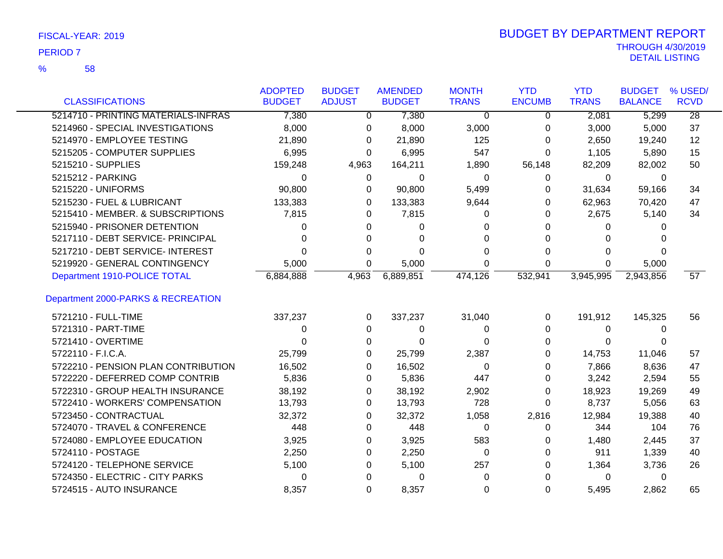58 %

|                                     | <b>ADOPTED</b> | <b>BUDGET</b> | <b>AMENDED</b> | <b>MONTH</b> | <b>YTD</b>    | <b>YTD</b>   | <b>BUDGET</b>  | % USED/         |
|-------------------------------------|----------------|---------------|----------------|--------------|---------------|--------------|----------------|-----------------|
| <b>CLASSIFICATIONS</b>              | <b>BUDGET</b>  | <b>ADJUST</b> | <b>BUDGET</b>  | <b>TRANS</b> | <b>ENCUMB</b> | <b>TRANS</b> | <b>BALANCE</b> | <b>RCVD</b>     |
| 5214710 - PRINTING MATERIALS-INFRAS | 7,380          | 0             | 7,380          | 0            | 0             | 2,081        | 5,299          | $\overline{28}$ |
| 5214960 - SPECIAL INVESTIGATIONS    | 8,000          | 0             | 8,000          | 3,000        | 0             | 3,000        | 5,000          | 37              |
| 5214970 - EMPLOYEE TESTING          | 21,890         | 0             | 21,890         | 125          | 0             | 2,650        | 19,240         | 12              |
| 5215205 - COMPUTER SUPPLIES         | 6,995          | 0             | 6,995          | 547          | 0             | 1,105        | 5,890          | 15              |
| 5215210 - SUPPLIES                  | 159,248        | 4,963         | 164,211        | 1,890        | 56,148        | 82,209       | 82,002         | 50              |
| 5215212 - PARKING                   | 0              | 0             | 0              | 0            | 0             | 0            | 0              |                 |
| 5215220 - UNIFORMS                  | 90,800         | 0             | 90,800         | 5,499        | 0             | 31,634       | 59,166         | 34              |
| 5215230 - FUEL & LUBRICANT          | 133,383        | 0             | 133,383        | 9,644        | 0             | 62,963       | 70,420         | 47              |
| 5215410 - MEMBER. & SUBSCRIPTIONS   | 7,815          | 0             | 7,815          | O            | 0             | 2,675        | 5,140          | 34              |
| 5215940 - PRISONER DETENTION        | 0              | 0             | 0              | 0            | 0             | 0            | 0              |                 |
| 5217110 - DEBT SERVICE- PRINCIPAL   | 0              | 0             | 0              | 0            | 0             | 0            | $\Omega$       |                 |
| 5217210 - DEBT SERVICE- INTEREST    | 0              | 0             | 0              | 0            | 0             | 0            | 0              |                 |
| 5219920 - GENERAL CONTINGENCY       | 5,000          | 0             | 5,000          | 0            | 0             | $\Omega$     | 5,000          |                 |
| Department 1910-POLICE TOTAL        | 6,884,888      | 4,963         | 6,889,851      | 474,126      | 532,941       | 3,945,995    | 2,943,856      | 57              |
| Department 2000-PARKS & RECREATION  |                |               |                |              |               |              |                |                 |
| 5721210 - FULL-TIME                 | 337,237        | 0             | 337,237        | 31,040       | 0             | 191,912      | 145,325        | 56              |
| 5721310 - PART-TIME                 | 0              | 0             | 0              | 0            | 0             | 0            | 0              |                 |
| 5721410 - OVERTIME                  | 0              | 0             | 0              | 0            | 0             | 0            | 0              |                 |
| 5722110 - F.I.C.A.                  | 25,799         | 0             | 25,799         | 2,387        | 0             | 14,753       | 11,046         | 57              |
| 5722210 - PENSION PLAN CONTRIBUTION | 16,502         | 0             | 16,502         | 0            | 0             | 7,866        | 8,636          | 47              |
| 5722220 - DEFERRED COMP CONTRIB     | 5,836          | 0             | 5,836          | 447          | 0             | 3,242        | 2,594          | 55              |
| 5722310 - GROUP HEALTH INSURANCE    | 38,192         | 0             | 38,192         | 2,902        | 0             | 18,923       | 19,269         | 49              |
| 5722410 - WORKERS' COMPENSATION     | 13,793         | 0             | 13,793         | 728          | 0             | 8,737        | 5,056          | 63              |
| 5723450 - CONTRACTUAL               | 32,372         | 0             | 32,372         | 1,058        | 2,816         | 12,984       | 19,388         | 40              |
| 5724070 - TRAVEL & CONFERENCE       | 448            | 0             | 448            | 0            | 0             | 344          | 104            | 76              |
| 5724080 - EMPLOYEE EDUCATION        | 3,925          | 0             | 3,925          | 583          | 0             | 1,480        | 2,445          | 37              |
| 5724110 - POSTAGE                   | 2,250          | 0             | 2,250          | 0            | 0             | 911          | 1,339          | 40              |
| 5724120 - TELEPHONE SERVICE         | 5,100          | 0             | 5,100          | 257          | 0             | 1,364        | 3,736          | 26              |
| 5724350 - ELECTRIC - CITY PARKS     | 0              | 0             | 0              | 0            | 0             | 0            | 0              |                 |
| 5724515 - AUTO INSURANCE            | 8,357          | 0             | 8,357          | 0            | 0             | 5,495        | 2,862          | 65              |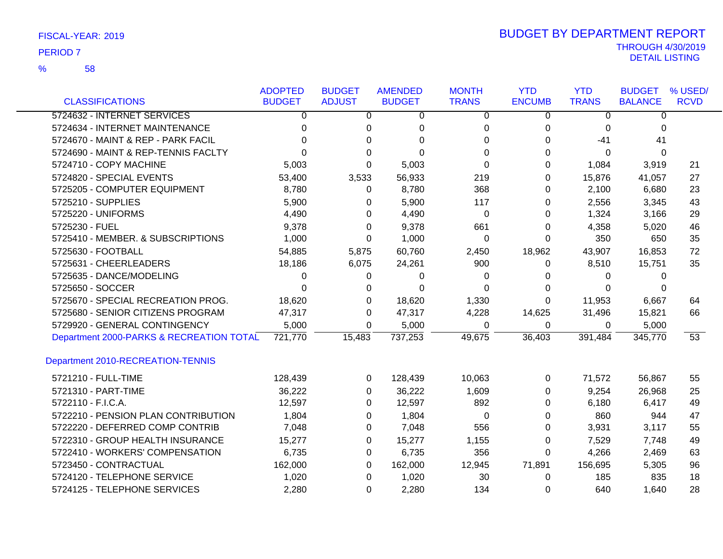|                                          | <b>ADOPTED</b> | <b>BUDGET</b> | <b>AMENDED</b> | <b>MONTH</b>   | <b>YTD</b>    | <b>YTD</b>   | <b>BUDGET</b>  | % USED/         |
|------------------------------------------|----------------|---------------|----------------|----------------|---------------|--------------|----------------|-----------------|
| <b>CLASSIFICATIONS</b>                   | <b>BUDGET</b>  | <b>ADJUST</b> | <b>BUDGET</b>  | <b>TRANS</b>   | <b>ENCUMB</b> | <b>TRANS</b> | <b>BALANCE</b> | <b>RCVD</b>     |
| 5724632 - INTERNET SERVICES              | 0              | 0             | 0              | $\overline{0}$ | 0             | 0            | 0              |                 |
| 5724634 - INTERNET MAINTENANCE           | 0              | 0             | 0              | 0              | 0             | 0            | $\Omega$       |                 |
| 5724670 - MAINT & REP - PARK FACIL       | 0              | $\Omega$      | $\Omega$       | $\Omega$       | $\Omega$      | $-41$        | 41             |                 |
| 5724690 - MAINT & REP-TENNIS FACLTY      | ∩              | $\Omega$      | $\Omega$       | $\Omega$       | 0             | 0            | $\mathbf{0}$   |                 |
| 5724710 - COPY MACHINE                   | 5,003          | $\Omega$      | 5,003          | 0              | 0             | 1,084        | 3,919          | 21              |
| 5724820 - SPECIAL EVENTS                 | 53,400         | 3,533         | 56,933         | 219            | $\Omega$      | 15,876       | 41,057         | 27              |
| 5725205 - COMPUTER EQUIPMENT             | 8,780          | $\Omega$      | 8,780          | 368            | 0             | 2,100        | 6,680          | 23              |
| 5725210 - SUPPLIES                       | 5,900          | 0             | 5,900          | 117            | 0             | 2,556        | 3,345          | 43              |
| 5725220 - UNIFORMS                       | 4,490          | 0             | 4,490          | 0              | 0             | 1,324        | 3,166          | 29              |
| 5725230 - FUEL                           | 9,378          | 0             | 9,378          | 661            | 0             | 4,358        | 5,020          | 46              |
| 5725410 - MEMBER. & SUBSCRIPTIONS        | 1,000          | $\Omega$      | 1,000          | 0              | 0             | 350          | 650            | 35              |
| 5725630 - FOOTBALL                       | 54,885         | 5,875         | 60,760         | 2,450          | 18,962        | 43,907       | 16,853         | 72              |
| 5725631 - CHEERLEADERS                   | 18,186         | 6,075         | 24,261         | 900            | 0             | 8,510        | 15,751         | 35              |
| 5725635 - DANCE/MODELING                 | $\Omega$       | 0             | 0              | 0              | 0             | 0            | 0              |                 |
| 5725650 - SOCCER                         | 0              | $\Omega$      | $\Omega$       | $\Omega$       | 0             | $\Omega$     | 0              |                 |
| 5725670 - SPECIAL RECREATION PROG.       | 18,620         | 0             | 18,620         | 1,330          | 0             | 11,953       | 6,667          | 64              |
| 5725680 - SENIOR CITIZENS PROGRAM        | 47,317         | 0             | 47,317         | 4,228          | 14,625        | 31,496       | 15,821         | 66              |
| 5729920 - GENERAL CONTINGENCY            | 5,000          | 0             | 5,000          | 0              | 0             | 0            | 5,000          |                 |
| Department 2000-PARKS & RECREATION TOTAL | 721,770        | 15,483        | 737,253        | 49,675         | 36,403        | 391,484      | 345,770        | $\overline{53}$ |
| Department 2010-RECREATION-TENNIS        |                |               |                |                |               |              |                |                 |
| 5721210 - FULL-TIME                      | 128,439        | 0             | 128,439        | 10,063         | 0             | 71,572       | 56,867         | 55              |
| 5721310 - PART-TIME                      | 36,222         | 0             | 36,222         | 1,609          | 0             | 9,254        | 26,968         | 25              |
| 5722110 - F.I.C.A.                       | 12,597         | 0             | 12,597         | 892            | 0             | 6,180        | 6,417          | 49              |
| 5722210 - PENSION PLAN CONTRIBUTION      | 1,804          | $\Omega$      | 1,804          | 0              | 0             | 860          | 944            | 47              |
| 5722220 - DEFERRED COMP CONTRIB          | 7,048          | 0             | 7,048          | 556            | 0             | 3,931        | 3,117          | 55              |
| 5722310 - GROUP HEALTH INSURANCE         | 15,277         | 0             | 15,277         | 1,155          | 0             | 7,529        | 7,748          | 49              |
| 5722410 - WORKERS' COMPENSATION          | 6,735          | $\Omega$      | 6,735          | 356            | 0             | 4,266        | 2,469          | 63              |
| 5723450 - CONTRACTUAL                    | 162,000        | $\Omega$      | 162,000        | 12,945         | 71,891        | 156,695      | 5,305          | 96              |
| 5724120 - TELEPHONE SERVICE              | 1,020          | 0             | 1,020          | 30             | 0             | 185          | 835            | 18              |
| 5724125 - TELEPHONE SERVICES             | 2,280          | $\Omega$      | 2,280          | 134            | $\Omega$      | 640          | 1,640          | 28              |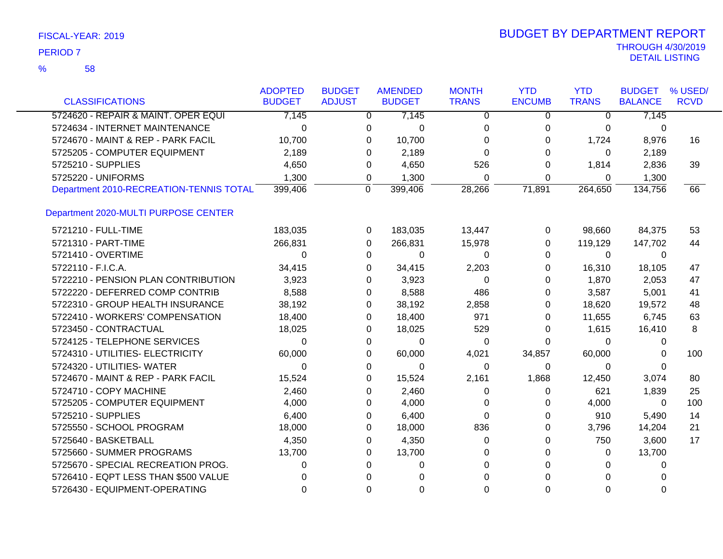| FISCAL-YEAR: 2019 |  |  |
|-------------------|--|--|
|-------------------|--|--|

| <b>CLASSIFICATIONS</b>                  | <b>ADOPTED</b><br><b>BUDGET</b> | <b>BUDGET</b> | <b>AMENDED</b><br><b>BUDGET</b> | <b>MONTH</b><br><b>TRANS</b> | <b>YTD</b><br><b>ENCUMB</b> | <b>YTD</b><br><b>TRANS</b> | <b>BUDGET</b><br><b>BALANCE</b> | % USED/<br><b>RCVD</b> |
|-----------------------------------------|---------------------------------|---------------|---------------------------------|------------------------------|-----------------------------|----------------------------|---------------------------------|------------------------|
|                                         |                                 | <b>ADJUST</b> |                                 |                              |                             |                            |                                 |                        |
| 5724620 - REPAIR & MAINT. OPER EQUI     | 7,145                           |               | 7,145<br>$\overline{0}$         | $\overline{0}$               | $\overline{0}$              | $\overline{0}$             | 7,145                           |                        |
| 5724634 - INTERNET MAINTENANCE          | $\Omega$                        | 0             | $\Omega$                        | $\Omega$                     | 0                           | $\Omega$                   | 0                               |                        |
| 5724670 - MAINT & REP - PARK FACIL      | 10,700                          |               | 10,700<br>0                     | 0                            | 0                           | 1,724                      | 8,976                           | 16                     |
| 5725205 - COMPUTER EQUIPMENT            | 2,189                           |               | 2,189<br>0                      | $\Omega$                     | 0                           | $\Omega$                   | 2,189                           |                        |
| 5725210 - SUPPLIES                      | 4,650                           | 0             | 4,650                           | 526                          | $\Omega$                    | 1,814                      | 2,836                           | 39                     |
| 5725220 - UNIFORMS                      | 1,300                           | 0             | 1,300                           | $\Omega$                     | $\mathbf 0$                 | $\Omega$                   | 1,300                           |                        |
| Department 2010-RECREATION-TENNIS TOTAL | 399,406                         | $\Omega$      | 399,406                         | 28,266                       | 71,891                      | 264,650                    | 134,756                         | 66                     |
| Department 2020-MULTI PURPOSE CENTER    |                                 |               |                                 |                              |                             |                            |                                 |                        |
| 5721210 - FULL-TIME                     | 183,035                         |               | 183,035<br>0                    | 13,447                       | 0                           | 98,660                     | 84,375                          | 53                     |
| 5721310 - PART-TIME                     | 266,831                         | 0             | 266,831                         | 15,978                       | 0                           | 119,129                    | 147,702                         | 44                     |
| 5721410 - OVERTIME                      | $\Omega$                        | 0             | $\Omega$                        | $\Omega$                     | 0                           | $\Omega$                   | $\Omega$                        |                        |
| 5722110 - F.I.C.A.                      | 34,415                          |               | 0<br>34,415                     | 2,203                        | 0                           | 16,310                     | 18,105                          | 47                     |
| 5722210 - PENSION PLAN CONTRIBUTION     | 3,923                           | 0             | 3,923                           | 0                            | 0                           | 1,870                      | 2,053                           | 47                     |
| 5722220 - DEFERRED COMP CONTRIB         | 8,588                           |               | 8,588<br>0                      | 486                          | 0                           | 3,587                      | 5,001                           | 41                     |
| 5722310 - GROUP HEALTH INSURANCE        | 38,192                          |               | 38,192<br>0                     | 2,858                        | 0                           | 18,620                     | 19,572                          | 48                     |
| 5722410 - WORKERS' COMPENSATION         | 18,400                          |               | 18,400<br>0                     | 971                          | 0                           | 11,655                     | 6,745                           | 63                     |
| 5723450 - CONTRACTUAL                   | 18,025                          |               | 18,025<br>0                     | 529                          | 0                           | 1,615                      | 16,410                          | 8                      |
| 5724125 - TELEPHONE SERVICES            | $\Omega$                        |               | 0<br>0                          | 0                            | 0                           | $\Omega$                   | 0                               |                        |
| 5724310 - UTILITIES- ELECTRICITY        | 60,000                          |               | 60,000<br>0                     | 4,021                        | 34,857                      | 60,000                     | 0                               | 100                    |
| 5724320 - UTILITIES- WATER              | $\Omega$                        |               | 0<br>0                          | 0                            | 0                           | $\Omega$                   | 0                               |                        |
| 5724670 - MAINT & REP - PARK FACIL      | 15,524                          |               | 0<br>15,524                     | 2,161                        | 1,868                       | 12,450                     | 3,074                           | 80                     |
| 5724710 - COPY MACHINE                  | 2,460                           |               | 2,460<br>0                      | 0                            | 0                           | 621                        | 1,839                           | 25                     |
| 5725205 - COMPUTER EQUIPMENT            | 4,000                           |               | 4,000<br>0                      | 0                            | 0                           | 4,000                      | 0                               | 100                    |
| 5725210 - SUPPLIES                      | 6,400                           |               | 6,400<br>0                      | $\Omega$                     | 0                           | 910                        | 5,490                           | 14                     |
| 5725550 - SCHOOL PROGRAM                | 18,000                          |               | 18,000<br>0                     | 836                          | 0                           | 3,796                      | 14,204                          | 21                     |
| 5725640 - BASKETBALL                    | 4,350                           |               | 4,350<br>0                      | 0                            | 0                           | 750                        | 3,600                           | 17                     |
| 5725660 - SUMMER PROGRAMS               | 13,700                          |               | 13,700<br>0                     | 0                            | 0                           | 0                          | 13,700                          |                        |
| 5725670 - SPECIAL RECREATION PROG.      | 0                               |               | 0<br>0                          | 0                            | 0                           | 0                          | 0                               |                        |
| 5726410 - EQPT LESS THAN \$500 VALUE    | 0                               | 0             | 0                               | 0                            |                             | $\Omega$                   | 0                               |                        |
| 5726430 - EQUIPMENT-OPERATING           | 0                               | 0             | 0                               | 0                            | 0                           | $\Omega$                   | 0                               |                        |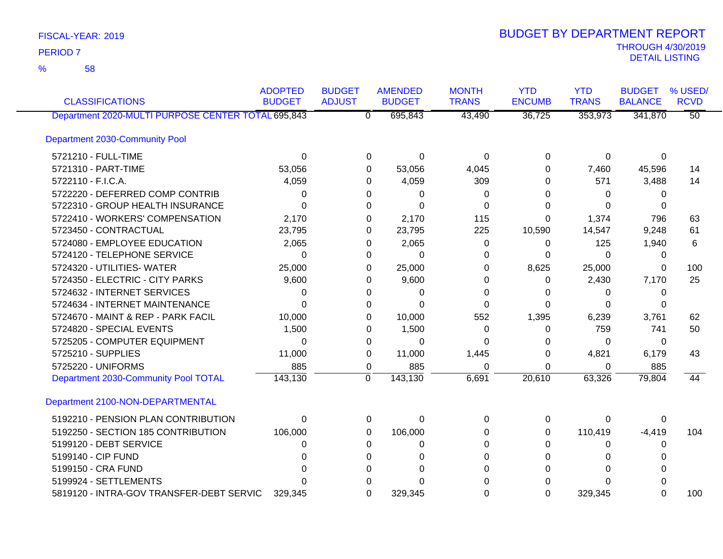58 %

| <b>CLASSIFICATIONS</b>                             | <b>ADOPTED</b><br><b>BUDGET</b> | <b>BUDGET</b><br><b>ADJUST</b> | <b>AMENDED</b><br><b>BUDGET</b> | <b>MONTH</b><br><b>TRANS</b> | <b>YTD</b><br><b>ENCUMB</b> | <b>YTD</b><br><b>TRANS</b> | <b>BUDGET</b><br><b>BALANCE</b> | % USED/<br><b>RCVD</b> |
|----------------------------------------------------|---------------------------------|--------------------------------|---------------------------------|------------------------------|-----------------------------|----------------------------|---------------------------------|------------------------|
| Department 2020-MULTI PURPOSE CENTER TOTAL 695,843 |                                 |                                | 695,843<br>$\overline{0}$       | 43,490                       | 36,725                      | 353,973                    | 341,870                         | $\overline{50}$        |
| <b>Department 2030-Community Pool</b>              |                                 |                                |                                 |                              |                             |                            |                                 |                        |
| 5721210 - FULL-TIME                                | $\Omega$                        |                                | 0<br>0                          | 0                            | 0                           | 0                          | 0                               |                        |
| 5721310 - PART-TIME                                | 53,056                          |                                | 53,056<br>0                     | 4,045                        | 0                           | 7,460                      | 45,596                          | 14                     |
| 5722110 - F.I.C.A.                                 | 4,059                           |                                | 4,059<br>0                      | 309                          | 0                           | 571                        | 3,488                           | 14                     |
| 5722220 - DEFERRED COMP CONTRIB                    | 0                               |                                | 0<br>0                          | 0                            | 0                           | 0                          | 0                               |                        |
| 5722310 - GROUP HEALTH INSURANCE                   | 0                               |                                | $\Omega$<br>0                   | 0                            | 0                           | 0                          | 0                               |                        |
| 5722410 - WORKERS' COMPENSATION                    | 2,170                           |                                | 2,170<br>0                      | 115                          | 0                           | 1,374                      | 796                             | 63                     |
| 5723450 - CONTRACTUAL                              | 23,795                          |                                | 23,795<br>0                     | 225                          | 10,590                      | 14,547                     | 9,248                           | 61                     |
| 5724080 - EMPLOYEE EDUCATION                       | 2,065                           |                                | 2,065<br>0                      | 0                            | 0                           | 125                        | 1,940                           | 6                      |
| 5724120 - TELEPHONE SERVICE                        | $\Omega$                        |                                | $\Omega$<br>0                   | 0                            | 0                           | $\Omega$                   | 0                               |                        |
| 5724320 - UTILITIES- WATER                         | 25,000                          |                                | 25,000<br>0                     | 0                            | 8,625                       | 25,000                     | 0                               | 100                    |
| 5724350 - ELECTRIC - CITY PARKS                    | 9,600                           |                                | 9,600<br>0                      | 0                            | 0                           | 2,430                      | 7,170                           | 25                     |
| 5724632 - INTERNET SERVICES                        | 0                               |                                | $\Omega$<br>0                   | 0                            | 0                           | $\Omega$                   | 0                               |                        |
| 5724634 - INTERNET MAINTENANCE                     | 0                               |                                | 0<br>0                          | 0                            | 0                           | 0                          | $\Omega$                        |                        |
| 5724670 - MAINT & REP - PARK FACIL                 | 10,000                          |                                | 10,000<br>0                     | 552                          | 1,395                       | 6,239                      | 3,761                           | 62                     |
| 5724820 - SPECIAL EVENTS                           | 1,500                           |                                | 1,500<br>0                      | 0                            | 0                           | 759                        | 741                             | 50                     |
| 5725205 - COMPUTER EQUIPMENT                       | 0                               |                                | $\Omega$<br>0                   | 0                            | 0                           | 0                          | 0                               |                        |
| 5725210 - SUPPLIES                                 | 11,000                          |                                | 11,000<br>0                     | 1,445                        | 0                           | 4,821                      | 6,179                           | 43                     |
| 5725220 - UNIFORMS                                 | 885                             |                                | 885<br>0                        | 0                            | 0                           | 0                          | 885                             |                        |
| Department 2030-Community Pool TOTAL               | 143,130                         | $\mathbf 0$                    | 143,130                         | 6,691                        | 20,610                      | 63,326                     | 79,804                          | 44                     |
| Department 2100-NON-DEPARTMENTAL                   |                                 |                                |                                 |                              |                             |                            |                                 |                        |
| 5192210 - PENSION PLAN CONTRIBUTION                | 0                               |                                | 0<br>0                          | 0                            | 0                           | 0                          | 0                               |                        |
| 5192250 - SECTION 185 CONTRIBUTION                 | 106,000                         |                                | 106,000<br>0                    | 0                            | 0                           | 110,419                    | $-4,419$                        | 104                    |
| 5199120 - DEBT SERVICE                             | 0                               |                                | 0<br>0                          | 0                            | 0                           | 0                          | 0                               |                        |
| 5199140 - CIP FUND                                 | O                               |                                | 0<br>0                          | 0                            |                             | 0                          |                                 |                        |
| 5199150 - CRA FUND                                 |                                 |                                | 0<br>0                          | 0                            | 0                           | 0                          |                                 |                        |
| 5199924 - SETTLEMENTS                              |                                 |                                |                                 |                              |                             |                            |                                 |                        |
| 5819120 - INTRA-GOV TRANSFER-DEBT SERVIC           | 329.345                         |                                | 0<br>329,345                    | $\Omega$                     | $\Omega$                    | 329,345                    | 0                               | 100                    |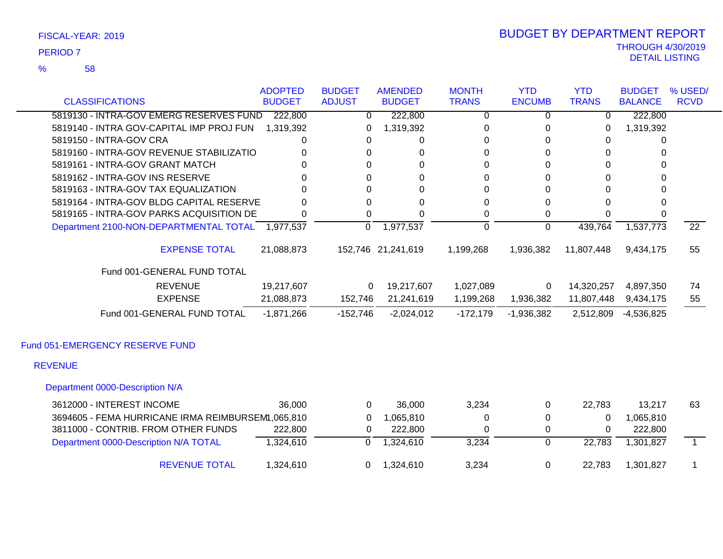58 %

### THROUGH 4/30/2019<br>DETAIL LISTING DETAIL LISTING PERIOD <sup>7</sup> BUDGET BY DEPARTMENT REPORT

|                                                   | <b>ADOPTED</b> | <b>BUDGET</b> | <b>AMENDED</b>     | <b>MONTH</b> | <b>YTD</b>    | <b>YTD</b>   | <b>BUDGET</b>  | % USED/         |
|---------------------------------------------------|----------------|---------------|--------------------|--------------|---------------|--------------|----------------|-----------------|
| <b>CLASSIFICATIONS</b>                            | <b>BUDGET</b>  | <b>ADJUST</b> | <b>BUDGET</b>      | <b>TRANS</b> | <b>ENCUMB</b> | <b>TRANS</b> | <b>BALANCE</b> | <b>RCVD</b>     |
| 5819130 - INTRA-GOV EMERG RESERVES FUND           | 222,800        | 0             | 222,800            | 0            | 0             | 0            | 222,800        |                 |
| 5819140 - INTRA GOV-CAPITAL IMP PROJ FUN          | 1,319,392      | 0             | 1,319,392          | 0            | 0             | 0            | 1,319,392      |                 |
| 5819150 - INTRA-GOV CRA                           | 0              | 0             | 0                  | 0            | 0             | 0            | 0              |                 |
| 5819160 - INTRA-GOV REVENUE STABILIZATIO          |                | 0             | 0                  | 0            | 0             | 0            | 0              |                 |
| 5819161 - INTRA-GOV GRANT MATCH                   | <sup>0</sup>   | $\Omega$      | 0                  | 0            | 0             | $\Omega$     | 0              |                 |
| 5819162 - INTRA-GOV INS RESERVE                   |                | 0             | 0                  | 0            | $\Omega$      | $\Omega$     | 0              |                 |
| 5819163 - INTRA-GOV TAX EQUALIZATION              |                | $\Omega$      | 0                  | 0            | 0             | $\Omega$     | $\Omega$       |                 |
| 5819164 - INTRA-GOV BLDG CAPITAL RESERVE          |                | 0             | 0                  | 0            | 0             | 0            | 0              |                 |
| 5819165 - INTRA-GOV PARKS ACQUISITION DE          | 0              | $\Omega$      | 0                  | 0            | 0             | 0            | 0              |                 |
| Department 2100-NON-DEPARTMENTAL TOTAL 1,977,537  |                | $\mathbf 0$   | 1,977,537          | 0            | 0             | 439,764      | 1,537,773      | $\overline{22}$ |
| <b>EXPENSE TOTAL</b>                              | 21,088,873     |               | 152,746 21,241,619 | 1,199,268    | 1,936,382     | 11,807,448   | 9,434,175      | 55              |
| Fund 001-GENERAL FUND TOTAL                       |                |               |                    |              |               |              |                |                 |
| <b>REVENUE</b>                                    | 19,217,607     | $\Omega$      | 19,217,607         | 1,027,089    | 0             | 14,320,257   | 4,897,350      | 74              |
| <b>EXPENSE</b>                                    | 21,088,873     | 152,746       | 21,241,619         | 1,199,268    | 1,936,382     | 11,807,448   | 9,434,175      | 55              |
| Fund 001-GENERAL FUND TOTAL                       | $-1,871,266$   | $-152,746$    | $-2,024,012$       | $-172,179$   | $-1,936,382$  | 2,512,809    | $-4,536,825$   |                 |
| Fund 051-EMERGENCY RESERVE FUND                   |                |               |                    |              |               |              |                |                 |
| <b>REVENUE</b>                                    |                |               |                    |              |               |              |                |                 |
| Department 0000-Description N/A                   |                |               |                    |              |               |              |                |                 |
| 3612000 - INTEREST INCOME                         | 36,000         | $\mathbf 0$   | 36,000             | 3,234        | 0             | 22,783       | 13,217         | 63              |
| 3694605 - FEMA HURRICANE IRMA REIMBURSEM1,065,810 |                | 0             | 1,065,810          | 0            | 0             | $\Omega$     | 1,065,810      |                 |
| 3811000 - CONTRIB. FROM OTHER FUNDS               | 222,800        | 0             | 222,800            | 0            | 0             | 0            | 222,800        |                 |
| Department 0000-Description N/A TOTAL             | 1,324,610      | $\mathbf{0}$  | 1,324,610          | 3,234        | $\Omega$      | 22,783       | 1,301,827      | $\sim$          |

REVENUE TOTAL 1,324,610 0 1,324,610 3,234 0 22,783 1,301,827 1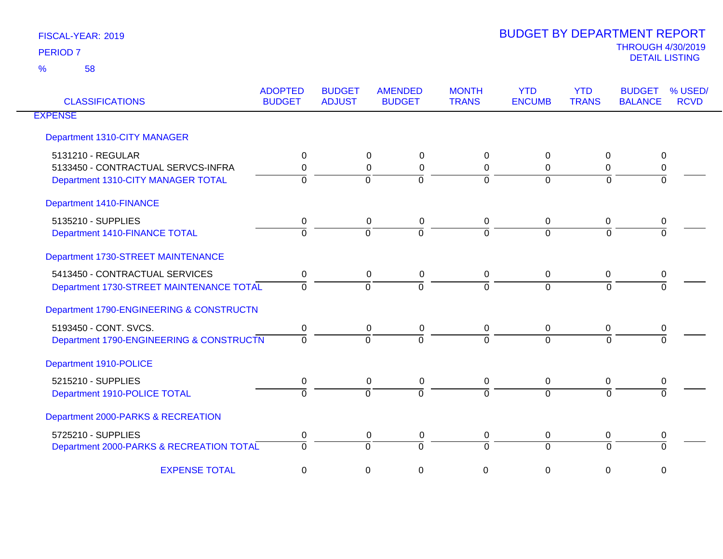| <b>CLASSIFICATIONS</b>                   | <b>ADOPTED</b><br><b>BUDGET</b> | <b>BUDGET</b><br><b>ADJUST</b> | <b>AMENDED</b><br><b>BUDGET</b> | <b>MONTH</b><br><b>TRANS</b> | <b>YTD</b><br><b>ENCUMB</b> | <b>YTD</b><br><b>TRANS</b> | <b>BUDGET</b><br><b>BALANCE</b> | % USED/<br><b>RCVD</b> |
|------------------------------------------|---------------------------------|--------------------------------|---------------------------------|------------------------------|-----------------------------|----------------------------|---------------------------------|------------------------|
| <b>EXPENSE</b>                           |                                 |                                |                                 |                              |                             |                            |                                 |                        |
| Department 1310-CITY MANAGER             |                                 |                                |                                 |                              |                             |                            |                                 |                        |
| 5131210 - REGULAR                        | 0                               |                                | $\mathbf 0$<br>$\Omega$         | $\mathbf 0$                  | $\mathbf{0}$                | 0                          | 0                               |                        |
| 5133450 - CONTRACTUAL SERVCS-INFRA       | 0                               |                                | $\Omega$<br>0                   | 0                            | $\Omega$                    | 0                          | 0                               |                        |
| Department 1310-CITY MANAGER TOTAL       | $\Omega$                        |                                | $\Omega$<br>$\Omega$            | $\overline{0}$               | $\Omega$                    | $\Omega$                   | $\Omega$                        |                        |
| Department 1410-FINANCE                  |                                 |                                |                                 |                              |                             |                            |                                 |                        |
| 5135210 - SUPPLIES                       | 0                               |                                | 0<br>$\mathbf 0$                | 0                            | $\mathbf{0}$                | 0                          | 0                               |                        |
| Department 1410-FINANCE TOTAL            | $\Omega$                        |                                | $\Omega$<br>$\Omega$            | $\Omega$                     | $\Omega$                    | $\Omega$                   | $\Omega$                        |                        |
| Department 1730-STREET MAINTENANCE       |                                 |                                |                                 |                              |                             |                            |                                 |                        |
| 5413450 - CONTRACTUAL SERVICES           | 0                               |                                | 0<br>0                          | 0                            | $\mathbf{0}$                | 0                          | 0                               |                        |
| Department 1730-STREET MAINTENANCE TOTAL | $\Omega$                        |                                | $\Omega$<br>$\Omega$            | $\overline{0}$               | $\Omega$                    | $\Omega$                   |                                 |                        |
| Department 1790-ENGINEERING & CONSTRUCTN |                                 |                                |                                 |                              |                             |                            |                                 |                        |
| 5193450 - CONT. SVCS.                    | 0                               |                                | 0<br>$\mathbf 0$                | 0                            | 0                           | 0                          | 0                               |                        |
| Department 1790-ENGINEERING & CONSTRUCTN | $\Omega$                        |                                | $\Omega$<br>$\Omega$            | $\Omega$                     | $\Omega$                    | $\Omega$                   |                                 |                        |
| Department 1910-POLICE                   |                                 |                                |                                 |                              |                             |                            |                                 |                        |
| 5215210 - SUPPLIES                       | 0                               |                                | 0<br>$\pmb{0}$                  | 0                            | $\overline{0}$              | 0                          | 0                               |                        |
| Department 1910-POLICE TOTAL             | $\Omega$                        |                                | $\Omega$<br>$\Omega$            | $\Omega$                     | $\Omega$                    | $\Omega$                   | $\Omega$                        |                        |
| Department 2000-PARKS & RECREATION       |                                 |                                |                                 |                              |                             |                            |                                 |                        |
| 5725210 - SUPPLIES                       | 0                               |                                | 0<br>0                          | 0                            | $\mathbf 0$                 | 0                          | 0                               |                        |
| Department 2000-PARKS & RECREATION TOTAL | $\Omega$                        |                                | $\Omega$<br>$\Omega$            | $\overline{0}$               | $\Omega$                    | $\Omega$                   | $\Omega$                        |                        |
| <b>EXPENSE TOTAL</b>                     | 0                               |                                | 0<br>0                          | 0                            | 0                           | 0                          | 0                               |                        |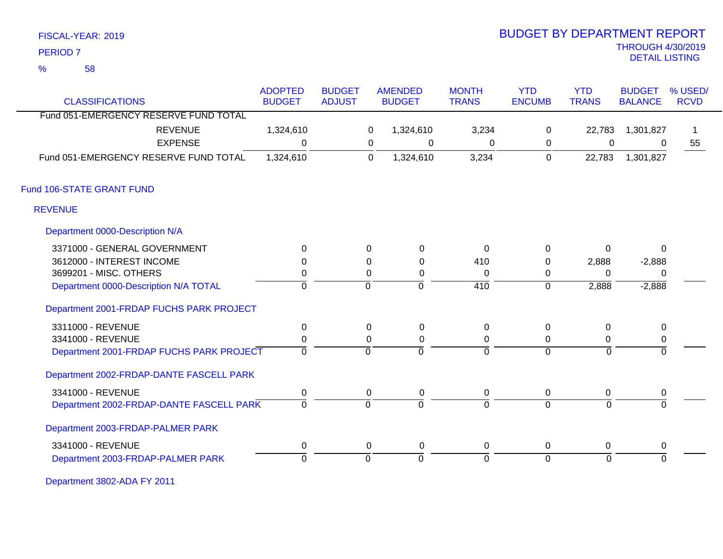| FISCAL-YEAR: 2019 |  |
|-------------------|--|
|                   |  |

# THROUGH 4/30/2019 DETAIL LISTING PERIOD <sup>7</sup> BUDGET BY DEPARTMENT REPORT

| <b>CLASSIFICATIONS</b>                   | <b>ADOPTED</b><br><b>BUDGET</b> | <b>BUDGET</b><br><b>ADJUST</b> |             | <b>AMENDED</b><br><b>BUDGET</b> | <b>MONTH</b><br><b>TRANS</b> | <b>YTD</b><br><b>ENCUMB</b> | <b>YTD</b><br><b>TRANS</b> | <b>BUDGET</b><br><b>BALANCE</b> | % USED/<br><b>RCVD</b> |
|------------------------------------------|---------------------------------|--------------------------------|-------------|---------------------------------|------------------------------|-----------------------------|----------------------------|---------------------------------|------------------------|
| Fund 051-EMERGENCY RESERVE FUND TOTAL    |                                 |                                |             |                                 |                              |                             |                            |                                 |                        |
|                                          |                                 |                                |             |                                 |                              |                             |                            |                                 |                        |
| <b>REVENUE</b>                           | 1,324,610                       |                                | 0           | 1,324,610                       | 3,234                        | $\mathsf 0$                 | 22,783                     | 1,301,827                       |                        |
| <b>EXPENSE</b>                           | $\Omega$                        |                                | 0           | 0                               | $\Omega$                     | 0                           | 0                          | $\overline{0}$                  | 55                     |
| Fund 051-EMERGENCY RESERVE FUND TOTAL    | 1,324,610                       |                                | $\mathbf 0$ | 1,324,610                       | 3,234                        | $\mathbf 0$                 | 22,783                     | 1,301,827                       |                        |
| Fund 106-STATE GRANT FUND                |                                 |                                |             |                                 |                              |                             |                            |                                 |                        |
| <b>REVENUE</b>                           |                                 |                                |             |                                 |                              |                             |                            |                                 |                        |
| Department 0000-Description N/A          |                                 |                                |             |                                 |                              |                             |                            |                                 |                        |
| 3371000 - GENERAL GOVERNMENT             | $\Omega$                        |                                | 0           | $\mathbf 0$                     | $\Omega$                     | 0                           | 0                          | $\mathbf{0}$                    |                        |
| 3612000 - INTEREST INCOME                | $\Omega$                        |                                | $\Omega$    | $\Omega$                        | 410                          | $\Omega$                    | 2,888                      | $-2,888$                        |                        |
| 3699201 - MISC. OTHERS                   | 0                               |                                | 0           | 0                               | $\Omega$                     | 0                           | $\Omega$                   | 0                               |                        |
| Department 0000-Description N/A TOTAL    | $\overline{0}$                  |                                | $\mathbf 0$ | ō                               | $\overline{410}$             | $\overline{0}$              | 2,888                      | $-2,888$                        |                        |
| Department 2001-FRDAP FUCHS PARK PROJECT |                                 |                                |             |                                 |                              |                             |                            |                                 |                        |
| 3311000 - REVENUE                        | $\mathbf 0$                     |                                | 0           | $\mathbf 0$                     | 0                            | $\mathbf 0$                 | 0                          | $\mathbf 0$                     |                        |
| 3341000 - REVENUE                        | $\mathbf 0$                     |                                | 0           | $\mathbf 0$                     | 0                            | 0                           | 0                          | $\mathbf 0$                     |                        |
| Department 2001-FRDAP FUCHS PARK PROJECT | $\overline{0}$                  |                                | $\mathbf 0$ | $\overline{0}$                  | ō                            | $\overline{0}$              | $\overline{0}$             | $\mathbf 0$                     |                        |
| Department 2002-FRDAP-DANTE FASCELL PARK |                                 |                                |             |                                 |                              |                             |                            |                                 |                        |
| 3341000 - REVENUE                        | 0                               |                                | 0           | 0                               | 0                            | 0                           | 0                          | 0                               |                        |
| Department 2002-FRDAP-DANTE FASCELL PARK | $\Omega$                        |                                | $\Omega$    | $\Omega$                        | $\Omega$                     | $\overline{0}$              | $\Omega$                   | $\Omega$                        |                        |
| Department 2003-FRDAP-PALMER PARK        |                                 |                                |             |                                 |                              |                             |                            |                                 |                        |
| 3341000 - REVENUE                        | $\pmb{0}$                       |                                | $\mathbf 0$ | $\mathbf 0$                     | $\mathbf 0$                  | 0                           | 0                          | $\pmb{0}$                       |                        |
| Department 2003-FRDAP-PALMER PARK        | $\Omega$                        |                                | $\Omega$    | $\Omega$                        | $\Omega$                     | $\overline{0}$              | $\Omega$                   | $\Omega$                        |                        |

Department 3802-ADA FY 2011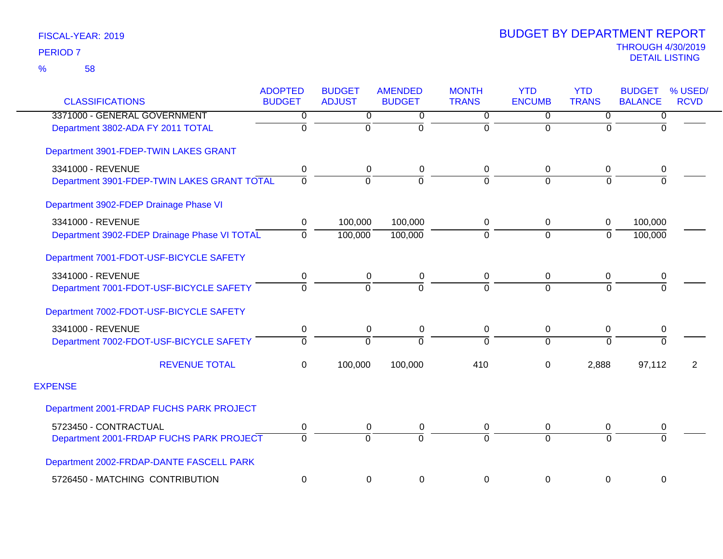| <b>CLASSIFICATIONS</b>                       | <b>ADOPTED</b><br><b>BUDGET</b> | <b>BUDGET</b><br><b>ADJUST</b> | <b>AMENDED</b><br><b>BUDGET</b> | <b>MONTH</b><br><b>TRANS</b> | <b>YTD</b><br><b>ENCUMB</b> | <b>YTD</b><br><b>TRANS</b> | <b>BUDGET</b><br><b>BALANCE</b> | % USED/<br><b>RCVD</b> |
|----------------------------------------------|---------------------------------|--------------------------------|---------------------------------|------------------------------|-----------------------------|----------------------------|---------------------------------|------------------------|
| 3371000 - GENERAL GOVERNMENT                 | 0                               | $\overline{0}$                 | 0                               | $\overline{0}$               | 0                           | $\overline{0}$             | $\overline{0}$                  |                        |
| Department 3802-ADA FY 2011 TOTAL            | $\mathbf 0$                     | $\Omega$                       | $\Omega$                        | $\overline{0}$               | $\Omega$                    | $\Omega$                   | $\Omega$                        |                        |
| Department 3901-FDEP-TWIN LAKES GRANT        |                                 |                                |                                 |                              |                             |                            |                                 |                        |
| 3341000 - REVENUE                            | 0                               | 0                              | 0                               | 0                            | $\mathbf 0$                 | $\mathbf 0$                | 0                               |                        |
| Department 3901-FDEP-TWIN LAKES GRANT TOTAL  | 0                               | $\overline{0}$                 | $\Omega$                        | $\overline{0}$               | $\Omega$                    | $\Omega$                   | $\overline{0}$                  |                        |
| Department 3902-FDEP Drainage Phase VI       |                                 |                                |                                 |                              |                             |                            |                                 |                        |
| 3341000 - REVENUE                            | $\mathbf 0$                     | 100,000                        | 100,000                         | 0                            | $\mathbf 0$                 | $\mathbf 0$                | 100,000                         |                        |
| Department 3902-FDEP Drainage Phase VI TOTAL | $\Omega$                        | 100,000                        | 100,000                         | $\overline{0}$               | $\mathbf 0$                 | $\overline{0}$             | 100,000                         |                        |
| Department 7001-FDOT-USF-BICYCLE SAFETY      |                                 |                                |                                 |                              |                             |                            |                                 |                        |
| 3341000 - REVENUE                            | 0                               | $\mathbf 0$                    | 0                               | 0                            | $\mathbf 0$                 | $\mathbf 0$                | 0                               |                        |
| Department 7001-FDOT-USF-BICYCLE SAFETY      | 0                               | 0                              | $\Omega$                        | $\overline{0}$               | $\Omega$                    | $\overline{0}$             | $\overline{0}$                  |                        |
| Department 7002-FDOT-USF-BICYCLE SAFETY      |                                 |                                |                                 |                              |                             |                            |                                 |                        |
| 3341000 - REVENUE                            | $\mathbf 0$                     | 0                              | $\mathbf 0$                     | 0                            | $\mathbf 0$                 | $\mathbf 0$                | 0                               |                        |
| Department 7002-FDOT-USF-BICYCLE SAFETY      | 0                               | $\Omega$                       | $\Omega$                        | $\overline{0}$               | $\Omega$                    | $\overline{0}$             | $\overline{0}$                  |                        |
| <b>REVENUE TOTAL</b>                         | $\Omega$                        | 100,000                        | 100,000                         | 410                          | $\Omega$                    | 2,888                      | 97,112                          | 2                      |
| <b>EXPENSE</b>                               |                                 |                                |                                 |                              |                             |                            |                                 |                        |
| Department 2001-FRDAP FUCHS PARK PROJECT     |                                 |                                |                                 |                              |                             |                            |                                 |                        |
| 5723450 - CONTRACTUAL                        | 0                               | 0                              | 0                               | 0                            | 0                           | 0                          | 0                               |                        |
| Department 2001-FRDAP FUCHS PARK PROJECT     | $\Omega$                        | $\Omega$                       | $\Omega$                        | $\Omega$                     | $\Omega$                    | $\Omega$                   | $\Omega$                        |                        |
| Department 2002-FRDAP-DANTE FASCELL PARK     |                                 |                                |                                 |                              |                             |                            |                                 |                        |
| 5726450 - MATCHING CONTRIBUTION              | 0                               | 0                              | $\mathbf 0$                     | 0                            | $\mathbf 0$                 | $\mathbf 0$                | 0                               |                        |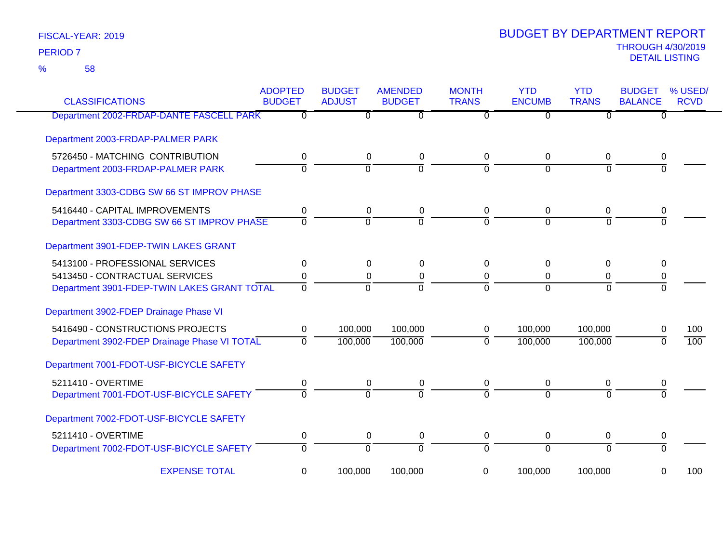58 %

| <b>CLASSIFICATIONS</b>                       | <b>ADOPTED</b><br><b>BUDGET</b> | <b>BUDGET</b><br><b>ADJUST</b> | <b>AMENDED</b><br><b>BUDGET</b> | <b>MONTH</b><br><b>TRANS</b> | <b>YTD</b><br><b>ENCUMB</b> | <b>YTD</b><br><b>TRANS</b> | <b>BUDGET</b><br><b>BALANCE</b> | % USED/<br><b>RCVD</b> |
|----------------------------------------------|---------------------------------|--------------------------------|---------------------------------|------------------------------|-----------------------------|----------------------------|---------------------------------|------------------------|
| Department 2002-FRDAP-DANTE FASCELL PARK     | $\mathbf{0}$                    | 0                              | 0                               | $\Omega$                     | $\overline{0}$              | $\Omega$                   | $\Omega$                        |                        |
| Department 2003-FRDAP-PALMER PARK            |                                 |                                |                                 |                              |                             |                            |                                 |                        |
| 5726450 - MATCHING CONTRIBUTION              | 0                               | 0                              | 0                               | $\Omega$                     | 0                           | 0                          | 0                               |                        |
| Department 2003-FRDAP-PALMER PARK            | $\mathbf{0}$                    | $\mathbf 0$                    | $\mathbf 0$                     | $\Omega$                     | $\Omega$                    | $\Omega$                   | $\Omega$                        |                        |
| Department 3303-CDBG SW 66 ST IMPROV PHASE   |                                 |                                |                                 |                              |                             |                            |                                 |                        |
| 5416440 - CAPITAL IMPROVEMENTS               | 0                               | 0                              | 0                               | 0                            | 0                           | 0                          | 0                               |                        |
| Department 3303-CDBG SW 66 ST IMPROV PHASE   | $\overline{0}$                  | $\Omega$                       | $\overline{0}$                  | $\Omega$                     | $\Omega$                    | $\Omega$                   | $\overline{0}$                  |                        |
| Department 3901-FDEP-TWIN LAKES GRANT        |                                 |                                |                                 |                              |                             |                            |                                 |                        |
| 5413100 - PROFESSIONAL SERVICES              | $\mathbf{0}$                    | $\Omega$                       | $\Omega$                        | $\Omega$                     | 0                           | $\Omega$                   | 0                               |                        |
| 5413450 - CONTRACTUAL SERVICES               | 0                               | 0                              | 0                               | 0                            | 0                           | 0                          | 0                               |                        |
| Department 3901-FDEP-TWIN LAKES GRANT TOTAL  | $\overline{0}$                  | $\overline{0}$                 | $\overline{0}$                  | $\Omega$                     | $\Omega$                    | $\overline{0}$             | $\Omega$                        |                        |
| Department 3902-FDEP Drainage Phase VI       |                                 |                                |                                 |                              |                             |                            |                                 |                        |
| 5416490 - CONSTRUCTIONS PROJECTS             | $\mathbf 0$                     | 100,000                        | 100,000                         | 0                            | 100,000                     | 100,000                    | 0                               | 100                    |
| Department 3902-FDEP Drainage Phase VI TOTAL | $\mathbf{0}$                    | 100,000                        | 100,000                         | $\Omega$                     | 100,000                     | 100,000                    | $\Omega$                        | 100                    |
| Department 7001-FDOT-USF-BICYCLE SAFETY      |                                 |                                |                                 |                              |                             |                            |                                 |                        |
| 5211410 - OVERTIME                           | 0                               | 0                              | 0                               | 0                            | 0                           | 0                          | 0                               |                        |
| Department 7001-FDOT-USF-BICYCLE SAFETY      | $\mathbf{0}$                    | $\Omega$                       | $\Omega$                        | $\Omega$                     | $\Omega$                    | $\Omega$                   | $\Omega$                        |                        |
| Department 7002-FDOT-USF-BICYCLE SAFETY      |                                 |                                |                                 |                              |                             |                            |                                 |                        |
| 5211410 - OVERTIME                           | 0                               | $\mathbf 0$                    | 0                               | 0                            | 0                           | 0                          | 0                               |                        |
| Department 7002-FDOT-USF-BICYCLE SAFETY      | $\overline{0}$                  | $\overline{0}$                 | $\overline{0}$                  | $\overline{0}$               | $\overline{0}$              | $\overline{0}$             | $\overline{0}$                  |                        |
| <b>EXPENSE TOTAL</b>                         | 0                               | 100,000                        | 100,000                         | 0                            | 100,000                     | 100,000                    | 0                               | 100                    |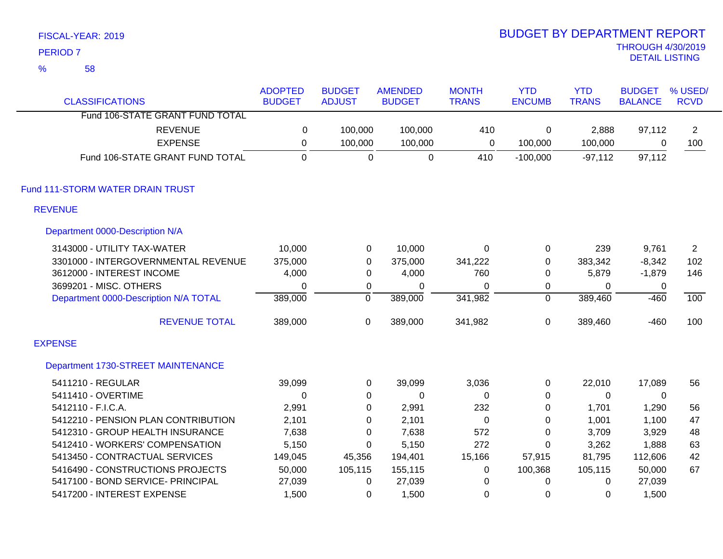|                | FISCAL-YEAR: 2019                     |                |                  |                |                  | <b>BUDGET BY DEPARTMENT REPORT</b> |              |                                                   |                |
|----------------|---------------------------------------|----------------|------------------|----------------|------------------|------------------------------------|--------------|---------------------------------------------------|----------------|
|                | <b>PERIOD 7</b>                       |                |                  |                |                  |                                    |              | <b>THROUGH 4/30/2019</b><br><b>DETAIL LISTING</b> |                |
| $\frac{9}{6}$  | 58                                    |                |                  |                |                  |                                    |              |                                                   |                |
|                |                                       | <b>ADOPTED</b> | <b>BUDGET</b>    | <b>AMENDED</b> | <b>MONTH</b>     | <b>YTD</b>                         | <b>YTD</b>   | <b>BUDGET</b>                                     | % USED/        |
|                | <b>CLASSIFICATIONS</b>                | <b>BUDGET</b>  | <b>ADJUST</b>    | <b>BUDGET</b>  | <b>TRANS</b>     | <b>ENCUMB</b>                      | <b>TRANS</b> | <b>BALANCE</b>                                    | <b>RCVD</b>    |
|                | Fund 106-STATE GRANT FUND TOTAL       |                |                  |                |                  |                                    |              |                                                   |                |
|                | <b>REVENUE</b>                        | $\pmb{0}$      | 100,000          | 100,000        | 410              | $\pmb{0}$                          | 2,888        | 97,112                                            | $\overline{2}$ |
|                | <b>EXPENSE</b>                        | $\pmb{0}$      | 100,000          | 100,000        | $\mathbf 0$      | 100,000                            | 100,000      | 0                                                 | 100            |
|                | Fund 106-STATE GRANT FUND TOTAL       | $\mathbf 0$    | $\mathbf 0$      | $\mathbf 0$    | 410              | $-100,000$                         | $-97,112$    | 97,112                                            |                |
|                | Fund 111-STORM WATER DRAIN TRUST      |                |                  |                |                  |                                    |              |                                                   |                |
|                | <b>REVENUE</b>                        |                |                  |                |                  |                                    |              |                                                   |                |
|                | Department 0000-Description N/A       |                |                  |                |                  |                                    |              |                                                   |                |
|                | 3143000 - UTILITY TAX-WATER           | 10,000         | $\pmb{0}$        | 10,000         | $\boldsymbol{0}$ | 0                                  | 239          | 9,761                                             | $\overline{2}$ |
|                | 3301000 - INTERGOVERNMENTAL REVENUE   | 375,000        | $\boldsymbol{0}$ | 375,000        | 341,222          | 0                                  | 383,342      | $-8,342$                                          | 102            |
|                | 3612000 - INTEREST INCOME             | 4,000          | $\boldsymbol{0}$ | 4,000          | 760              | 0                                  | 5,879        | $-1,879$                                          | 146            |
|                | 3699201 - MISC. OTHERS                | $\mathbf 0$    | $\pmb{0}$        | $\pmb{0}$      | $\pmb{0}$        | 0                                  | $\pmb{0}$    | 0                                                 |                |
|                | Department 0000-Description N/A TOTAL | 389,000        | $\overline{0}$   | 389,000        | 341,982          | $\overline{0}$                     | 389,460      | $-460$                                            | 100            |
|                | <b>REVENUE TOTAL</b>                  | 389,000        | $\mathbf 0$      | 389,000        | 341,982          | $\mathbf 0$                        | 389,460      | $-460$                                            | 100            |
| <b>EXPENSE</b> |                                       |                |                  |                |                  |                                    |              |                                                   |                |
|                | Department 1730-STREET MAINTENANCE    |                |                  |                |                  |                                    |              |                                                   |                |
|                | 5411210 - REGULAR                     | 39,099         | $\mathbf 0$      | 39,099         | 3,036            | 0                                  | 22,010       | 17,089                                            | 56             |
|                | 5411410 - OVERTIME                    | $\mathbf 0$    | 0                | 0              | 0                | 0                                  | 0            | 0                                                 |                |
|                | 5412110 - F.I.C.A.                    | 2,991          | $\pmb{0}$        | 2,991          | 232              | 0                                  | 1,701        | 1,290                                             | 56             |
|                | 5412210 - PENSION PLAN CONTRIBUTION   | 2,101          | 0                | 2,101          | 0                | 0                                  | 1,001        | 1,100                                             | 47             |
|                | 5412310 - GROUP HEALTH INSURANCE      | 7,638          | $\pmb{0}$        | 7,638          | 572              | 0                                  | 3,709        | 3,929                                             | 48             |
|                | 5412410 - WORKERS' COMPENSATION       | 5,150          | $\pmb{0}$        | 5,150          | 272              | 0                                  | 3,262        | 1,888                                             | 63             |
|                | 5413450 - CONTRACTUAL SERVICES        | 149,045        | 45,356           | 194,401        | 15,166           | 57,915                             | 81,795       | 112,606                                           | 42             |
|                | 5416490 - CONSTRUCTIONS PROJECTS      | 50,000         | 105,115          | 155,115        | $\pmb{0}$        | 100,368                            | 105,115      | 50,000                                            | 67             |
|                | 5417100 - BOND SERVICE- PRINCIPAL     | 27,039         | 0                | 27,039         | 0                | 0                                  | 0            | 27,039                                            |                |
|                | 5417200 - INTEREST EXPENSE            | 1,500          | 0                | 1,500          | 0                | 0                                  | 0            | 1,500                                             |                |

BUDGET BY DEPARTMENT REPORT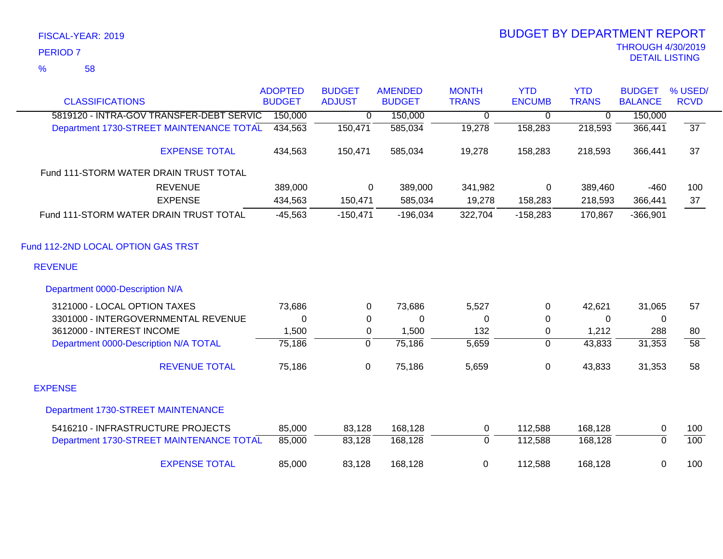### 58 %

| <b>CLASSIFICATIONS</b>                   | <b>ADOPTED</b><br><b>BUDGET</b> | <b>BUDGET</b><br><b>ADJUST</b> | <b>AMENDED</b><br><b>BUDGET</b> | <b>MONTH</b><br><b>TRANS</b> | <b>YTD</b><br><b>ENCUMB</b> | <b>YTD</b><br><b>TRANS</b> | <b>BUDGET</b><br><b>BALANCE</b> | % USED/<br><b>RCVD</b> |
|------------------------------------------|---------------------------------|--------------------------------|---------------------------------|------------------------------|-----------------------------|----------------------------|---------------------------------|------------------------|
| 5819120 - INTRA-GOV TRANSFER-DEBT SERVIC | 150,000                         | 0                              | 150,000                         | 0                            | 0                           | 0                          | 150,000                         |                        |
| Department 1730-STREET MAINTENANCE TOTAL | 434,563                         | 150,471                        | 585,034                         | 19,278                       | 158,283                     | 218,593                    | 366,441                         | $\overline{37}$        |
|                                          |                                 |                                |                                 |                              |                             |                            |                                 |                        |
| <b>EXPENSE TOTAL</b>                     | 434,563                         | 150,471                        | 585,034                         | 19,278                       | 158,283                     | 218,593                    | 366,441                         | 37                     |
| Fund 111-STORM WATER DRAIN TRUST TOTAL   |                                 |                                |                                 |                              |                             |                            |                                 |                        |
| <b>REVENUE</b>                           | 389,000                         | $\Omega$                       | 389,000                         | 341,982                      | 0                           | 389,460                    | $-460$                          | 100                    |
| <b>EXPENSE</b>                           | 434,563                         | 150,471                        | 585,034                         | 19,278                       | 158,283                     | 218,593                    | 366,441                         | 37                     |
| Fund 111-STORM WATER DRAIN TRUST TOTAL   | $-45,563$                       | $-150,471$                     | $-196,034$                      | 322,704                      | $-158,283$                  | 170,867                    | $-366,901$                      |                        |
| Fund 112-2ND LOCAL OPTION GAS TRST       |                                 |                                |                                 |                              |                             |                            |                                 |                        |
| <b>REVENUE</b>                           |                                 |                                |                                 |                              |                             |                            |                                 |                        |
| Department 0000-Description N/A          |                                 |                                |                                 |                              |                             |                            |                                 |                        |
| 3121000 - LOCAL OPTION TAXES             | 73,686                          | 0                              | 73,686                          | 5,527                        | 0                           | 42,621                     | 31,065                          | 57                     |
| 3301000 - INTERGOVERNMENTAL REVENUE      | 0                               | 0                              | $\mathbf 0$                     | 0                            | 0                           | 0                          | 0                               |                        |
| 3612000 - INTEREST INCOME                | 1,500                           | 0                              | 1,500                           | 132                          | 0                           | 1,212                      | 288                             | 80                     |
| Department 0000-Description N/A TOTAL    | 75,186                          | $\mathbf 0$                    | 75,186                          | 5,659                        | $\Omega$                    | 43,833                     | 31,353                          | $\overline{58}$        |
| <b>REVENUE TOTAL</b>                     | 75,186                          | $\pmb{0}$                      | 75,186                          | 5,659                        | 0                           | 43,833                     | 31,353                          | 58                     |
| <b>EXPENSE</b>                           |                                 |                                |                                 |                              |                             |                            |                                 |                        |
| Department 1730-STREET MAINTENANCE       |                                 |                                |                                 |                              |                             |                            |                                 |                        |
| 5416210 - INFRASTRUCTURE PROJECTS        | 85,000                          | 83,128                         | 168,128                         | 0                            | 112,588                     | 168,128                    | 0                               | 100                    |
| Department 1730-STREET MAINTENANCE TOTAL | 85,000                          | 83,128                         | 168,128                         | $\overline{0}$               | 112,588                     | 168,128                    | $\overline{0}$                  | 100                    |
| <b>EXPENSE TOTAL</b>                     | 85,000                          | 83,128                         | 168,128                         | $\mathbf 0$                  | 112,588                     | 168,128                    | 0                               | 100                    |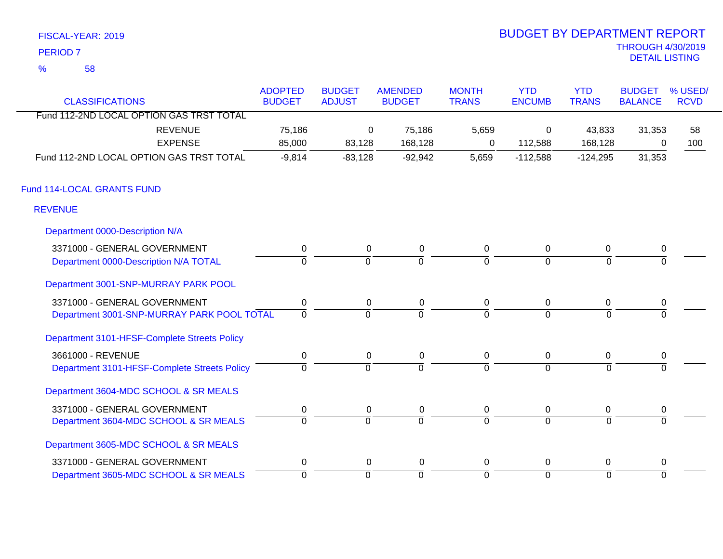|                     | FISCAL-YEAR: 2019 | <b>BUDGET BY DEPARTMENT REPORT</b>         |
|---------------------|-------------------|--------------------------------------------|
| PERIOD <sub>7</sub> |                   | <b>THROUGH 4/30/2019</b><br>DETAIL LISTING |
| %                   | .58               |                                            |

# BUDGET BY DEPARTMENT REPORT

| <b>CLASSIFICATIONS</b>                       | <b>ADOPTED</b><br><b>BUDGET</b> | <b>BUDGET</b><br><b>ADJUST</b> | <b>AMENDED</b><br><b>BUDGET</b> | <b>MONTH</b><br><b>TRANS</b> | <b>YTD</b><br><b>ENCUMB</b> | <b>YTD</b><br><b>TRANS</b> | <b>BUDGET</b><br><b>BALANCE</b> | % USED/<br><b>RCVD</b> |
|----------------------------------------------|---------------------------------|--------------------------------|---------------------------------|------------------------------|-----------------------------|----------------------------|---------------------------------|------------------------|
| Fund 112-2ND LOCAL OPTION GAS TRST TOTAL     |                                 |                                |                                 |                              |                             |                            |                                 |                        |
| <b>REVENUE</b>                               | 75,186                          | $\Omega$                       | 75,186                          | 5,659                        | 0                           | 43,833                     | 31,353                          | 58                     |
| <b>EXPENSE</b>                               | 85,000                          | 83,128                         | 168,128                         | $\Omega$                     | 112,588                     | 168,128                    | 0                               | 100                    |
| Fund 112-2ND LOCAL OPTION GAS TRST TOTAL     | $-9,814$                        | $-83,128$                      | $-92,942$                       | 5,659                        | $-112,588$                  | $-124,295$                 | 31,353                          |                        |
| Fund 114-LOCAL GRANTS FUND                   |                                 |                                |                                 |                              |                             |                            |                                 |                        |
| <b>REVENUE</b>                               |                                 |                                |                                 |                              |                             |                            |                                 |                        |
| Department 0000-Description N/A              |                                 |                                |                                 |                              |                             |                            |                                 |                        |
| 3371000 - GENERAL GOVERNMENT                 | $\pmb{0}$                       | 0                              | $\pmb{0}$                       | 0                            | $\mathbf 0$                 | 0                          | 0                               |                        |
| Department 0000-Description N/A TOTAL        | $\Omega$                        | $\Omega$                       | $\overline{0}$                  | $\Omega$                     | $\mathbf 0$                 | $\Omega$                   | 0                               |                        |
| Department 3001-SNP-MURRAY PARK POOL         |                                 |                                |                                 |                              |                             |                            |                                 |                        |
| 3371000 - GENERAL GOVERNMENT                 | $\pmb{0}$                       | 0                              | 0                               | 0                            | $\overline{0}$              | 0                          | 0                               |                        |
| Department 3001-SNP-MURRAY PARK POOL TOTAL   | $\overline{0}$                  | $\overline{0}$                 | $\overline{0}$                  | $\Omega$                     | $\Omega$                    | $\Omega$                   | $\Omega$                        |                        |
| Department 3101-HFSF-Complete Streets Policy |                                 |                                |                                 |                              |                             |                            |                                 |                        |
| 3661000 - REVENUE                            | $\pmb{0}$                       | $\mathbf 0$                    | $\pmb{0}$                       | 0                            | $\overline{0}$              | 0                          | 0                               |                        |
| Department 3101-HFSF-Complete Streets Policy | $\mathbf 0$                     | $\Omega$                       | 0                               | $\overline{0}$               | $\overline{0}$              | $\Omega$                   | $\Omega$                        |                        |
| Department 3604-MDC SCHOOL & SR MEALS        |                                 |                                |                                 |                              |                             |                            |                                 |                        |
| 3371000 - GENERAL GOVERNMENT                 | 0                               | 0                              | 0                               | 0                            | $\overline{0}$              | 0                          | 0                               |                        |
| Department 3604-MDC SCHOOL & SR MEALS        | $\Omega$                        | $\overline{0}$                 | $\overline{0}$                  | $\Omega$                     | $\overline{0}$              | $\Omega$                   | $\Omega$                        |                        |
| Department 3605-MDC SCHOOL & SR MEALS        |                                 |                                |                                 |                              |                             |                            |                                 |                        |
| 3371000 - GENERAL GOVERNMENT                 | $\pmb{0}$                       | $\mathbf 0$                    | $\boldsymbol{0}$                | 0                            | $\mathbf 0$                 | 0                          | $\pmb{0}$                       |                        |
| Department 3605-MDC SCHOOL & SR MEALS        | $\overline{0}$                  | $\overline{0}$                 | $\overline{0}$                  | $\overline{0}$               | $\overline{0}$              | $\mathbf{0}$               | $\Omega$                        |                        |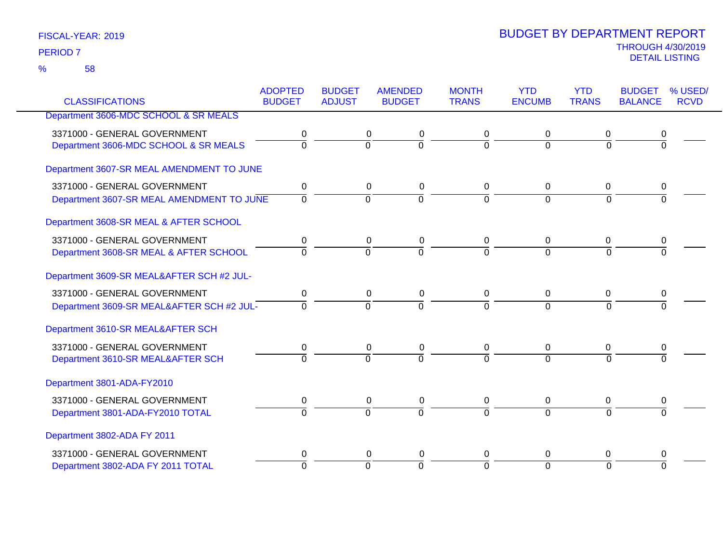|                                           | <b>ADOPTED</b> | <b>BUDGET</b>  | <b>AMENDED</b> | <b>MONTH</b>   | <b>YTD</b>     | <b>YTD</b>     | <b>BUDGET</b>  | % USED/     |
|-------------------------------------------|----------------|----------------|----------------|----------------|----------------|----------------|----------------|-------------|
| <b>CLASSIFICATIONS</b>                    | <b>BUDGET</b>  | <b>ADJUST</b>  | <b>BUDGET</b>  | <b>TRANS</b>   | <b>ENCUMB</b>  | <b>TRANS</b>   | <b>BALANCE</b> | <b>RCVD</b> |
| Department 3606-MDC SCHOOL & SR MEALS     |                |                |                |                |                |                |                |             |
| 3371000 - GENERAL GOVERNMENT              | 0              | 0              | 0              | 0              | 0              | 0              | 0              |             |
| Department 3606-MDC SCHOOL & SR MEALS     | $\overline{0}$ | $\mathbf 0$    | 0              | $\Omega$       | $\Omega$       | $\Omega$       | $\Omega$       |             |
| Department 3607-SR MEAL AMENDMENT TO JUNE |                |                |                |                |                |                |                |             |
| 3371000 - GENERAL GOVERNMENT              | $\mathbf 0$    | $\mathbf 0$    | $\pmb{0}$      | $\mathbf 0$    | $\mathbf 0$    | $\overline{0}$ | 0              |             |
| Department 3607-SR MEAL AMENDMENT TO JUNE | $\overline{0}$ | $\overline{0}$ | $\overline{0}$ | $\overline{0}$ | $\overline{0}$ | $\Omega$       | $\overline{0}$ |             |
| Department 3608-SR MEAL & AFTER SCHOOL    |                |                |                |                |                |                |                |             |
| 3371000 - GENERAL GOVERNMENT              | 0              | 0              | 0              | 0              | 0              | 0              | 0              |             |
| Department 3608-SR MEAL & AFTER SCHOOL    | $\Omega$       | $\overline{0}$ | $\overline{0}$ | $\overline{0}$ | $\Omega$       | $\Omega$       | $\Omega$       |             |
| Department 3609-SR MEAL&AFTER SCH #2 JUL- |                |                |                |                |                |                |                |             |
| 3371000 - GENERAL GOVERNMENT              | 0              | 0              | 0              | 0              | 0              | 0              | 0              |             |
| Department 3609-SR MEAL&AFTER SCH #2 JUL- | $\Omega$       | $\Omega$       | $\overline{0}$ | $\Omega$       | $\Omega$       | $\Omega$       | 0              |             |
| Department 3610-SR MEAL&AFTER SCH         |                |                |                |                |                |                |                |             |
| 3371000 - GENERAL GOVERNMENT              | 0              | $\mathbf 0$    | $\pmb{0}$      | 0              | $\mathbf 0$    | $\mathbf 0$    | 0              |             |
| Department 3610-SR MEAL&AFTER SCH         | $\Omega$       | $\Omega$       | $\Omega$       | $\Omega$       | $\Omega$       | $\Omega$       | $\Omega$       |             |
| Department 3801-ADA-FY2010                |                |                |                |                |                |                |                |             |
| 3371000 - GENERAL GOVERNMENT              | 0              | $\mathbf 0$    | 0              | 0              | 0              | $\mathbf 0$    | 0              |             |
| Department 3801-ADA-FY2010 TOTAL          | $\Omega$       | $\mathbf 0$    | $\overline{0}$ | $\Omega$       | $\Omega$       | $\Omega$       | 0              |             |
| Department 3802-ADA FY 2011               |                |                |                |                |                |                |                |             |
| 3371000 - GENERAL GOVERNMENT              | 0              | 0              | 0              | 0              | 0              | 0              | 0              |             |
| Department 3802-ADA FY 2011 TOTAL         | $\Omega$       | $\Omega$       | $\overline{0}$ | $\Omega$       | $\overline{0}$ | $\Omega$       | $\Omega$       |             |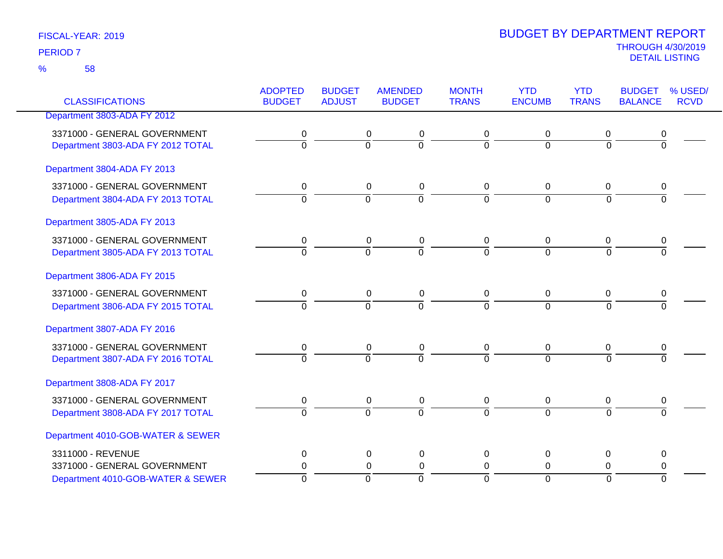58 %

| <b>CLASSIFICATIONS</b>            | <b>ADOPTED</b><br><b>BUDGET</b> | <b>BUDGET</b><br><b>ADJUST</b> | <b>AMENDED</b><br><b>BUDGET</b> | <b>MONTH</b><br><b>TRANS</b> | <b>YTD</b><br><b>ENCUMB</b> | <b>YTD</b><br><b>TRANS</b> | <b>BUDGET</b><br><b>BALANCE</b> | % USED/<br><b>RCVD</b> |
|-----------------------------------|---------------------------------|--------------------------------|---------------------------------|------------------------------|-----------------------------|----------------------------|---------------------------------|------------------------|
| Department 3803-ADA FY 2012       |                                 |                                |                                 |                              |                             |                            |                                 |                        |
|                                   |                                 |                                |                                 |                              |                             |                            |                                 |                        |
| 3371000 - GENERAL GOVERNMENT      | 0<br>$\overline{0}$             |                                | 0<br>0<br>$\overline{0}$        | 0<br>7                       | 0                           | 0                          | $\overline{0}$                  |                        |
| Department 3803-ADA FY 2012 TOTAL |                                 | $\overline{0}$                 |                                 |                              | $\overline{0}$              | $\overline{0}$             |                                 |                        |
| Department 3804-ADA FY 2013       |                                 |                                |                                 |                              |                             |                            |                                 |                        |
| 3371000 - GENERAL GOVERNMENT      | 0                               |                                | $\pmb{0}$<br>0                  | 0                            | 0                           | 0                          | 0                               |                        |
| Department 3804-ADA FY 2013 TOTAL | $\Omega$                        | $\Omega$                       | $\overline{0}$                  | $\overline{0}$               | $\Omega$                    | $\Omega$                   | $\overline{0}$                  |                        |
| Department 3805-ADA FY 2013       |                                 |                                |                                 |                              |                             |                            |                                 |                        |
|                                   |                                 |                                |                                 |                              |                             |                            |                                 |                        |
| 3371000 - GENERAL GOVERNMENT      | 0                               |                                | 0<br>0                          | 0                            | 0                           | 0                          | 0                               |                        |
| Department 3805-ADA FY 2013 TOTAL | $\overline{0}$                  | $\overline{0}$                 | $\overline{0}$                  | <u>ក</u>                     | $\overline{0}$              | $\overline{0}$             | $\overline{0}$                  |                        |
| Department 3806-ADA FY 2015       |                                 |                                |                                 |                              |                             |                            |                                 |                        |
| 3371000 - GENERAL GOVERNMENT      | 0                               |                                | 0<br>0                          | 0                            | 0                           | 0                          | 0                               |                        |
| Department 3806-ADA FY 2015 TOTAL | $\overline{0}$                  | $\overline{0}$                 | $\overline{0}$                  | $\overline{0}$               | $\overline{0}$              | $\overline{0}$             | $\overline{0}$                  |                        |
| Department 3807-ADA FY 2016       |                                 |                                |                                 |                              |                             |                            |                                 |                        |
| 3371000 - GENERAL GOVERNMENT      | 0                               |                                | 0<br>0                          | 0                            | 0                           | 0                          | 0                               |                        |
| Department 3807-ADA FY 2016 TOTAL | $\overline{0}$                  | $\overline{0}$                 | $\overline{0}$                  | $\overline{0}$               | $\overline{0}$              | $\overline{0}$             | $\overline{0}$                  |                        |
| Department 3808-ADA FY 2017       |                                 |                                |                                 |                              |                             |                            |                                 |                        |
| 3371000 - GENERAL GOVERNMENT      | 0                               |                                | 0<br>$\pmb{0}$                  | 0                            | 0                           | 0                          | 0                               |                        |
| Department 3808-ADA FY 2017 TOTAL | $\overline{0}$                  | $\overline{0}$                 | $\overline{0}$                  | $\Omega$                     | $\overline{0}$              | $\overline{0}$             | $\overline{0}$                  |                        |
| Department 4010-GOB-WATER & SEWER |                                 |                                |                                 |                              |                             |                            |                                 |                        |
| 3311000 - REVENUE                 | 0                               |                                | $\pmb{0}$<br>$\mathbf 0$        | $\mathbf 0$                  | 0                           | 0                          | 0                               |                        |
| 3371000 - GENERAL GOVERNMENT      | 0                               |                                | $\pmb{0}$<br>0                  | 0                            | 0                           | 0                          | 0                               |                        |
| Department 4010-GOB-WATER & SEWER | $\overline{0}$                  | $\overline{0}$                 | $\overline{0}$                  | $\Omega$                     | $\overline{0}$              | $\Omega$                   | $\overline{0}$                  |                        |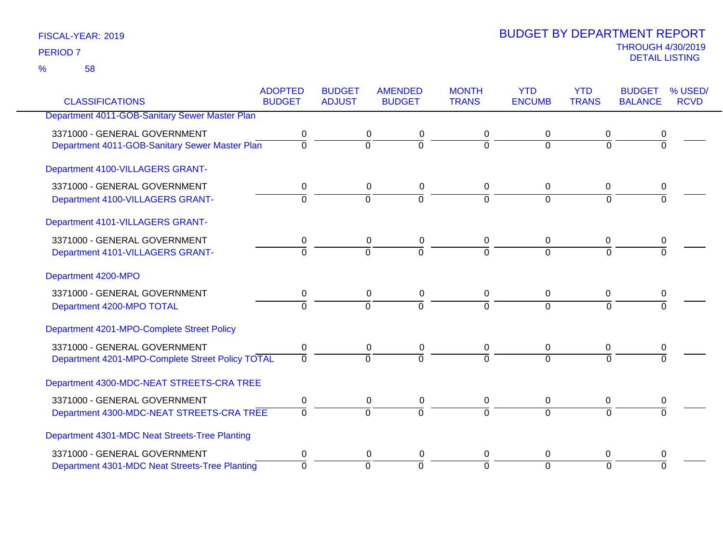58 %

|                                                  | <b>ADOPTED</b> | <b>BUDGET</b>  | <b>AMENDED</b>           | <b>MONTH</b>   | <b>YTD</b>     | <b>YTD</b>   | <b>BUDGET</b>  | % USED/     |
|--------------------------------------------------|----------------|----------------|--------------------------|----------------|----------------|--------------|----------------|-------------|
| <b>CLASSIFICATIONS</b>                           | <b>BUDGET</b>  | <b>ADJUST</b>  | <b>BUDGET</b>            | <b>TRANS</b>   | <b>ENCUMB</b>  | <b>TRANS</b> | <b>BALANCE</b> | <b>RCVD</b> |
| Department 4011-GOB-Sanitary Sewer Master Plan   |                |                |                          |                |                |              |                |             |
| 3371000 - GENERAL GOVERNMENT                     | 0              | 0              | 0                        | 0              | 0              | 0            |                |             |
| Department 4011-GOB-Sanitary Sewer Master Plan   | $\overline{0}$ | $\overline{0}$ | ō                        | $\Omega$       | $\overline{0}$ | $\Omega$     | 0              |             |
| Department 4100-VILLAGERS GRANT-                 |                |                |                          |                |                |              |                |             |
| 3371000 - GENERAL GOVERNMENT                     | 0              |                | 0<br>0                   | 0              | 0              | 0            | 0              |             |
| Department 4100-VILLAGERS GRANT-                 | $\mathbf 0$    | $\overline{0}$ | $\overline{0}$           | $\overline{0}$ | $\overline{0}$ | $\Omega$     | $\Omega$       |             |
| Department 4101-VILLAGERS GRANT-                 |                |                |                          |                |                |              |                |             |
| 3371000 - GENERAL GOVERNMENT                     | 0              |                | 0<br>0                   | 0              | 0              | 0            | 0              |             |
| Department 4101-VILLAGERS GRANT-                 | $\overline{0}$ | $\Omega$       | $\overline{0}$           | $\Omega$       | $\overline{0}$ | $\Omega$     | 0              |             |
| Department 4200-MPO                              |                |                |                          |                |                |              |                |             |
| 3371000 - GENERAL GOVERNMENT                     | 0              |                | 0<br>0                   | 0              | 0              | 0            | 0              |             |
| Department 4200-MPO TOTAL                        | $\overline{0}$ | $\Omega$       | $\overline{0}$           | $\Omega$       | $\Omega$       | $\Omega$     | 0              |             |
| Department 4201-MPO-Complete Street Policy       |                |                |                          |                |                |              |                |             |
| 3371000 - GENERAL GOVERNMENT                     | 0              |                | $\mathbf 0$<br>$\pmb{0}$ | $\mathbf 0$    | $\mathbf 0$    | $\mathbf 0$  | 0              |             |
| Department 4201-MPO-Complete Street Policy TOTAL | $\overline{0}$ | $\Omega$       | $\overline{0}$           | $\Omega$       | $\overline{0}$ | $\Omega$     | $\Omega$       |             |
| Department 4300-MDC-NEAT STREETS-CRA TREE        |                |                |                          |                |                |              |                |             |
| 3371000 - GENERAL GOVERNMENT                     | 0              |                | $\pmb{0}$<br>$\mathbf 0$ | $\mathbf 0$    | 0              | $\mathbf 0$  | 0              |             |
| Department 4300-MDC-NEAT STREETS-CRA TREE        | $\overline{0}$ | $\overline{0}$ | $\overline{0}$           | $\Omega$       | $\Omega$       | $\Omega$     | $\Omega$       |             |
| Department 4301-MDC Neat Streets-Tree Planting   |                |                |                          |                |                |              |                |             |
| 3371000 - GENERAL GOVERNMENT                     | 0              |                | 0<br>0                   | 0              | 0              | 0            | 0              |             |
| Department 4301-MDC Neat Streets-Tree Planting   | $\Omega$       | $\Omega$       | $\overline{0}$           | $\Omega$       | $\overline{0}$ | $\Omega$     | $\Omega$       |             |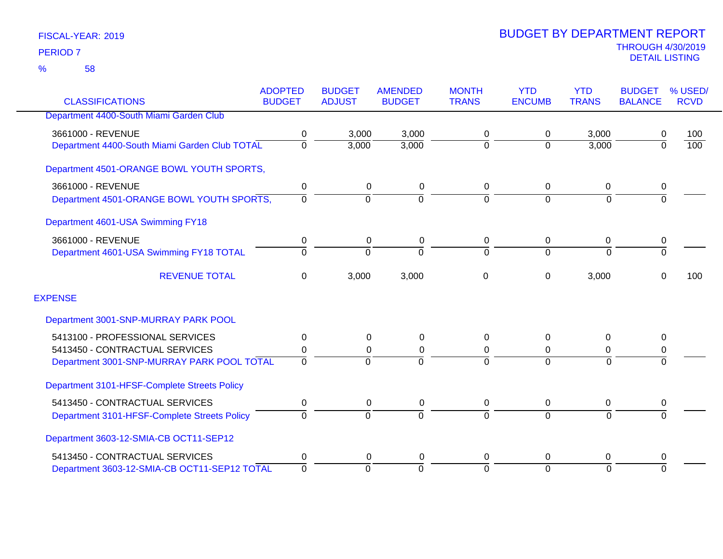|                                               | <b>ADOPTED</b> | <b>BUDGET</b>  | <b>AMENDED</b> | <b>MONTH</b>   | <b>YTD</b>    | <b>YTD</b>     | <b>BUDGET</b>  | % USED/          |
|-----------------------------------------------|----------------|----------------|----------------|----------------|---------------|----------------|----------------|------------------|
| <b>CLASSIFICATIONS</b>                        | <b>BUDGET</b>  | <b>ADJUST</b>  | <b>BUDGET</b>  | <b>TRANS</b>   | <b>ENCUMB</b> | <b>TRANS</b>   | <b>BALANCE</b> | <b>RCVD</b>      |
| Department 4400-South Miami Garden Club       |                |                |                |                |               |                |                |                  |
| 3661000 - REVENUE                             | 0              | 3,000          | 3,000          | 0              | 0             | 3,000          | 0              | 100              |
| Department 4400-South Miami Garden Club TOTAL | 0              | 3,000          | 3,000          | $\mathbf 0$    | $\Omega$      | 3,000          | $\overline{0}$ | $\overline{100}$ |
| Department 4501-ORANGE BOWL YOUTH SPORTS,     |                |                |                |                |               |                |                |                  |
| 3661000 - REVENUE                             | 0              | 0              | 0              | 0              | 0             | 0              | 0              |                  |
| Department 4501-ORANGE BOWL YOUTH SPORTS,     | $\Omega$       | $\overline{0}$ | $\Omega$       | $\overline{0}$ | $\Omega$      | $\overline{0}$ | $\overline{0}$ |                  |
| Department 4601-USA Swimming FY18             |                |                |                |                |               |                |                |                  |
| 3661000 - REVENUE                             | 0              | 0              | 0              | 0              | 0             | 0              | 0              |                  |
| Department 4601-USA Swimming FY18 TOTAL       | $\Omega$       | $\Omega$       | $\Omega$       | $\Omega$       | $\Omega$      | $\Omega$       | $\overline{0}$ |                  |
| <b>REVENUE TOTAL</b>                          | 0              | 3,000          | 3,000          | 0              | 0             | 3,000          | $\Omega$       | 100              |
| <b>EXPENSE</b>                                |                |                |                |                |               |                |                |                  |
| Department 3001-SNP-MURRAY PARK POOL          |                |                |                |                |               |                |                |                  |
| 5413100 - PROFESSIONAL SERVICES               | 0              | 0              | 0              | 0              | $\Omega$      | $\Omega$       | 0              |                  |
| 5413450 - CONTRACTUAL SERVICES                | 0              | 0              | 0              | 0              | 0             | 0              | 0              |                  |
| Department 3001-SNP-MURRAY PARK POOL TOTAL    | $\Omega$       | $\Omega$       |                | $\Omega$       | $\Omega$      | $\Omega$       | $\Omega$       |                  |
| Department 3101-HFSF-Complete Streets Policy  |                |                |                |                |               |                |                |                  |
| 5413450 - CONTRACTUAL SERVICES                | 0              | 0              | 0              | 0              | 0             | 0              | 0              |                  |
| Department 3101-HFSF-Complete Streets Policy  | $\Omega$       | $\overline{0}$ | $\Omega$       | 0              | $\Omega$      | $\overline{0}$ | $\Omega$       |                  |
| Department 3603-12-SMIA-CB OCT11-SEP12        |                |                |                |                |               |                |                |                  |
| 5413450 - CONTRACTUAL SERVICES                | 0              | 0              | 0              | 0              | $\Omega$      | 0              | 0              |                  |
| Department 3603-12-SMIA-CB OCT11-SEP12 TOTAL  | $\overline{0}$ | $\Omega$       | $\Omega$       | $\overline{0}$ | $\Omega$      | $\Omega$       | $\Omega$       |                  |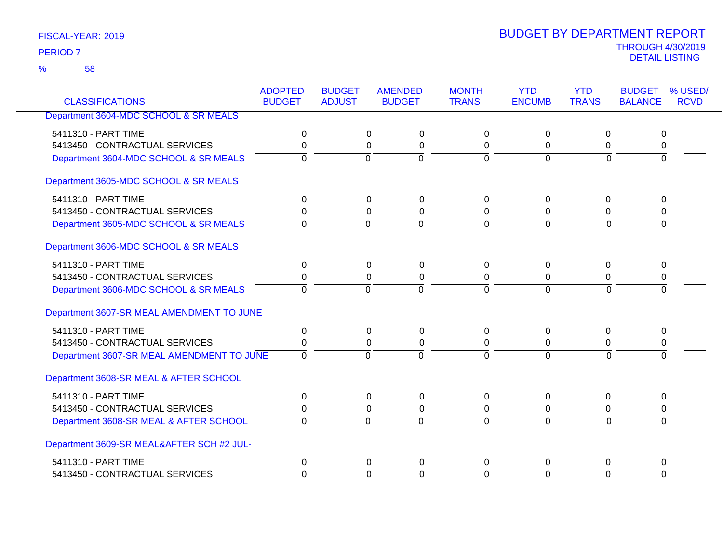58 %

| <b>CLASSIFICATIONS</b>                    | <b>ADOPTED</b><br><b>BUDGET</b> | <b>BUDGET</b><br><b>ADJUST</b> | <b>AMENDED</b><br><b>BUDGET</b> | <b>MONTH</b><br><b>TRANS</b> | <b>YTD</b><br><b>ENCUMB</b> | <b>YTD</b><br><b>TRANS</b> | <b>BUDGET</b><br><b>BALANCE</b> | % USED/<br><b>RCVD</b> |
|-------------------------------------------|---------------------------------|--------------------------------|---------------------------------|------------------------------|-----------------------------|----------------------------|---------------------------------|------------------------|
|                                           |                                 |                                |                                 |                              |                             |                            |                                 |                        |
| Department 3604-MDC SCHOOL & SR MEALS     |                                 |                                |                                 |                              |                             |                            |                                 |                        |
| 5411310 - PART TIME                       | 0                               | 0                              | 0                               | $\Omega$                     | $\mathbf 0$                 | 0                          | 0                               |                        |
| 5413450 - CONTRACTUAL SERVICES            | 0                               | $\mathbf 0$                    | $\mathbf 0$                     | 0                            | 0                           | 0                          | 0                               |                        |
| Department 3604-MDC SCHOOL & SR MEALS     | $\Omega$                        | $\Omega$                       | $\mathbf 0$                     | $\mathbf 0$                  | $\Omega$                    | $\Omega$                   | $\Omega$                        |                        |
| Department 3605-MDC SCHOOL & SR MEALS     |                                 |                                |                                 |                              |                             |                            |                                 |                        |
| 5411310 - PART TIME                       | 0                               | 0                              | 0                               | $\Omega$                     | 0                           | 0                          | 0                               |                        |
| 5413450 - CONTRACTUAL SERVICES            | 0                               | 0                              | $\mathbf 0$                     | 0                            | 0                           | 0                          | 0                               |                        |
| Department 3605-MDC SCHOOL & SR MEALS     | $\mathbf 0$                     | $\Omega$                       | $\overline{0}$                  | $\mathbf 0$                  | $\Omega$                    | $\Omega$                   | $\Omega$                        |                        |
| Department 3606-MDC SCHOOL & SR MEALS     |                                 |                                |                                 |                              |                             |                            |                                 |                        |
| 5411310 - PART TIME                       | 0                               | 0                              | 0                               | $\Omega$                     | $\mathbf 0$                 | 0                          | 0                               |                        |
| 5413450 - CONTRACTUAL SERVICES            | 0                               | $\mathbf{0}$                   | $\mathbf 0$                     | $\Omega$                     | 0                           | 0                          | 0                               |                        |
| Department 3606-MDC SCHOOL & SR MEALS     | $\Omega$                        | $\Omega$                       | $\Omega$                        | $\Omega$                     | $\Omega$                    | $\Omega$                   | $\Omega$                        |                        |
| Department 3607-SR MEAL AMENDMENT TO JUNE |                                 |                                |                                 |                              |                             |                            |                                 |                        |
| 5411310 - PART TIME                       | 0                               | 0                              | $\mathbf 0$                     | $\Omega$                     | $\Omega$                    | 0                          | 0                               |                        |
| 5413450 - CONTRACTUAL SERVICES            | 0                               | 0                              | 0                               | 0                            | 0                           | 0                          | 0                               |                        |
| Department 3607-SR MEAL AMENDMENT TO JUNE | $\overline{0}$                  | $\overline{0}$                 | $\overline{0}$                  | $\Omega$                     | $\overline{0}$              | $\Omega$                   | 0                               |                        |
| Department 3608-SR MEAL & AFTER SCHOOL    |                                 |                                |                                 |                              |                             |                            |                                 |                        |
| 5411310 - PART TIME                       | 0                               | 0                              | $\mathbf 0$                     | $\Omega$                     | 0                           | 0                          | 0                               |                        |
| 5413450 - CONTRACTUAL SERVICES            | 0                               |                                | 0<br>0                          | 0                            | 0                           | 0                          | 0                               |                        |
| Department 3608-SR MEAL & AFTER SCHOOL    | $\Omega$                        | $\overline{0}$                 | $\overline{0}$                  | $\Omega$                     | $\overline{0}$              | $\Omega$                   | $\Omega$                        |                        |
| Department 3609-SR MEAL&AFTER SCH #2 JUL- |                                 |                                |                                 |                              |                             |                            |                                 |                        |
| 5411310 - PART TIME                       | 0                               | $\Omega$                       | $\Omega$                        | $\mathbf 0$                  | $\Omega$                    | 0                          | $\mathbf 0$                     |                        |
| 5413450 - CONTRACTUAL SERVICES            | $\Omega$                        |                                | 0<br>$\Omega$                   | $\Omega$                     | $\Omega$                    | $\Omega$                   | $\Omega$                        |                        |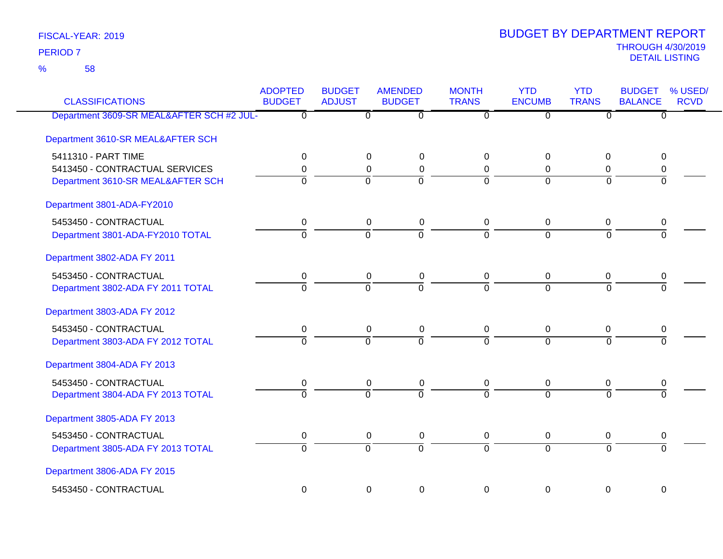58 %

| <b>CLASSIFICATIONS</b>                    | <b>ADOPTED</b><br><b>BUDGET</b> | <b>BUDGET</b><br><b>ADJUST</b> | <b>AMENDED</b><br><b>BUDGET</b> | <b>MONTH</b><br><b>TRANS</b> | <b>YTD</b><br><b>ENCUMB</b> | <b>YTD</b><br><b>TRANS</b> | <b>BUDGET</b><br><b>BALANCE</b> | % USED/<br><b>RCVD</b> |
|-------------------------------------------|---------------------------------|--------------------------------|---------------------------------|------------------------------|-----------------------------|----------------------------|---------------------------------|------------------------|
| Department 3609-SR MEAL&AFTER SCH #2 JUL- | $\overline{0}$                  | $\overline{0}$                 | $\overline{\mathfrak{0}}$       | $\overline{0}$               | $\overline{0}$              | ত                          | $\overline{0}$                  |                        |
| Department 3610-SR MEAL&AFTER SCH         |                                 |                                |                                 |                              |                             |                            |                                 |                        |
| 5411310 - PART TIME                       | 0                               | 0                              | 0                               | $\Omega$                     | 0                           | 0                          | 0                               |                        |
| 5413450 - CONTRACTUAL SERVICES            | 0                               | $\mathbf 0$                    | $\mathbf 0$                     | 0                            | 0                           | 0                          | 0                               |                        |
| Department 3610-SR MEAL&AFTER SCH         | $\overline{0}$                  | $\Omega$                       | $\overline{0}$                  | $\Omega$                     | $\Omega$                    | $\Omega$                   | $\Omega$                        |                        |
| Department 3801-ADA-FY2010                |                                 |                                |                                 |                              |                             |                            |                                 |                        |
| 5453450 - CONTRACTUAL                     | $\pmb{0}$                       | $\pmb{0}$                      | $\pmb{0}$                       | $\mathbf 0$                  | $\pmb{0}$                   | $\mathbf 0$                | 0                               |                        |
| Department 3801-ADA-FY2010 TOTAL          | $\overline{0}$                  | $\mathbf 0$                    | $\overline{0}$                  | $\Omega$                     | $\Omega$                    | $\Omega$                   | 0                               |                        |
| Department 3802-ADA FY 2011               |                                 |                                |                                 |                              |                             |                            |                                 |                        |
| 5453450 - CONTRACTUAL                     | $\pmb{0}$                       | $\boldsymbol{0}$               | $\pmb{0}$                       | $\mathbf 0$                  | $\pmb{0}$                   | $\overline{0}$             | $\pmb{0}$                       |                        |
| Department 3802-ADA FY 2011 TOTAL         | $\Omega$                        | $\overline{0}$                 | $\overline{0}$                  | $\overline{0}$               | $\overline{0}$              | $\overline{0}$             | $\overline{0}$                  |                        |
| Department 3803-ADA FY 2012               |                                 |                                |                                 |                              |                             |                            |                                 |                        |
| 5453450 - CONTRACTUAL                     | $\mathbf 0$                     | $\mathbf 0$                    | $\mathbf 0$                     | $\mathbf 0$                  | 0                           | 0                          | 0                               |                        |
| Department 3803-ADA FY 2012 TOTAL         | $\overline{0}$                  | $\Omega$                       | $\overline{0}$                  | $\overline{0}$               | $\overline{0}$              | $\overline{0}$             | $\overline{0}$                  |                        |
| Department 3804-ADA FY 2013               |                                 |                                |                                 |                              |                             |                            |                                 |                        |
| 5453450 - CONTRACTUAL                     | 0                               | 0                              | 0                               | 0                            | 0                           | 0                          | 0                               |                        |
| Department 3804-ADA FY 2013 TOTAL         | $\overline{0}$                  | $\overline{0}$                 | $\overline{0}$                  | $\overline{0}$               | $\overline{0}$              | $\Omega$                   | $\overline{0}$                  |                        |
| Department 3805-ADA FY 2013               |                                 |                                |                                 |                              |                             |                            |                                 |                        |
| 5453450 - CONTRACTUAL                     | 0                               | $\mathbf 0$                    | $\pmb{0}$                       | 0                            | 0                           | 0                          | 0                               |                        |
| Department 3805-ADA FY 2013 TOTAL         | $\overline{0}$                  | $\overline{0}$                 | $\overline{0}$                  | $\overline{0}$               | $\overline{0}$              | $\overline{0}$             | $\Omega$                        |                        |
| Department 3806-ADA FY 2015               |                                 |                                |                                 |                              |                             |                            |                                 |                        |
| 5453450 - CONTRACTUAL                     | $\mathbf 0$                     | $\mathbf 0$                    | $\mathbf 0$                     | $\mathbf 0$                  | 0                           | $\mathbf 0$                | 0                               |                        |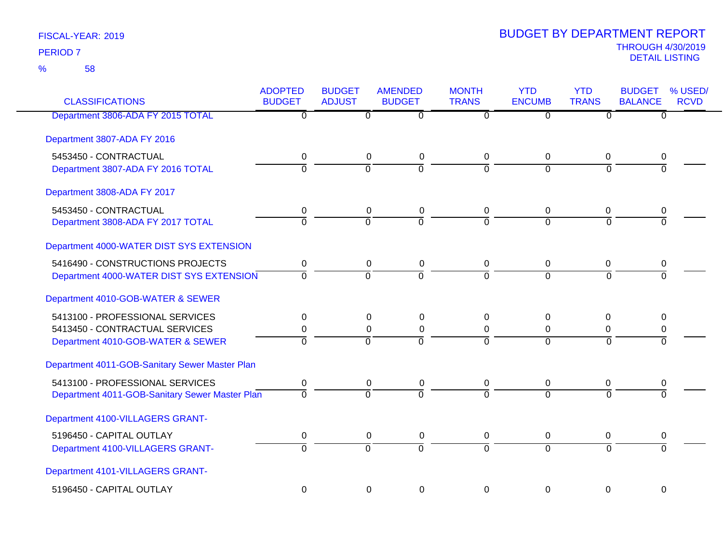| <b>CLASSIFICATIONS</b>                         | <b>ADOPTED</b><br><b>BUDGET</b> | <b>BUDGET</b><br><b>ADJUST</b> | <b>AMENDED</b><br><b>BUDGET</b> | <b>MONTH</b><br><b>TRANS</b> | <b>YTD</b><br><b>ENCUMB</b> | <b>YTD</b><br><b>TRANS</b> | <b>BUDGET</b><br><b>BALANCE</b> | % USED/<br><b>RCVD</b> |
|------------------------------------------------|---------------------------------|--------------------------------|---------------------------------|------------------------------|-----------------------------|----------------------------|---------------------------------|------------------------|
| Department 3806-ADA FY 2015 TOTAL              | ত                               | $\overline{0}$                 | $\overline{\mathfrak{o}}$       | $\overline{0}$               | $\overline{0}$              | $\overline{0}$             | $\overline{0}$                  |                        |
| Department 3807-ADA FY 2016                    |                                 |                                |                                 |                              |                             |                            |                                 |                        |
| 5453450 - CONTRACTUAL                          | 0                               | 0                              | $\pmb{0}$                       | 0                            | 0                           | 0                          | 0                               |                        |
| Department 3807-ADA FY 2016 TOTAL              | $\overline{0}$                  | $\overline{0}$                 | $\overline{0}$                  | $\overline{0}$               | $\Omega$                    | $\Omega$                   | $\Omega$                        |                        |
| Department 3808-ADA FY 2017                    |                                 |                                |                                 |                              |                             |                            |                                 |                        |
| 5453450 - CONTRACTUAL                          | $\mathbf 0$                     | $\mathbf 0$                    | $\pmb{0}$                       | 0                            | $\mathbf 0$                 | $\mathbf 0$                | 0                               |                        |
| Department 3808-ADA FY 2017 TOTAL              | $\Omega$                        | $\Omega$                       | $\Omega$                        | $\Omega$                     | $\Omega$                    | $\Omega$                   | $\Omega$                        |                        |
| Department 4000-WATER DIST SYS EXTENSION       |                                 |                                |                                 |                              |                             |                            |                                 |                        |
| 5416490 - CONSTRUCTIONS PROJECTS               | $\mathbf 0$                     | $\mathbf 0$                    | $\pmb{0}$                       | $\mathbf 0$                  | $\boldsymbol{0}$            | $\mathbf 0$                | 0                               |                        |
| Department 4000-WATER DIST SYS EXTENSION       | $\Omega$                        | $\overline{0}$                 | $\overline{0}$                  | $\overline{0}$               | $\overline{0}$              | $\Omega$                   | $\Omega$                        |                        |
| Department 4010-GOB-WATER & SEWER              |                                 |                                |                                 |                              |                             |                            |                                 |                        |
| 5413100 - PROFESSIONAL SERVICES                | 0                               | 0                              | 0                               | 0                            | 0                           | $\mathbf 0$                | 0                               |                        |
| 5413450 - CONTRACTUAL SERVICES                 | 0                               | 0                              | $\mathbf 0$                     | $\mathbf 0$                  | 0                           | 0                          | 0                               |                        |
| Department 4010-GOB-WATER & SEWER              | $\overline{0}$                  | $\overline{0}$                 | $\overline{0}$                  | $\Omega$                     | $\Omega$                    | $\Omega$                   | $\Omega$                        |                        |
| Department 4011-GOB-Sanitary Sewer Master Plan |                                 |                                |                                 |                              |                             |                            |                                 |                        |
| 5413100 - PROFESSIONAL SERVICES                | $\mathbf 0$                     | $\mathbf 0$                    | 0                               | 0                            | $\mathbf 0$                 | 0                          | 0                               |                        |
| Department 4011-GOB-Sanitary Sewer Master Plan | $\overline{0}$                  | $\overline{0}$                 | $\Omega$                        | $\overline{0}$               | $\overline{0}$              | $\Omega$                   | $\overline{0}$                  |                        |
| Department 4100-VILLAGERS GRANT-               |                                 |                                |                                 |                              |                             |                            |                                 |                        |
| 5196450 - CAPITAL OUTLAY                       | $\pmb{0}$                       | $\mathbf 0$                    | $\pmb{0}$                       | 0                            | $\mathbf 0$                 | $\mathbf 0$                | 0                               |                        |
| Department 4100-VILLAGERS GRANT-               | $\overline{0}$                  | $\overline{0}$                 | $\overline{0}$                  | $\overline{0}$               | $\overline{0}$              | $\Omega$                   | $\Omega$                        |                        |
| Department 4101-VILLAGERS GRANT-               |                                 |                                |                                 |                              |                             |                            |                                 |                        |
| 5196450 - CAPITAL OUTLAY                       | $\mathbf 0$                     | $\mathbf 0$                    | $\mathbf 0$                     | 0                            | $\mathbf 0$                 | $\mathbf 0$                | $\mathbf 0$                     |                        |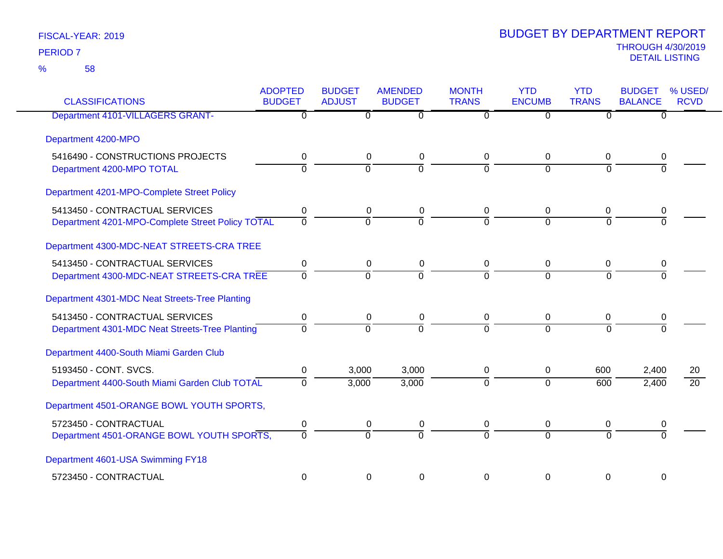| <b>CLASSIFICATIONS</b>                                                             | <b>ADOPTED</b><br><b>BUDGET</b> | <b>BUDGET</b><br><b>ADJUST</b> | <b>AMENDED</b><br><b>BUDGET</b> | <b>MONTH</b><br><b>TRANS</b>  | <b>YTD</b><br><b>ENCUMB</b> | <b>YTD</b><br><b>TRANS</b> | <b>BUDGET</b><br><b>BALANCE</b> | % USED/<br><b>RCVD</b> |
|------------------------------------------------------------------------------------|---------------------------------|--------------------------------|---------------------------------|-------------------------------|-----------------------------|----------------------------|---------------------------------|------------------------|
| <b>Department 4101-VILLAGERS GRANT-</b>                                            | $\overline{0}$                  | $\mathbf{0}$                   | $\Omega$                        | $\Omega$                      | $\overline{0}$              | $\Omega$                   | 0                               |                        |
| Department 4200-MPO                                                                |                                 |                                |                                 |                               |                             |                            |                                 |                        |
| 5416490 - CONSTRUCTIONS PROJECTS<br>Department 4200-MPO TOTAL                      | $\pmb{0}$<br>$\overline{0}$     | $\pmb{0}$<br>$\overline{0}$    | 0<br>$\overline{0}$             | 0<br>$\overline{0}$           | 0<br>$\overline{0}$         | 0<br>$\Omega$              | 0<br>$\Omega$                   |                        |
| Department 4201-MPO-Complete Street Policy                                         |                                 |                                |                                 |                               |                             |                            |                                 |                        |
| 5413450 - CONTRACTUAL SERVICES<br>Department 4201-MPO-Complete Street Policy TOTAL | 0<br>$\Omega$                   | 0<br>$\overline{0}$            | 0<br>$\overline{0}$             | 0<br>$\Omega$                 | 0<br>$\Omega$               | 0<br>$\Omega$              | 0<br>$\Omega$                   |                        |
| Department 4300-MDC-NEAT STREETS-CRA TREE                                          |                                 |                                |                                 |                               |                             |                            |                                 |                        |
| 5413450 - CONTRACTUAL SERVICES<br>Department 4300-MDC-NEAT STREETS-CRA TREE        | 0<br>$\mathbf 0$                | 0<br>$\overline{0}$            | $\pmb{0}$<br>$\overline{0}$     | $\mathbf 0$<br>$\overline{0}$ | 0<br>$\overline{0}$         | 0<br>$\Omega$              | 0<br>$\Omega$                   |                        |
| Department 4301-MDC Neat Streets-Tree Planting                                     |                                 |                                |                                 |                               |                             |                            |                                 |                        |
| 5413450 - CONTRACTUAL SERVICES<br>Department 4301-MDC Neat Streets-Tree Planting   | 0<br>$\Omega$                   | $\pmb{0}$<br>$\overline{0}$    | $\pmb{0}$<br>$\Omega$           | 0<br>$\Omega$                 | 0<br>$\Omega$               | 0<br>$\Omega$              | 0<br>$\Omega$                   |                        |
| Department 4400-South Miami Garden Club                                            |                                 |                                |                                 |                               |                             |                            |                                 |                        |
| 5193450 - CONT. SVCS.<br>Department 4400-South Miami Garden Club TOTAL             | $\pmb{0}$<br>$\Omega$           | 3,000<br>3,000                 | 3,000<br>3,000                  | 0<br>$\Omega$                 | 0<br>$\Omega$               | 600<br>600                 | 2,400<br>2,400                  | 20<br>$\overline{20}$  |
| Department 4501-ORANGE BOWL YOUTH SPORTS,                                          |                                 |                                |                                 |                               |                             |                            |                                 |                        |
| 5723450 - CONTRACTUAL<br>Department 4501-ORANGE BOWL YOUTH SPORTS,                 | 0<br>$\overline{0}$             | $\pmb{0}$<br>$\overline{0}$    | $\pmb{0}$<br>$\overline{0}$     | $\mathbf 0$<br>$\Omega$       | 0<br>$\Omega$               | 0<br>$\Omega$              | 0<br>$\Omega$                   |                        |
| Department 4601-USA Swimming FY18                                                  |                                 |                                |                                 |                               |                             |                            |                                 |                        |
| 5723450 - CONTRACTUAL                                                              | 0                               | $\mathbf 0$                    | 0                               | $\Omega$                      | 0                           | 0                          | 0                               |                        |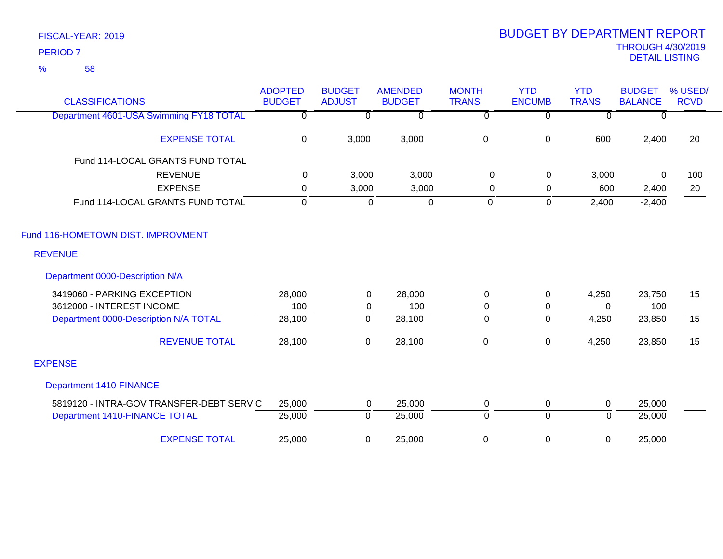58 %

| <b>CLASSIFICATIONS</b>                   | <b>ADOPTED</b><br><b>BUDGET</b> | <b>BUDGET</b><br><b>ADJUST</b> | <b>AMENDED</b><br><b>BUDGET</b> | <b>MONTH</b><br><b>TRANS</b> | <b>YTD</b><br><b>ENCUMB</b> | <b>YTD</b><br><b>TRANS</b> | <b>BUDGET</b><br><b>BALANCE</b> | % USED/<br><b>RCVD</b> |
|------------------------------------------|---------------------------------|--------------------------------|---------------------------------|------------------------------|-----------------------------|----------------------------|---------------------------------|------------------------|
| Department 4601-USA Swimming FY18 TOTAL  | $\overline{0}$                  | $\overline{0}$                 | $\overline{0}$                  | $\overline{0}$               | $\overline{0}$              | $\overline{0}$             | $\overline{0}$                  |                        |
| <b>EXPENSE TOTAL</b>                     | 0                               | 3,000                          | 3,000                           | $\boldsymbol{0}$             | $\mathbf 0$                 | 600                        | 2,400                           | 20                     |
| Fund 114-LOCAL GRANTS FUND TOTAL         |                                 |                                |                                 |                              |                             |                            |                                 |                        |
| <b>REVENUE</b>                           | 0                               | 3,000                          | 3,000                           | $\mathbf 0$                  | $\mathbf 0$                 | 3,000                      | 0                               | 100                    |
| <b>EXPENSE</b>                           | 0                               | 3,000                          | 3,000                           | 0                            | 0                           | 600                        | 2,400                           | 20                     |
| Fund 114-LOCAL GRANTS FUND TOTAL         | $\Omega$                        | $\Omega$                       | $\overline{0}$                  | 0                            | $\mathbf 0$                 | 2,400                      | $-2,400$                        |                        |
| Fund 116-HOMETOWN DIST. IMPROVMENT       |                                 |                                |                                 |                              |                             |                            |                                 |                        |
| <b>REVENUE</b>                           |                                 |                                |                                 |                              |                             |                            |                                 |                        |
| Department 0000-Description N/A          |                                 |                                |                                 |                              |                             |                            |                                 |                        |
| 3419060 - PARKING EXCEPTION              | 28,000                          | 0                              | 28,000                          | 0                            | $\mathbf 0$                 | 4,250                      | 23,750                          | 15                     |
| 3612000 - INTEREST INCOME                | 100                             | $\mathbf 0$                    | 100                             | $\mathbf 0$                  | 0                           | $\Omega$                   | 100                             |                        |
| Department 0000-Description N/A TOTAL    | 28,100                          | $\overline{0}$                 | 28,100                          | $\overline{0}$               | $\overline{0}$              | 4,250                      | 23,850                          | $\overline{15}$        |
| <b>REVENUE TOTAL</b>                     | 28,100                          | 0                              | 28,100                          | $\mathbf 0$                  | $\boldsymbol{0}$            | 4,250                      | 23,850                          | 15                     |
| <b>EXPENSE</b>                           |                                 |                                |                                 |                              |                             |                            |                                 |                        |
| <b>Department 1410-FINANCE</b>           |                                 |                                |                                 |                              |                             |                            |                                 |                        |
| 5819120 - INTRA-GOV TRANSFER-DEBT SERVIC | 25,000                          | 0                              | 25,000                          | 0                            | $\mathbf 0$                 | $\mathbf 0$                | 25,000                          |                        |
| Department 1410-FINANCE TOTAL            | 25,000                          | $\overline{0}$                 | 25,000                          | $\overline{0}$               | $\overline{0}$              | $\mathbf 0$                | 25,000                          |                        |
| <b>EXPENSE TOTAL</b>                     | 25,000                          | 0                              | 25,000                          | 0                            | 0                           | 0                          | 25,000                          |                        |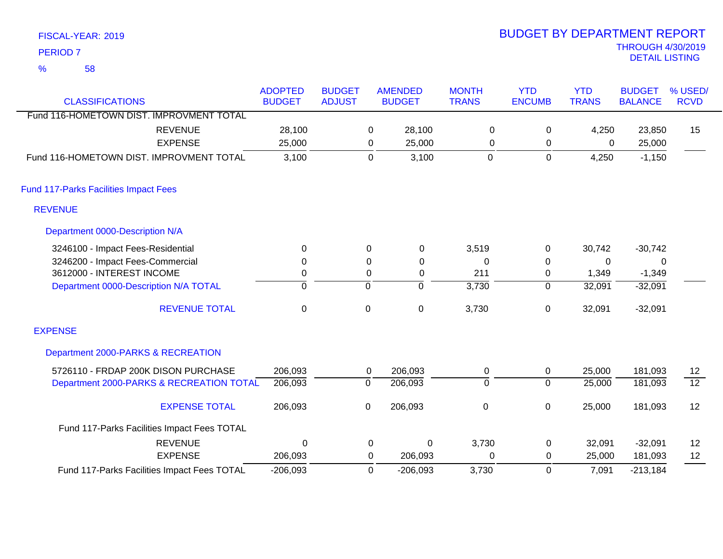|   | <b>PERIOD 7</b>                              |                                             |                |               |                |                |                |                |              | <b>THROUGH 4/30/2019</b><br><b>DETAIL LISTING</b> |                 |
|---|----------------------------------------------|---------------------------------------------|----------------|---------------|----------------|----------------|----------------|----------------|--------------|---------------------------------------------------|-----------------|
| % | 58                                           |                                             |                |               |                |                |                |                |              |                                                   |                 |
|   |                                              |                                             | <b>ADOPTED</b> | <b>BUDGET</b> |                | <b>AMENDED</b> | <b>MONTH</b>   | <b>YTD</b>     | <b>YTD</b>   | <b>BUDGET</b>                                     | % USED/         |
|   | <b>CLASSIFICATIONS</b>                       |                                             | <b>BUDGET</b>  | <b>ADJUST</b> |                | <b>BUDGET</b>  | <b>TRANS</b>   | <b>ENCUMB</b>  | <b>TRANS</b> | <b>BALANCE</b>                                    | <b>RCVD</b>     |
|   |                                              | Fund 116-HOMETOWN DIST. IMPROVMENT TOTAL    |                |               |                |                |                |                |              |                                                   |                 |
|   |                                              | <b>REVENUE</b>                              | 28,100         |               | 0              | 28,100         | 0              | 0              | 4,250        | 23,850                                            | 15              |
|   |                                              | <b>EXPENSE</b>                              | 25,000         |               | $\mathbf 0$    | 25,000         | 0              | 0              | 0            | 25,000                                            |                 |
|   |                                              | Fund 116-HOMETOWN DIST. IMPROVMENT TOTAL    | 3,100          |               | $\mathbf 0$    | 3,100          | $\overline{0}$ | $\mathbf{0}$   | 4,250        | $-1,150$                                          |                 |
|   | <b>Fund 117-Parks Facilities Impact Fees</b> |                                             |                |               |                |                |                |                |              |                                                   |                 |
|   | <b>REVENUE</b>                               |                                             |                |               |                |                |                |                |              |                                                   |                 |
|   | Department 0000-Description N/A              |                                             |                |               |                |                |                |                |              |                                                   |                 |
|   | 3246100 - Impact Fees-Residential            |                                             | 0              |               | 0              | 0              | 3,519          | 0              | 30,742       | $-30,742$                                         |                 |
|   | 3246200 - Impact Fees-Commercial             |                                             | 0              |               | 0              | 0              | 0              | 0              | 0            | 0                                                 |                 |
|   | 3612000 - INTEREST INCOME                    |                                             | 0              |               | 0              | 0              | 211            | 0              | 1,349        | $-1,349$                                          |                 |
|   |                                              | Department 0000-Description N/A TOTAL       | 0              |               | $\overline{0}$ | ᅙ              | 3,730          | $\overline{0}$ | 32,091       | $-32,091$                                         |                 |
|   |                                              | <b>REVENUE TOTAL</b>                        | $\mathbf 0$    |               | $\mathbf 0$    | $\pmb{0}$      | 3,730          | 0              | 32,091       | $-32,091$                                         |                 |
|   | <b>EXPENSE</b>                               |                                             |                |               |                |                |                |                |              |                                                   |                 |
|   |                                              | Department 2000-PARKS & RECREATION          |                |               |                |                |                |                |              |                                                   |                 |
|   |                                              | 5726110 - FRDAP 200K DISON PURCHASE         | 206,093        |               | 0              | 206,093        | $\pmb{0}$      | 0              | 25,000       | 181,093                                           | 12              |
|   |                                              | Department 2000-PARKS & RECREATION TOTAL    | 206,093        |               | $\overline{0}$ | 206,093        | $\overline{0}$ | $\overline{0}$ | 25,000       | 181,093                                           | $\overline{12}$ |
|   |                                              | <b>EXPENSE TOTAL</b>                        | 206,093        |               | $\mathbf 0$    | 206,093        | $\pmb{0}$      | 0              | 25,000       | 181,093                                           | 12              |
|   |                                              | Fund 117-Parks Facilities Impact Fees TOTAL |                |               |                |                |                |                |              |                                                   |                 |
|   |                                              | <b>REVENUE</b>                              | $\mathbf 0$    |               | 0              | $\mathbf 0$    | 3,730          | 0              | 32,091       | $-32,091$                                         | 12              |

206,093

0

0

206,093

EXPENSE

Fund 117-Parks Facilities Impact Fees TOTAL

-206,093 0 -206,093 3,730 7,091

FISCAL-YEAR: 2019

# THROUGH 4/30/2019 BUDGET BY DEPARTMENT REPORT

0 0 25,000

12

-213,184 181,093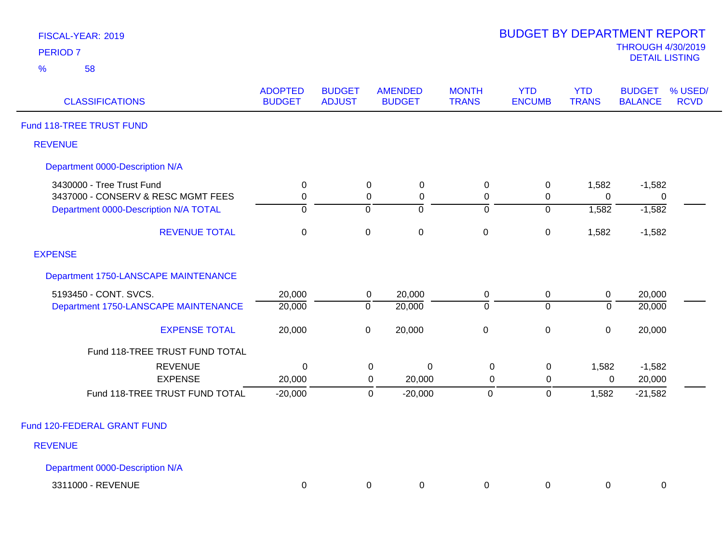| FISCAL-YEAR: 2019 |  |
|-------------------|--|
| <b>PERIOD 7</b>   |  |

| <b>CLASSIFICATIONS</b>                                                      | <b>ADOPTED</b><br><b>BUDGET</b> | <b>BUDGET</b><br><b>ADJUST</b> | <b>AMENDED</b><br><b>BUDGET</b>         | <b>MONTH</b><br><b>TRANS</b>  | <b>YTD</b><br><b>ENCUMB</b> | <b>YTD</b><br><b>TRANS</b> | <b>BUDGET</b><br><b>BALANCE</b> | % USED/<br><b>RCVD</b> |
|-----------------------------------------------------------------------------|---------------------------------|--------------------------------|-----------------------------------------|-------------------------------|-----------------------------|----------------------------|---------------------------------|------------------------|
| Fund 118-TREE TRUST FUND                                                    |                                 |                                |                                         |                               |                             |                            |                                 |                        |
| <b>REVENUE</b>                                                              |                                 |                                |                                         |                               |                             |                            |                                 |                        |
| Department 0000-Description N/A                                             |                                 |                                |                                         |                               |                             |                            |                                 |                        |
| 3430000 - Tree Trust Fund                                                   | $\mathbf 0$                     |                                | $\mathbf 0$<br>$\mathbf 0$              | $\pmb{0}$                     | $\pmb{0}$                   | 1,582                      | $-1,582$                        |                        |
| 3437000 - CONSERV & RESC MGMT FEES<br>Department 0000-Description N/A TOTAL | 0<br>$\mathbf 0$                | $\mathbf 0$                    | 0<br>0<br>ō                             | 0<br>$\overline{0}$           | 0<br>$\mathbf 0$            | $\Omega$<br>1,582          | $\mathbf{0}$<br>$-1,582$        |                        |
| <b>REVENUE TOTAL</b>                                                        | $\mathbf 0$                     |                                | $\pmb{0}$<br>$\mathbf 0$                | $\pmb{0}$                     | $\pmb{0}$                   | 1,582                      | $-1,582$                        |                        |
| <b>EXPENSE</b>                                                              |                                 |                                |                                         |                               |                             |                            |                                 |                        |
| Department 1750-LANSCAPE MAINTENANCE                                        |                                 |                                |                                         |                               |                             |                            |                                 |                        |
| 5193450 - CONT. SVCS.<br>Department 1750-LANSCAPE MAINTENANCE               | 20,000<br>20,000                | $\overline{0}$                 | 20,000<br>$\overline{0}$<br>20,000      | $\mathbf 0$<br>$\overline{0}$ | $\pmb{0}$<br>$\overline{0}$ | $\pmb{0}$<br>$\Omega$      | 20,000<br>20,000                |                        |
| <b>EXPENSE TOTAL</b>                                                        | 20,000                          |                                | $\pmb{0}$<br>20,000                     | $\mathbf 0$                   | $\pmb{0}$                   | $\mathbf 0$                | 20,000                          |                        |
| Fund 118-TREE TRUST FUND TOTAL                                              |                                 |                                |                                         |                               |                             |                            |                                 |                        |
| <b>REVENUE</b>                                                              | 0                               |                                | 0<br>0                                  | $\mathbf 0$                   | $\mathbf 0$                 | 1,582                      | $-1,582$                        |                        |
| <b>EXPENSE</b><br>Fund 118-TREE TRUST FUND TOTAL                            | 20,000<br>$-20,000$             |                                | 20,000<br>0<br>$-20,000$<br>$\mathbf 0$ | $\mathbf 0$<br>$\mathbf 0$    | $\mathbf 0$<br>$\pmb{0}$    | 0<br>1,582                 | 20,000<br>$-21,582$             |                        |
| Fund 120-FEDERAL GRANT FUND                                                 |                                 |                                |                                         |                               |                             |                            |                                 |                        |
| <b>REVENUE</b>                                                              |                                 |                                |                                         |                               |                             |                            |                                 |                        |
| Department 0000-Description N/A                                             |                                 |                                |                                         |                               |                             |                            |                                 |                        |
| 3311000 - REVENUE                                                           | 0                               |                                | 0<br>0                                  | 0                             | 0                           | 0                          | 0                               |                        |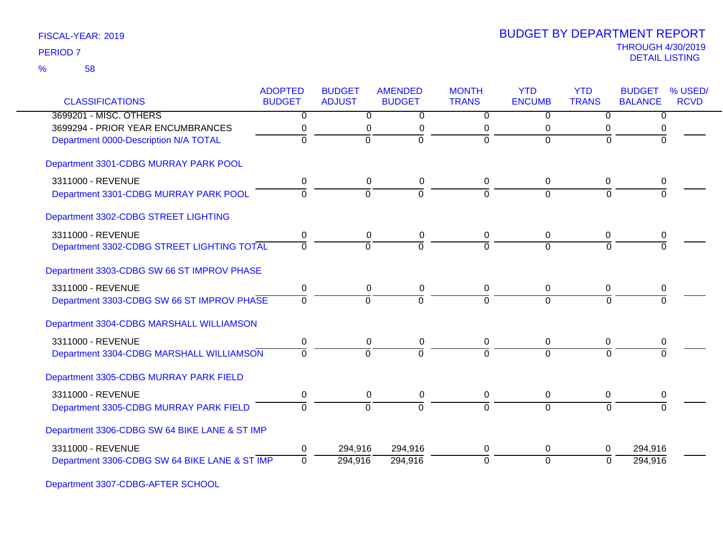|                                               | <b>ADOPTED</b> | <b>BUDGET</b>  | <b>AMENDED</b> | <b>MONTH</b>   | <b>YTD</b>       | <b>YTD</b>     | <b>BUDGET</b>  | % USED/     |
|-----------------------------------------------|----------------|----------------|----------------|----------------|------------------|----------------|----------------|-------------|
| <b>CLASSIFICATIONS</b>                        | <b>BUDGET</b>  | <b>ADJUST</b>  | <b>BUDGET</b>  | <b>TRANS</b>   | <b>ENCUMB</b>    | <b>TRANS</b>   | <b>BALANCE</b> | <b>RCVD</b> |
| 3699201 - MISC. OTHERS                        | $\overline{0}$ | $\overline{0}$ | 0              | $\overline{0}$ | 0                | $\overline{0}$ | 0              |             |
| 3699294 - PRIOR YEAR ENCUMBRANCES             | 0              | 0              | 0              | 0              | 0                | 0              | 0              |             |
| Department 0000-Description N/A TOTAL         | $\overline{0}$ | $\overline{0}$ | ō              | $\overline{0}$ | $\overline{0}$   | $\Omega$       | $\Omega$       |             |
| Department 3301-CDBG MURRAY PARK POOL         |                |                |                |                |                  |                |                |             |
| 3311000 - REVENUE                             | 0              | 0              | 0              | 0              | 0                | 0              | 0              |             |
| Department 3301-CDBG MURRAY PARK POOL         | $\Omega$       | $\Omega$       | $\overline{0}$ | $\Omega$       | $\Omega$         | $\Omega$       | 0              |             |
| Department 3302-CDBG STREET LIGHTING          |                |                |                |                |                  |                |                |             |
| 3311000 - REVENUE                             | 0              | 0              | 0              | 0              | 0                | 0              | 0              |             |
| Department 3302-CDBG STREET LIGHTING TOTAL    | $\Omega$       | $\Omega$       | $\Omega$       | $\Omega$       | $\Omega$         | $\Omega$       | O              |             |
| Department 3303-CDBG SW 66 ST IMPROV PHASE    |                |                |                |                |                  |                |                |             |
| 3311000 - REVENUE                             | 0              | $\pmb{0}$      | $\pmb{0}$      | $\mathbf 0$    | $\boldsymbol{0}$ | 0              | 0              |             |
| Department 3303-CDBG SW 66 ST IMPROV PHASE    | 0              | $\Omega$       | $\Omega$       | $\Omega$       | $\Omega$         | 0              | $\Omega$       |             |
| Department 3304-CDBG MARSHALL WILLIAMSON      |                |                |                |                |                  |                |                |             |
| 3311000 - REVENUE                             | 0              | 0              | 0              | 0              | 0                | 0              | 0              |             |
| Department 3304-CDBG MARSHALL WILLIAMSON      | $\Omega$       | $\Omega$       | $\Omega$       | $\Omega$       | $\Omega$         | $\Omega$       |                |             |
| Department 3305-CDBG MURRAY PARK FIELD        |                |                |                |                |                  |                |                |             |
| 3311000 - REVENUE                             | 0              | 0              | 0              | 0              | 0                | 0              | 0              |             |
| Department 3305-CDBG MURRAY PARK FIELD        | $\overline{0}$ | ō              | $\overline{0}$ | $\overline{0}$ | $\overline{0}$   | $\overline{0}$ | $\overline{0}$ |             |
| Department 3306-CDBG SW 64 BIKE LANE & ST IMP |                |                |                |                |                  |                |                |             |
| 3311000 - REVENUE                             | 0              | 294,916        | 294,916        | 0              | 0                | 0              | 294,916        |             |
| Department 3306-CDBG SW 64 BIKE LANE & ST IMP | $\Omega$       | 294,916        | 294,916        | 0              | $\overline{0}$   | $\Omega$       | 294,916        |             |

Department 3307-CDBG-AFTER SCHOOL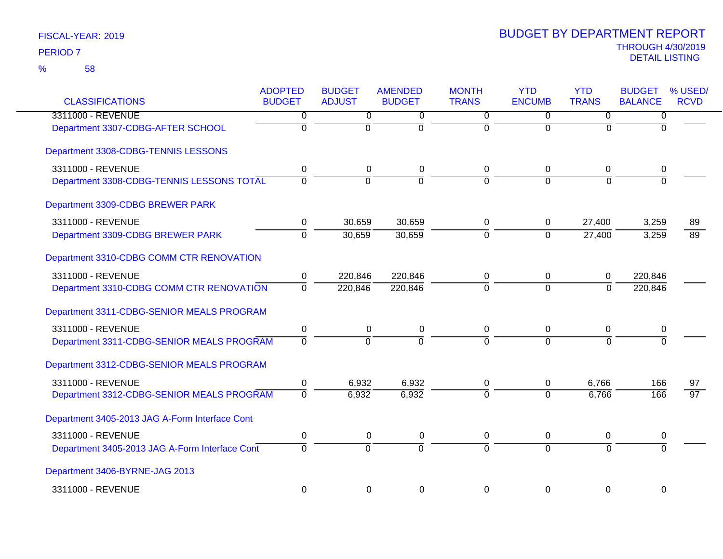| <b>CLASSIFICATIONS</b>                         | <b>ADOPTED</b><br><b>BUDGET</b> | <b>BUDGET</b><br><b>ADJUST</b> | <b>AMENDED</b><br><b>BUDGET</b> | <b>MONTH</b><br><b>TRANS</b> | <b>YTD</b><br><b>ENCUMB</b> | <b>YTD</b><br><b>TRANS</b> | <b>BUDGET</b><br><b>BALANCE</b> | % USED/<br><b>RCVD</b> |
|------------------------------------------------|---------------------------------|--------------------------------|---------------------------------|------------------------------|-----------------------------|----------------------------|---------------------------------|------------------------|
| 3311000 - REVENUE                              | $\overline{0}$                  | $\overline{0}$                 | 0                               | $\overline{0}$               | $\overline{0}$              | $\overline{0}$             | $\overline{0}$                  |                        |
| Department 3307-CDBG-AFTER SCHOOL              | $\overline{0}$                  | $\overline{0}$                 | $\mathbf 0$                     | $\mathbf 0$                  | $\overline{0}$              | $\Omega$                   | $\Omega$                        |                        |
| Department 3308-CDBG-TENNIS LESSONS            |                                 |                                |                                 |                              |                             |                            |                                 |                        |
| 3311000 - REVENUE                              | 0                               | 0                              | 0                               | 0                            | $\mathbf 0$                 | 0                          | 0                               |                        |
| Department 3308-CDBG-TENNIS LESSONS TOTAL      | $\overline{0}$                  | $\mathbf 0$                    | $\overline{0}$                  | $\Omega$                     | $\Omega$                    | $\Omega$                   | $\Omega$                        |                        |
| Department 3309-CDBG BREWER PARK               |                                 |                                |                                 |                              |                             |                            |                                 |                        |
| 3311000 - REVENUE                              | 0                               | 30,659                         | 30,659                          | 0                            | $\mathbf 0$                 | 27,400                     | 3,259                           | 89                     |
| Department 3309-CDBG BREWER PARK               | $\mathbf 0$                     | 30,659                         | 30,659                          | $\overline{0}$               | $\overline{0}$              | 27,400                     | 3,259                           | $\overline{89}$        |
| Department 3310-CDBG COMM CTR RENOVATION       |                                 |                                |                                 |                              |                             |                            |                                 |                        |
| 3311000 - REVENUE                              | 0                               | 220,846                        | 220,846                         | 0                            | 0                           | $\mathbf{0}$               | 220,846                         |                        |
| Department 3310-CDBG COMM CTR RENOVATION       | $\overline{0}$                  | 220,846                        | 220,846                         | $\overline{0}$               | $\overline{0}$              | $\Omega$                   | 220,846                         |                        |
| Department 3311-CDBG-SENIOR MEALS PROGRAM      |                                 |                                |                                 |                              |                             |                            |                                 |                        |
| 3311000 - REVENUE                              | $\pmb{0}$                       | $\boldsymbol{0}$               | 0                               | $\pmb{0}$                    | $\pmb{0}$                   | $\mathbf 0$                | $\mathbf 0$                     |                        |
| Department 3311-CDBG-SENIOR MEALS PROGRAM      | $\overline{0}$                  | $\overline{0}$                 | $\Omega$                        | $\Omega$                     | $\Omega$                    | $\Omega$                   | $\Omega$                        |                        |
| Department 3312-CDBG-SENIOR MEALS PROGRAM      |                                 |                                |                                 |                              |                             |                            |                                 |                        |
| 3311000 - REVENUE                              | 0                               | 6,932                          | 6,932                           | 0                            | 0                           | 6,766                      | 166                             | 97                     |
| Department 3312-CDBG-SENIOR MEALS PROGRAM      | $\overline{0}$                  | 6,932                          | 6,932                           | $\Omega$                     | $\Omega$                    | 6,766                      | 166                             | $\overline{97}$        |
| Department 3405-2013 JAG A-Form Interface Cont |                                 |                                |                                 |                              |                             |                            |                                 |                        |
| 3311000 - REVENUE                              | $\pmb{0}$                       | $\mathbf 0$                    | 0                               | 0                            | $\mathbf 0$                 | 0                          | 0                               |                        |
| Department 3405-2013 JAG A-Form Interface Cont | $\overline{0}$                  | $\overline{0}$                 | $\overline{0}$                  | $\overline{0}$               | $\overline{0}$              | $\Omega$                   | $\overline{0}$                  |                        |
| Department 3406-BYRNE-JAG 2013                 |                                 |                                |                                 |                              |                             |                            |                                 |                        |
| 3311000 - REVENUE                              | $\mathbf 0$                     | $\mathbf 0$                    | $\mathbf 0$                     | $\mathbf 0$                  | $\overline{0}$              | $\mathbf 0$                | $\mathbf 0$                     |                        |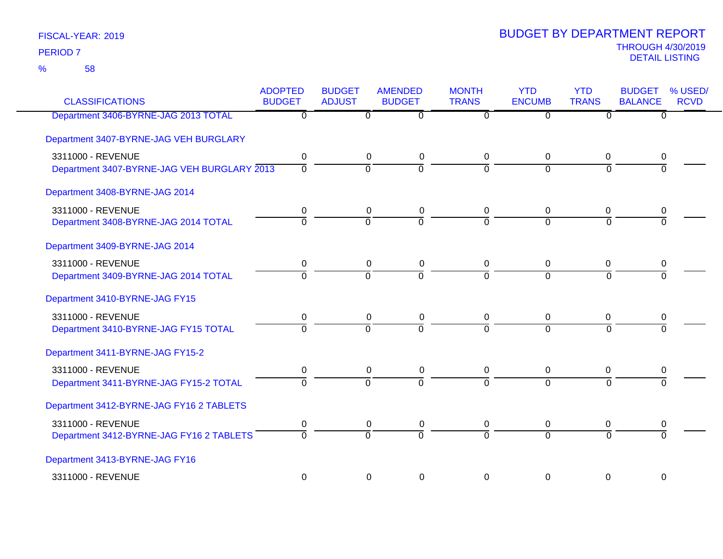| <b>CLASSIFICATIONS</b>                      | <b>ADOPTED</b><br><b>BUDGET</b> | <b>BUDGET</b><br><b>ADJUST</b> | <b>AMENDED</b><br><b>BUDGET</b> | <b>MONTH</b><br><b>TRANS</b> | <b>YTD</b><br><b>ENCUMB</b> | <b>YTD</b><br><b>TRANS</b> | <b>BUDGET</b><br><b>BALANCE</b> | % USED/<br><b>RCVD</b> |
|---------------------------------------------|---------------------------------|--------------------------------|---------------------------------|------------------------------|-----------------------------|----------------------------|---------------------------------|------------------------|
| Department 3406-BYRNE-JAG 2013 TOTAL        | $\overline{\mathfrak{o}}$       | $\overline{0}$                 | $\overline{0}$                  | $\overline{0}$               | $\overline{0}$              | $\overline{0}$             | $\overline{0}$                  |                        |
| Department 3407-BYRNE-JAG VEH BURGLARY      |                                 |                                |                                 |                              |                             |                            |                                 |                        |
| 3311000 - REVENUE                           | 0                               | $\pmb{0}$                      | 0                               | 0                            | $\pmb{0}$                   | $\mathbf 0$                | 0                               |                        |
| Department 3407-BYRNE-JAG VEH BURGLARY 2013 | $\mathbf 0$                     | $\overline{0}$                 | $\overline{0}$                  | $\Omega$                     | $\mathbf 0$                 | $\Omega$                   | $\Omega$                        |                        |
| Department 3408-BYRNE-JAG 2014              |                                 |                                |                                 |                              |                             |                            |                                 |                        |
| 3311000 - REVENUE                           | 0                               | 0                              | 0                               | 0                            | 0                           | 0                          | 0                               |                        |
| Department 3408-BYRNE-JAG 2014 TOTAL        | $\Omega$                        | $\Omega$                       | $\Omega$                        | $\overline{0}$               | $\Omega$                    | $\Omega$                   | $\Omega$                        |                        |
| Department 3409-BYRNE-JAG 2014              |                                 |                                |                                 |                              |                             |                            |                                 |                        |
| 3311000 - REVENUE                           | 0                               | $\mathbf 0$                    | 0                               | 0                            | $\pmb{0}$                   | 0                          | 0                               |                        |
| Department 3409-BYRNE-JAG 2014 TOTAL        | $\overline{0}$                  | $\overline{0}$                 | ō                               | $\overline{0}$               | $\overline{0}$              | $\overline{0}$             | $\Omega$                        |                        |
| Department 3410-BYRNE-JAG FY15              |                                 |                                |                                 |                              |                             |                            |                                 |                        |
| 3311000 - REVENUE                           | 0                               | $\pmb{0}$                      | 0                               | 0                            | $\mathbf 0$                 | $\mathbf 0$                | 0                               |                        |
| Department 3410-BYRNE-JAG FY15 TOTAL        | $\Omega$                        | $\overline{0}$                 | $\Omega$                        | $\Omega$                     | $\Omega$                    | $\Omega$                   | $\Omega$                        |                        |
| Department 3411-BYRNE-JAG FY15-2            |                                 |                                |                                 |                              |                             |                            |                                 |                        |
| 3311000 - REVENUE                           | 0                               | $\mathbf 0$                    | $\mathbf 0$                     | 0                            | $\mathbf 0$                 | $\mathbf 0$                | 0                               |                        |
| Department 3411-BYRNE-JAG FY15-2 TOTAL      | $\overline{0}$                  | $\overline{0}$                 | $\overline{0}$                  | $\overline{0}$               | $\overline{0}$              | $\Omega$                   | $\Omega$                        |                        |
| Department 3412-BYRNE-JAG FY16 2 TABLETS    |                                 |                                |                                 |                              |                             |                            |                                 |                        |
| 3311000 - REVENUE                           | 0                               | $\mathbf 0$                    | 0                               | 0                            | $\mathbf 0$                 | $\mathbf 0$                | 0                               |                        |
| Department 3412-BYRNE-JAG FY16 2 TABLETS    | $\Omega$                        | $\overline{0}$                 | $\Omega$                        | $\overline{0}$               | $\Omega$                    | $\Omega$                   | $\Omega$                        |                        |
| Department 3413-BYRNE-JAG FY16              |                                 |                                |                                 |                              |                             |                            |                                 |                        |
| 3311000 - REVENUE                           | $\mathbf 0$                     | $\mathbf 0$                    | 0                               | 0                            | $\mathbf 0$                 | $\pmb{0}$                  | $\boldsymbol{0}$                |                        |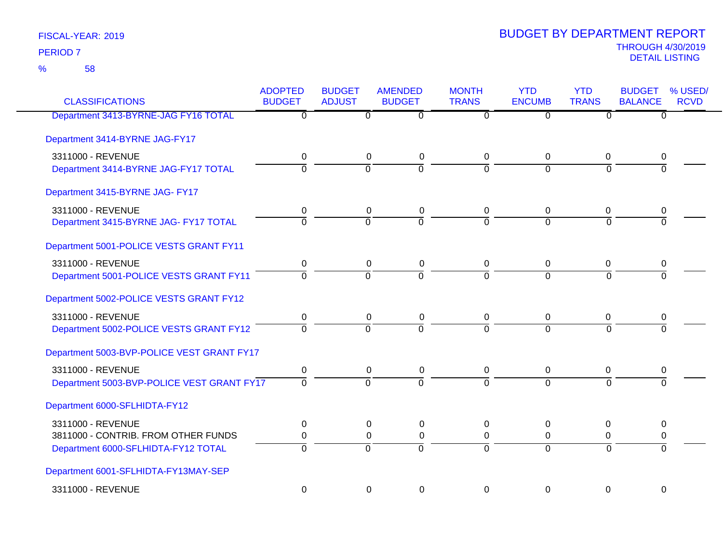| <b>CLASSIFICATIONS</b>                     | <b>ADOPTED</b><br><b>BUDGET</b> | <b>BUDGET</b><br><b>ADJUST</b> | <b>AMENDED</b><br><b>BUDGET</b> | <b>MONTH</b><br><b>TRANS</b> | <b>YTD</b><br><b>ENCUMB</b> | <b>YTD</b><br><b>TRANS</b> | <b>BUDGET</b><br><b>BALANCE</b> | % USED/<br><b>RCVD</b> |
|--------------------------------------------|---------------------------------|--------------------------------|---------------------------------|------------------------------|-----------------------------|----------------------------|---------------------------------|------------------------|
| Department 3413-BYRNE-JAG FY16 TOTAL       | $\overline{0}$                  | $\Omega$                       | $\overline{0}$                  | $\overline{0}$               | $\overline{0}$              | $\overline{0}$             | $\overline{0}$                  |                        |
| Department 3414-BYRNE JAG-FY17             |                                 |                                |                                 |                              |                             |                            |                                 |                        |
| 3311000 - REVENUE                          | 0                               | 0                              | 0                               | 0                            | 0                           | 0                          | 0                               |                        |
| Department 3414-BYRNE JAG-FY17 TOTAL       | $\overline{0}$                  | $\overline{0}$                 | $\overline{0}$                  | $\overline{0}$               | $\Omega$                    | $\Omega$                   | $\Omega$                        |                        |
| Department 3415-BYRNE JAG- FY17            |                                 |                                |                                 |                              |                             |                            |                                 |                        |
| 3311000 - REVENUE                          | 0                               | 0                              | 0                               | 0                            | 0                           | 0                          | 0                               |                        |
| Department 3415-BYRNE JAG- FY17 TOTAL      | $\Omega$                        | $\Omega$                       | $\overline{0}$                  | $\Omega$                     | $\Omega$                    | $\Omega$                   | $\Omega$                        |                        |
| Department 5001-POLICE VESTS GRANT FY11    |                                 |                                |                                 |                              |                             |                            |                                 |                        |
| 3311000 - REVENUE                          | $\mathbf 0$                     | $\boldsymbol{0}$               | $\pmb{0}$                       | $\mathbf 0$                  | $\mathbf 0$                 | $\overline{0}$             | $\mathbf 0$                     |                        |
| Department 5001-POLICE VESTS GRANT FY11    | $\Omega$                        | $\Omega$                       | $\Omega$                        | $\Omega$                     | $\Omega$                    | $\Omega$                   | $\Omega$                        |                        |
| Department 5002-POLICE VESTS GRANT FY12    |                                 |                                |                                 |                              |                             |                            |                                 |                        |
| 3311000 - REVENUE                          | 0                               | 0                              | 0                               | 0                            | 0                           | 0                          | 0                               |                        |
| Department 5002-POLICE VESTS GRANT FY12    | $\overline{0}$                  | $\overline{0}$                 | $\overline{0}$                  | 7                            | $\overline{0}$              | $\overline{0}$             | $\overline{0}$                  |                        |
| Department 5003-BVP-POLICE VEST GRANT FY17 |                                 |                                |                                 |                              |                             |                            |                                 |                        |
| 3311000 - REVENUE                          | 0                               | $\mathbf 0$                    | 0                               | 0                            | $\mathbf 0$                 | 0                          | 0                               |                        |
| Department 5003-BVP-POLICE VEST GRANT FY17 | $\overline{0}$                  | $\overline{0}$                 | $\overline{0}$                  | $\overline{0}$               | $\overline{0}$              | $\overline{0}$             | $\overline{0}$                  |                        |
| Department 6000-SFLHIDTA-FY12              |                                 |                                |                                 |                              |                             |                            |                                 |                        |
| 3311000 - REVENUE                          | 0                               | 0                              | 0                               | 0                            | 0                           | $\mathbf 0$                | 0                               |                        |
| 3811000 - CONTRIB. FROM OTHER FUNDS        | 0                               | 0                              | $\pmb{0}$                       | 0                            | 0                           | 0                          | 0                               |                        |
| Department 6000-SFLHIDTA-FY12 TOTAL        | $\overline{0}$                  | $\Omega$                       | $\overline{0}$                  | $\Omega$                     | $\Omega$                    | $\Omega$                   | $\Omega$                        |                        |
| Department 6001-SFLHIDTA-FY13MAY-SEP       |                                 |                                |                                 |                              |                             |                            |                                 |                        |
| 3311000 - REVENUE                          | $\mathbf 0$                     | $\mathbf 0$                    | $\mathbf 0$                     | $\Omega$                     | $\overline{0}$              | $\mathbf 0$                | $\overline{0}$                  |                        |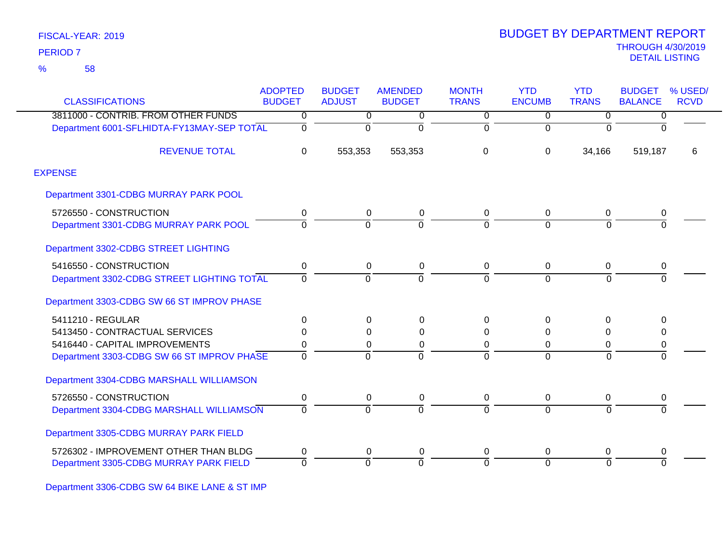58 %

| <b>CLASSIFICATIONS</b>                     | <b>ADOPTED</b><br><b>BUDGET</b> | <b>BUDGET</b><br><b>ADJUST</b> | <b>AMENDED</b><br><b>BUDGET</b> | <b>MONTH</b><br><b>TRANS</b> | <b>YTD</b><br><b>ENCUMB</b> | <b>YTD</b><br><b>TRANS</b> | <b>BUDGET</b><br><b>BALANCE</b> | % USED/<br><b>RCVD</b> |
|--------------------------------------------|---------------------------------|--------------------------------|---------------------------------|------------------------------|-----------------------------|----------------------------|---------------------------------|------------------------|
| 3811000 - CONTRIB. FROM OTHER FUNDS        | 0                               | $\overline{0}$                 | 0                               | $\overline{0}$               | $\mathbf 0$                 | $\mathbf 0$                | 0                               |                        |
| Department 6001-SFLHIDTA-FY13MAY-SEP TOTAL | 0                               | 0                              | $\Omega$                        | $\overline{0}$               | $\Omega$                    | $\Omega$                   | $\Omega$                        |                        |
| <b>REVENUE TOTAL</b>                       | $\Omega$                        | 553,353                        | 553,353                         | 0                            | $\Omega$                    | 34,166                     | 519,187                         | 6                      |
| <b>EXPENSE</b>                             |                                 |                                |                                 |                              |                             |                            |                                 |                        |
| Department 3301-CDBG MURRAY PARK POOL      |                                 |                                |                                 |                              |                             |                            |                                 |                        |
| 5726550 - CONSTRUCTION                     | 0                               | 0                              | 0                               | 0                            | 0                           | 0                          | 0                               |                        |
| Department 3301-CDBG MURRAY PARK POOL      | 0                               | $\Omega$                       | $\Omega$                        | $\overline{0}$               | $\Omega$                    | $\Omega$                   | $\overline{0}$                  |                        |
| Department 3302-CDBG STREET LIGHTING       |                                 |                                |                                 |                              |                             |                            |                                 |                        |
| 5416550 - CONSTRUCTION                     | 0                               | 0                              | 0                               | 0                            | $\mathbf 0$                 | $\mathbf 0$                | 0                               |                        |
| Department 3302-CDBG STREET LIGHTING TOTAL | 0                               | $\Omega$                       | $\Omega$                        | $\Omega$                     | $\Omega$                    | $\Omega$                   | $\Omega$                        |                        |
| Department 3303-CDBG SW 66 ST IMPROV PHASE |                                 |                                |                                 |                              |                             |                            |                                 |                        |
| 5411210 - REGULAR                          | $\Omega$                        | 0                              | $\Omega$                        | $\Omega$                     | $\Omega$                    | $\Omega$                   | 0                               |                        |
| 5413450 - CONTRACTUAL SERVICES             | 0                               | 0                              | $\Omega$                        | 0                            | $\Omega$                    | $\Omega$                   | 0                               |                        |
| 5416440 - CAPITAL IMPROVEMENTS             | 0                               | 0                              | 0                               | 0                            | $\Omega$                    | 0                          | 0                               |                        |
| Department 3303-CDBG SW 66 ST IMPROV PHASE | $\Omega$                        | $\Omega$                       | $\Omega$                        | $\overline{0}$               | $\Omega$                    | $\overline{0}$             | $\overline{0}$                  |                        |
| Department 3304-CDBG MARSHALL WILLIAMSON   |                                 |                                |                                 |                              |                             |                            |                                 |                        |
| 5726550 - CONSTRUCTION                     | 0                               | 0                              | 0                               | 0                            | 0                           | 0                          | 0                               |                        |
| Department 3304-CDBG MARSHALL WILLIAMSON   | 0                               | 0                              | $\Omega$                        | $\mathbf 0$                  | $\Omega$                    | $\overline{0}$             | $\overline{0}$                  |                        |
| Department 3305-CDBG MURRAY PARK FIELD     |                                 |                                |                                 |                              |                             |                            |                                 |                        |
| 5726302 - IMPROVEMENT OTHER THAN BLDG      | 0                               | 0                              | 0                               | 0                            | 0                           | 0                          | 0                               |                        |
| Department 3305-CDBG MURRAY PARK FIELD     | 0                               | $\Omega$                       | $\Omega$                        | 0                            | $\Omega$                    | $\Omega$                   | $\Omega$                        |                        |

Department 3306-CDBG SW 64 BIKE LANE & ST IMP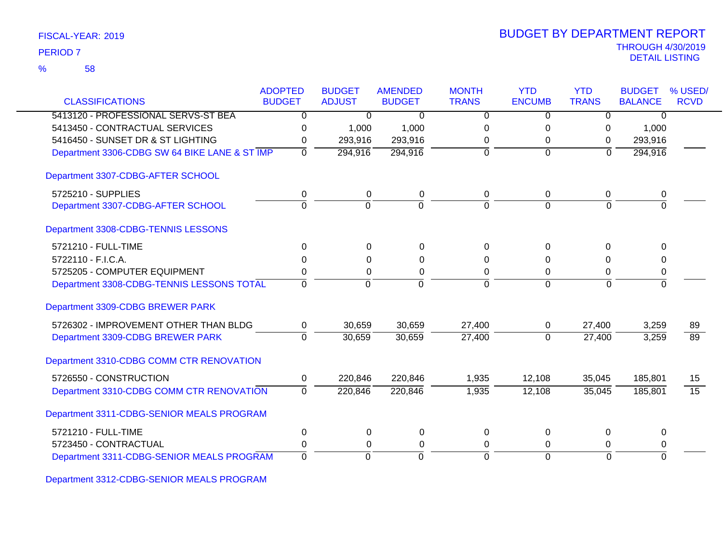| FISCAL-YEAR: 2019 |  |
|-------------------|--|
|                   |  |

|                                               | <b>ADOPTED</b> | <b>BUDGET</b>  | <b>AMENDED</b> | <b>MONTH</b>   | <b>YTD</b>     | <b>YTD</b>          | <b>BUDGET</b>  | % USED/         |
|-----------------------------------------------|----------------|----------------|----------------|----------------|----------------|---------------------|----------------|-----------------|
| <b>CLASSIFICATIONS</b>                        | <b>BUDGET</b>  | <b>ADJUST</b>  | <b>BUDGET</b>  | <b>TRANS</b>   | <b>ENCUMB</b>  | <b>TRANS</b>        | <b>BALANCE</b> | <b>RCVD</b>     |
| 5413120 - PROFESSIONAL SERVS-ST BEA           | 0              | $\Omega$       | $\Omega$       | $\Omega$       | $\Omega$       | 0                   | $\Omega$       |                 |
| 5413450 - CONTRACTUAL SERVICES                | 0              | 1,000          | 1,000          | $\Omega$       | 0              | 0                   | 1,000          |                 |
| 5416450 - SUNSET DR & ST LIGHTING             | 0              | 293,916        | 293,916        | 0              | 0              | 0                   | 293,916        |                 |
| Department 3306-CDBG SW 64 BIKE LANE & ST IMP | $\mathbf 0$    | 294,916        | 294,916        | $\overline{0}$ | $\mathbf 0$    | $\overline{0}$      | 294,916        |                 |
| Department 3307-CDBG-AFTER SCHOOL             |                |                |                |                |                |                     |                |                 |
| 5725210 - SUPPLIES                            | 0              | $\mathbf 0$    | $\pmb{0}$      | 0              | 0              | 0                   | 0              |                 |
| Department 3307-CDBG-AFTER SCHOOL             | $\overline{0}$ | $\overline{0}$ | $\mathbf 0$    | $\Omega$       | $\overline{0}$ | $\mathbf 0$         | $\Omega$       |                 |
| Department 3308-CDBG-TENNIS LESSONS           |                |                |                |                |                |                     |                |                 |
| 5721210 - FULL-TIME                           | $\Omega$       | $\Omega$       | $\Omega$       | $\Omega$       | 0              | $\Omega$            | $\Omega$       |                 |
| 5722110 - F.I.C.A.                            | 0              | 0              | $\Omega$       | 0              | 0              | 0                   | $\Omega$       |                 |
| 5725205 - COMPUTER EQUIPMENT                  | 0              | 0              | 0              | $\Omega$       | 0              | 0                   | 0              |                 |
| Department 3308-CDBG-TENNIS LESSONS TOTAL     | 0              | $\Omega$       | $\Omega$       | $\Omega$       | $\Omega$       | $\Omega$            | $\overline{0}$ |                 |
| Department 3309-CDBG BREWER PARK              |                |                |                |                |                |                     |                |                 |
| 5726302 - IMPROVEMENT OTHER THAN BLDG         | 0              | 30,659         | 30,659         | 27,400         | 0              | 27,400              | 3,259          | 89              |
| Department 3309-CDBG BREWER PARK              | $\mathbf 0$    | 30,659         | 30,659         | 27,400         | $\mathbf 0$    | $\overline{27,400}$ | 3,259          | $\overline{89}$ |
| Department 3310-CDBG COMM CTR RENOVATION      |                |                |                |                |                |                     |                |                 |
| 5726550 - CONSTRUCTION                        | 0              | 220,846        | 220,846        | 1,935          | 12,108         | 35,045              | 185,801        | 15              |
| Department 3310-CDBG COMM CTR RENOVATION      | $\overline{0}$ | 220,846        | 220,846        | 1,935          | 12,108         | 35,045              | 185,801        | $\overline{15}$ |
| Department 3311-CDBG-SENIOR MEALS PROGRAM     |                |                |                |                |                |                     |                |                 |
| 5721210 - FULL-TIME                           | $\pmb{0}$      | $\mathbf 0$    | $\mathbf 0$    | $\mathbf 0$    | 0              | 0                   | $\Omega$       |                 |
| 5723450 - CONTRACTUAL                         | 0              | 0              | 0              | $\Omega$       | 0              | 0                   | 0              |                 |
| Department 3311-CDBG-SENIOR MEALS PROGRAM     | $\Omega$       | $\Omega$       | $\Omega$       | $\Omega$       | $\Omega$       | $\Omega$            | $\overline{0}$ |                 |

Department 3312-CDBG-SENIOR MEALS PROGRAM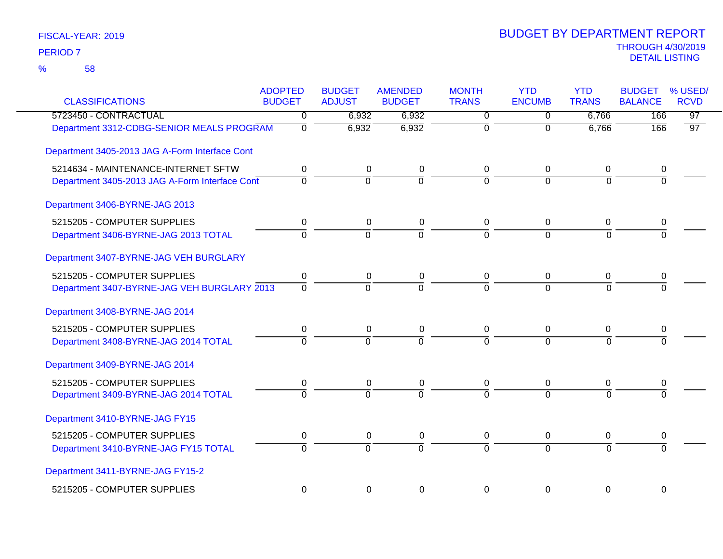| <b>CLASSIFICATIONS</b>                         | <b>ADOPTED</b><br><b>BUDGET</b> | <b>BUDGET</b><br><b>ADJUST</b> | <b>AMENDED</b><br><b>BUDGET</b> | <b>MONTH</b><br><b>TRANS</b> | <b>YTD</b><br><b>ENCUMB</b> | <b>YTD</b><br><b>TRANS</b> | <b>BUDGET</b><br><b>BALANCE</b> | % USED/<br><b>RCVD</b> |
|------------------------------------------------|---------------------------------|--------------------------------|---------------------------------|------------------------------|-----------------------------|----------------------------|---------------------------------|------------------------|
| 5723450 - CONTRACTUAL                          | 0                               | 6,932                          | 6,932                           | $\overline{0}$               | 0                           | 6,766                      | 166                             | $\overline{97}$        |
| Department 3312-CDBG-SENIOR MEALS PROGRAM      | $\overline{0}$                  | 6,932                          | 6,932                           | $\overline{0}$               | $\overline{0}$              | 6,766                      | 166                             | $\overline{97}$        |
| Department 3405-2013 JAG A-Form Interface Cont |                                 |                                |                                 |                              |                             |                            |                                 |                        |
| 5214634 - MAINTENANCE-INTERNET SFTW            | 0                               | 0                              | 0                               | 0                            | 0                           | 0                          | 0                               |                        |
| Department 3405-2013 JAG A-Form Interface Cont | $\overline{0}$                  | $\Omega$                       | 0                               | $\overline{0}$               | $\overline{0}$              | $\Omega$                   | $\overline{0}$                  |                        |
| Department 3406-BYRNE-JAG 2013                 |                                 |                                |                                 |                              |                             |                            |                                 |                        |
| 5215205 - COMPUTER SUPPLIES                    | 0                               | 0                              | $\mathbf 0$                     | 0                            | 0                           | $\mathbf 0$                | 0                               |                        |
| Department 3406-BYRNE-JAG 2013 TOTAL           | $\mathbf 0$                     | $\mathbf 0$                    | $\overline{0}$                  | $\Omega$                     | $\Omega$                    | $\Omega$                   | $\Omega$                        |                        |
| Department 3407-BYRNE-JAG VEH BURGLARY         |                                 |                                |                                 |                              |                             |                            |                                 |                        |
| 5215205 - COMPUTER SUPPLIES                    | 0                               | $\mathbf 0$                    | 0                               | 0                            | $\pmb{0}$                   | 0                          | 0                               |                        |
| Department 3407-BYRNE-JAG VEH BURGLARY 2013    | $\Omega$                        | $\Omega$                       | $\overline{0}$                  | $\overline{0}$               | $\overline{0}$              | $\Omega$                   | $\Omega$                        |                        |
| Department 3408-BYRNE-JAG 2014                 |                                 |                                |                                 |                              |                             |                            |                                 |                        |
| 5215205 - COMPUTER SUPPLIES                    | 0                               | 0                              | 0                               | 0                            | 0                           | 0                          | 0                               |                        |
| Department 3408-BYRNE-JAG 2014 TOTAL           | $\Omega$                        | $\Omega$                       | $\overline{0}$                  | $\Omega$                     | $\Omega$                    | $\Omega$                   | 0                               |                        |
| Department 3409-BYRNE-JAG 2014                 |                                 |                                |                                 |                              |                             |                            |                                 |                        |
| 5215205 - COMPUTER SUPPLIES                    | 0                               | 0                              | 0                               | 0                            | 0                           | 0                          | 0                               |                        |
| Department 3409-BYRNE-JAG 2014 TOTAL           | $\overline{0}$                  | $\Omega$                       | $\overline{0}$                  | $\overline{0}$               | $\overline{0}$              | $\overline{0}$             | $\overline{0}$                  |                        |
| Department 3410-BYRNE-JAG FY15                 |                                 |                                |                                 |                              |                             |                            |                                 |                        |
| 5215205 - COMPUTER SUPPLIES                    | 0                               | 0                              | 0                               | 0                            | 0                           | 0                          | 0                               |                        |
| Department 3410-BYRNE-JAG FY15 TOTAL           | $\overline{0}$                  | $\mathbf 0$                    | $\overline{0}$                  | $\overline{0}$               | $\Omega$                    | $\Omega$                   | 0                               |                        |
| Department 3411-BYRNE-JAG FY15-2               |                                 |                                |                                 |                              |                             |                            |                                 |                        |
| 5215205 - COMPUTER SUPPLIES                    | 0                               | 0                              | 0                               | 0                            | 0                           | 0                          | 0                               |                        |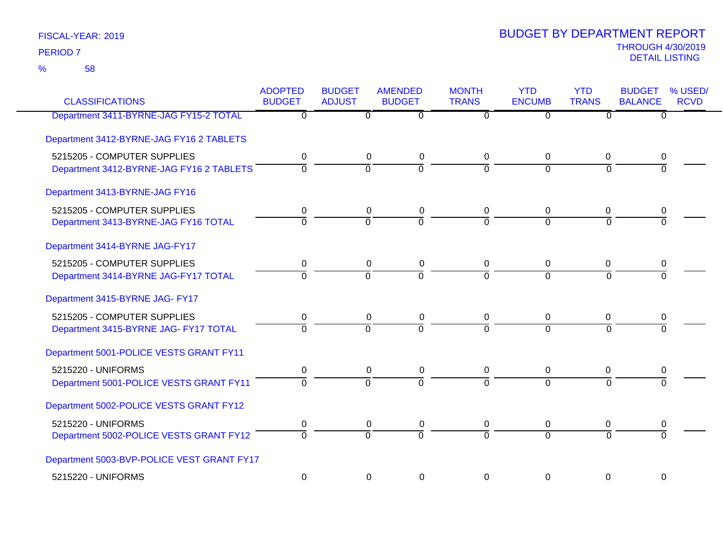58 %

| <b>CLASSIFICATIONS</b>                                                  | <b>ADOPTED</b><br><b>BUDGET</b> | <b>BUDGET</b><br><b>ADJUST</b> | <b>AMENDED</b><br><b>BUDGET</b> | <b>MONTH</b><br><b>TRANS</b>  | <b>YTD</b><br><b>ENCUMB</b> | <b>YTD</b><br><b>TRANS</b>    | <b>BUDGET</b><br><b>BALANCE</b> | % USED/<br><b>RCVD</b> |
|-------------------------------------------------------------------------|---------------------------------|--------------------------------|---------------------------------|-------------------------------|-----------------------------|-------------------------------|---------------------------------|------------------------|
| Department 3411-BYRNE-JAG FY15-2 TOTAL                                  | 0                               | $\mathbf{0}$                   | $\Omega$                        | 0                             | $\Omega$                    | $\Omega$                      | 0                               |                        |
| Department 3412-BYRNE-JAG FY16 2 TABLETS                                |                                 |                                |                                 |                               |                             |                               |                                 |                        |
| 5215205 - COMPUTER SUPPLIES<br>Department 3412-BYRNE-JAG FY16 2 TABLETS | 0<br>$\Omega$                   | $\mathbf 0$<br>$\overline{0}$  | $\pmb{0}$<br>$\overline{0}$     | $\mathbf 0$<br>$\overline{0}$ | 0<br>$\mathbf 0$            | $\mathbf 0$<br>$\Omega$       | 0<br>$\Omega$                   |                        |
| Department 3413-BYRNE-JAG FY16                                          |                                 |                                |                                 |                               |                             |                               |                                 |                        |
| 5215205 - COMPUTER SUPPLIES<br>Department 3413-BYRNE-JAG FY16 TOTAL     | 0<br>0                          | 0<br>$\overline{0}$            | 0<br>0                          | 0<br>$\overline{0}$           | 0<br>$\overline{0}$         | $\mathbf 0$<br>$\overline{0}$ | 0<br>$\overline{0}$             |                        |
| Department 3414-BYRNE JAG-FY17                                          |                                 |                                |                                 |                               |                             |                               |                                 |                        |
| 5215205 - COMPUTER SUPPLIES<br>Department 3414-BYRNE JAG-FY17 TOTAL     | 0<br>0                          | 0<br>$\overline{0}$            | 0<br>ō                          | 0<br>$\overline{0}$           | $\Omega$<br>$\overline{0}$  | 0<br>$\overline{0}$           | 0<br>$\overline{0}$             |                        |
| Department 3415-BYRNE JAG- FY17                                         |                                 |                                |                                 |                               |                             |                               |                                 |                        |
| 5215205 - COMPUTER SUPPLIES<br>Department 3415-BYRNE JAG- FY17 TOTAL    | 0<br>$\overline{0}$             | 0<br>$\Omega$                  | 0<br>$\overline{0}$             | 0<br>$\Omega$                 | 0<br>$\Omega$               | 0<br>$\Omega$                 | 0<br>$\Omega$                   |                        |
| Department 5001-POLICE VESTS GRANT FY11                                 |                                 |                                |                                 |                               |                             |                               |                                 |                        |
| 5215220 - UNIFORMS<br>Department 5001-POLICE VESTS GRANT FY11           | 0<br>$\overline{0}$             | 0<br>$\overline{0}$            | 0<br>$\overline{0}$             | 0<br>$\overline{0}$           | 0<br>$\Omega$               | 0<br>$\overline{0}$           | 0<br>$\Omega$                   |                        |
| Department 5002-POLICE VESTS GRANT FY12                                 |                                 |                                |                                 |                               |                             |                               |                                 |                        |
| 5215220 - UNIFORMS<br>Department 5002-POLICE VESTS GRANT FY12           | 0<br>$\overline{0}$             | 0<br>$\overline{0}$            | 0<br>$\overline{0}$             | 0<br>$\overline{0}$           | 0<br>$\Omega$               | 0<br>$\overline{0}$           | 0<br>$\overline{0}$             |                        |
| Department 5003-BVP-POLICE VEST GRANT FY17                              |                                 |                                |                                 |                               |                             |                               |                                 |                        |
| 5215220 - UNIFORMS                                                      | $\mathbf 0$                     | $\mathbf 0$                    | 0                               | $\Omega$                      | $\Omega$                    | 0                             | 0                               |                        |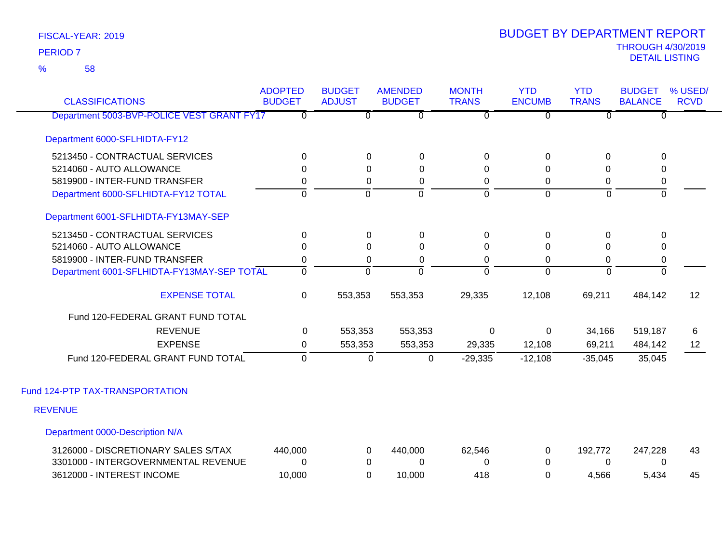58 %

| <b>CLASSIFICATIONS</b>                     | <b>ADOPTED</b><br><b>BUDGET</b> | <b>BUDGET</b><br><b>ADJUST</b> | <b>AMENDED</b><br><b>BUDGET</b> | <b>MONTH</b><br><b>TRANS</b> | <b>YTD</b><br><b>ENCUMB</b> | <b>YTD</b><br><b>TRANS</b> | <b>BUDGET</b><br><b>BALANCE</b> | % USED/<br><b>RCVD</b> |
|--------------------------------------------|---------------------------------|--------------------------------|---------------------------------|------------------------------|-----------------------------|----------------------------|---------------------------------|------------------------|
| Department 5003-BVP-POLICE VEST GRANT FY17 | $\overline{0}$                  | $\overline{0}$                 | $\overline{0}$                  | $\overline{0}$               | $\overline{0}$              | $\overline{0}$             | $\overline{0}$                  |                        |
| Department 6000-SFLHIDTA-FY12              |                                 |                                |                                 |                              |                             |                            |                                 |                        |
| 5213450 - CONTRACTUAL SERVICES             | $\Omega$                        | 0                              | $\mathbf 0$                     | $\mathbf 0$                  | $\mathbf 0$                 | 0                          | 0                               |                        |
| 5214060 - AUTO ALLOWANCE                   | $\Omega$                        | $\Omega$                       | $\Omega$                        | 0                            | $\Omega$                    | $\Omega$                   | 0                               |                        |
| 5819900 - INTER-FUND TRANSFER              | 0                               | 0                              | 0                               | 0                            | $\mathbf 0$                 | $\mathbf 0$                | $\pmb{0}$                       |                        |
| Department 6000-SFLHIDTA-FY12 TOTAL        | $\overline{0}$                  | $\overline{0}$                 | ō                               | ō                            | $\overline{0}$              | $\overline{0}$             | $\overline{0}$                  |                        |
| Department 6001-SFLHIDTA-FY13MAY-SEP       |                                 |                                |                                 |                              |                             |                            |                                 |                        |
| 5213450 - CONTRACTUAL SERVICES             | $\mathbf 0$                     | 0                              | $\mathbf 0$                     | $\mathbf 0$                  | $\pmb{0}$                   | 0                          | 0                               |                        |
| 5214060 - AUTO ALLOWANCE                   | $\Omega$                        | $\Omega$                       | 0                               | $\mathbf 0$                  | 0                           | $\Omega$                   | 0                               |                        |
| 5819900 - INTER-FUND TRANSFER              | 0                               | $\Omega$                       | 0                               | 0                            | 0                           | 0                          | $\pmb{0}$                       |                        |
| Department 6001-SFLHIDTA-FY13MAY-SEP TOTAL | $\overline{0}$                  | $\Omega$                       | $\Omega$                        | $\Omega$                     | $\Omega$                    | $\overline{0}$             | $\overline{0}$                  |                        |
| <b>EXPENSE TOTAL</b>                       | 0                               | 553,353                        | 553,353                         | 29,335                       | 12,108                      | 69,211                     | 484,142                         | 12                     |
| Fund 120-FEDERAL GRANT FUND TOTAL          |                                 |                                |                                 |                              |                             |                            |                                 |                        |
| <b>REVENUE</b>                             | 0                               | 553,353                        | 553,353                         | 0                            | $\mathbf 0$                 | 34,166                     | 519,187                         | 6                      |
| <b>EXPENSE</b>                             | 0                               | 553,353                        | 553,353                         | 29,335                       | 12,108                      | 69,211                     | 484,142                         | 12                     |
| Fund 120-FEDERAL GRANT FUND TOTAL          | $\mathbf 0$                     | $\mathbf 0$                    | $\mathbf 0$                     | $-29,335$                    | $-12,108$                   | $-35,045$                  | 35,045                          |                        |
| Fund 124-PTP TAX-TRANSPORTATION            |                                 |                                |                                 |                              |                             |                            |                                 |                        |
| <b>REVENUE</b>                             |                                 |                                |                                 |                              |                             |                            |                                 |                        |
| Department 0000-Description N/A            |                                 |                                |                                 |                              |                             |                            |                                 |                        |
| 3126000 - DISCRETIONARY SALES S/TAX        | 440,000                         | 0                              | 440,000                         | 62,546                       | 0                           | 192,772                    | 247,228                         | 43                     |
| 3301000 - INTERGOVERNMENTAL REVENUE        | $\Omega$                        | 0                              | $\Omega$                        | 0                            | $\Omega$                    | $\Omega$                   | $\mathbf{0}$                    |                        |
| 3612000 - INTEREST INCOME                  | 10,000                          | $\Omega$                       | 10,000                          | 418                          | $\Omega$                    | 4,566                      | 5,434                           | 45                     |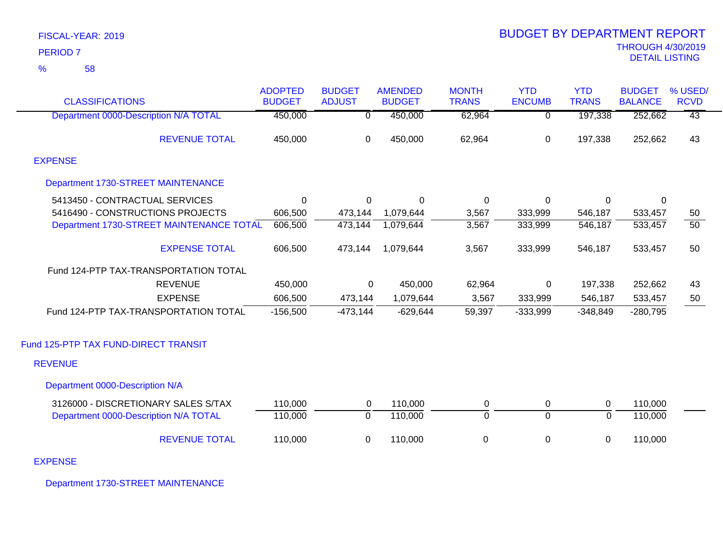|                 | FISCAL-YEAR: 2019 |
|-----------------|-------------------|
| <b>PERIOD 7</b> |                   |
| $\%$            | 58                |

| <b>CLASSIFICATIONS</b>                   | <b>ADOPTED</b><br><b>BUDGET</b> | <b>BUDGET</b><br><b>ADJUST</b> | <b>AMENDED</b><br><b>BUDGET</b> | <b>MONTH</b><br><b>TRANS</b> | <b>YTD</b><br><b>ENCUMB</b> | <b>YTD</b><br><b>TRANS</b> | <b>BUDGET</b><br><b>BALANCE</b> | % USED/<br><b>RCVD</b> |
|------------------------------------------|---------------------------------|--------------------------------|---------------------------------|------------------------------|-----------------------------|----------------------------|---------------------------------|------------------------|
| Department 0000-Description N/A TOTAL    | 450,000                         | $\overline{0}$                 | 450,000                         | 62,964                       | $\overline{0}$              | 197,338                    | 252,662                         | $\overline{43}$        |
| <b>REVENUE TOTAL</b>                     | 450,000                         | 0                              | 450,000                         | 62,964                       | $\mathbf 0$                 | 197,338                    | 252,662                         | 43                     |
| <b>EXPENSE</b>                           |                                 |                                |                                 |                              |                             |                            |                                 |                        |
| Department 1730-STREET MAINTENANCE       |                                 |                                |                                 |                              |                             |                            |                                 |                        |
| 5413450 - CONTRACTUAL SERVICES           | 0                               | 0                              | 0                               | $\mathbf 0$                  | $\pmb{0}$                   | 0                          | $\mathbf 0$                     |                        |
| 5416490 - CONSTRUCTIONS PROJECTS         | 606,500                         | 473,144                        | 1,079,644                       | 3,567                        | 333,999                     | 546,187                    | 533,457                         | 50                     |
| Department 1730-STREET MAINTENANCE TOTAL | 606,500                         | 473,144                        | 1,079,644                       | 3,567                        | 333,999                     | 546,187                    | 533,457                         | $\overline{50}$        |
| <b>EXPENSE TOTAL</b>                     | 606,500                         | 473,144                        | 1,079,644                       | 3,567                        | 333,999                     | 546,187                    | 533,457                         | 50                     |
| Fund 124-PTP TAX-TRANSPORTATION TOTAL    |                                 |                                |                                 |                              |                             |                            |                                 |                        |
| <b>REVENUE</b>                           | 450,000                         | 0                              | 450,000                         | 62,964                       | $\mathsf 0$                 | 197,338                    | 252,662                         | 43                     |
| <b>EXPENSE</b>                           | 606,500                         | 473,144                        | 1,079,644                       | 3,567                        | 333,999                     | 546,187                    | 533,457                         | 50                     |
| Fund 124-PTP TAX-TRANSPORTATION TOTAL    | $-156,500$                      | $-473,144$                     | $-629,644$                      | 59,397                       | $-333,999$                  | $-348,849$                 | $-280,795$                      |                        |
| Fund 125-PTP TAX FUND-DIRECT TRANSIT     |                                 |                                |                                 |                              |                             |                            |                                 |                        |
| <b>REVENUE</b>                           |                                 |                                |                                 |                              |                             |                            |                                 |                        |
| Department 0000-Description N/A          |                                 |                                |                                 |                              |                             |                            |                                 |                        |
| 3126000 - DISCRETIONARY SALES S/TAX      | 110,000                         | 0                              | 110,000                         | $\mathbf 0$                  | 0                           | $\mathbf 0$                | 110,000                         |                        |
| Department 0000-Description N/A TOTAL    | 110,000                         | $\overline{0}$                 | 110,000                         | $\overline{0}$               | $\overline{0}$              | $\overline{0}$             | 110,000                         |                        |
| <b>REVENUE TOTAL</b>                     | 110,000                         | 0                              | 110,000                         | 0                            | $\pmb{0}$                   | 0                          | 110,000                         |                        |

EXPENSE

Department 1730-STREET MAINTENANCE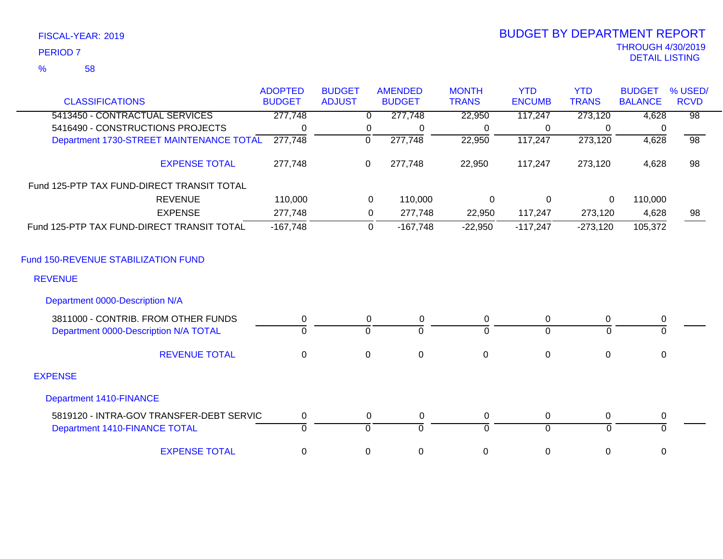| FISCAL-YEAR: 2019 |  |
|-------------------|--|
| <b>PERIOD 7</b>   |  |

|                                            | <b>ADOPTED</b> | <b>BUDGET</b> | <b>AMENDED</b>            | <b>MONTH</b> | <b>YTD</b>     | <b>YTD</b>   | <b>BUDGET</b>  | % USED/         |
|--------------------------------------------|----------------|---------------|---------------------------|--------------|----------------|--------------|----------------|-----------------|
| <b>CLASSIFICATIONS</b>                     | <b>BUDGET</b>  | <b>ADJUST</b> | <b>BUDGET</b>             | <b>TRANS</b> | <b>ENCUMB</b>  | <b>TRANS</b> | <b>BALANCE</b> | <b>RCVD</b>     |
| 5413450 - CONTRACTUAL SERVICES             | 277,748        |               | 277,748<br>$\overline{0}$ | 22,950       | 117,247        | 273,120      | 4,628          | $\overline{98}$ |
| 5416490 - CONSTRUCTIONS PROJECTS           | 0              |               | 0<br>0                    | 0            | 0              | $\Omega$     | 0              |                 |
| Department 1730-STREET MAINTENANCE TOTAL   | 277,748        | 0             | 277,748                   | 22,950       | 117,247        | 273,120      | 4,628          | $\overline{98}$ |
| <b>EXPENSE TOTAL</b>                       | 277,748        | 0             | 277,748                   | 22,950       | 117,247        | 273,120      | 4,628          | 98              |
| Fund 125-PTP TAX FUND-DIRECT TRANSIT TOTAL |                |               |                           |              |                |              |                |                 |
| <b>REVENUE</b>                             | 110,000        |               | 0<br>110,000              | 0            | $\Omega$       | $\mathbf{0}$ | 110,000        |                 |
| <b>EXPENSE</b>                             | 277,748        |               | 277,748<br>0              | 22,950       | 117,247        | 273,120      | 4,628          | 98              |
| Fund 125-PTP TAX FUND-DIRECT TRANSIT TOTAL | $-167,748$     |               | $-167,748$<br>$\mathbf 0$ | $-22,950$    | $-117,247$     | $-273,120$   | 105,372        |                 |
| Fund 150-REVENUE STABILIZATION FUND        |                |               |                           |              |                |              |                |                 |
| <b>REVENUE</b>                             |                |               |                           |              |                |              |                |                 |
| Department 0000-Description N/A            |                |               |                           |              |                |              |                |                 |
| 3811000 - CONTRIB. FROM OTHER FUNDS        | 0              |               | 0<br>0                    | 0            | 0              | $\mathbf{0}$ | 0              |                 |
| Department 0000-Description N/A TOTAL      | $\Omega$       | $\mathbf 0$   | $\overline{0}$            | $\Omega$     | $\overline{0}$ | $\Omega$     | $\overline{0}$ |                 |
| <b>REVENUE TOTAL</b>                       | $\Omega$       | $\mathbf 0$   | $\mathbf 0$               | $\mathbf 0$  | $\mathbf 0$    | 0            | 0              |                 |
| <b>EXPENSE</b>                             |                |               |                           |              |                |              |                |                 |
| <b>Department 1410-FINANCE</b>             |                |               |                           |              |                |              |                |                 |
| 5819120 - INTRA-GOV TRANSFER-DEBT SERVIC   | $\pmb{0}$      |               | 0<br>0                    | 0            | $\mathbf 0$    | 0            | 0              |                 |
| Department 1410-FINANCE TOTAL              | $\Omega$       | $\Omega$      | $\Omega$                  | $\Omega$     | $\Omega$       | $\Omega$     | $\Omega$       |                 |
| <b>EXPENSE TOTAL</b>                       | 0              | 0             | $\pmb{0}$                 | $\mathbf 0$  | $\mathbf 0$    | 0            | 0              |                 |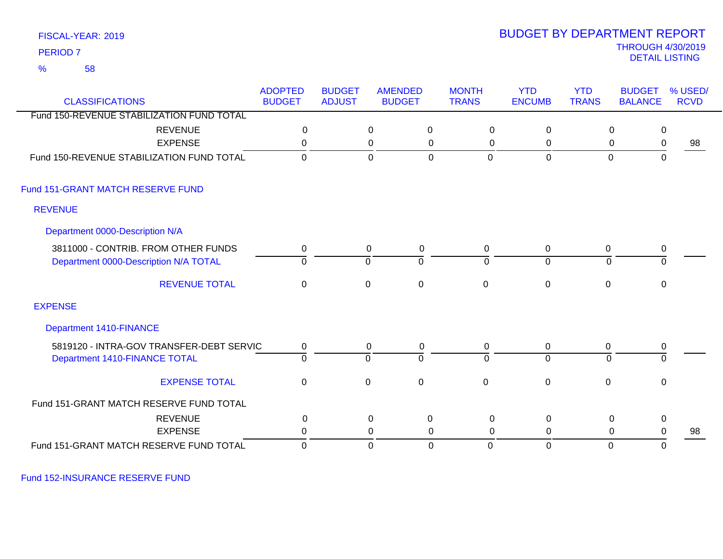58 %

### THROUGH 4/30/2019<br>DETAIL LISTING DETAIL LISTING PERIOD <sup>7</sup> BUDGET BY DEPARTMENT REPORT

| <b>CLASSIFICATIONS</b>                    | <b>ADOPTED</b><br><b>BUDGET</b> | <b>BUDGET</b><br><b>ADJUST</b> |             | <b>AMENDED</b><br><b>BUDGET</b> | <b>MONTH</b><br><b>TRANS</b> | <b>YTD</b><br><b>ENCUMB</b> | <b>YTD</b><br><b>TRANS</b> | <b>BUDGET</b><br><b>BALANCE</b> | % USED/<br><b>RCVD</b> |
|-------------------------------------------|---------------------------------|--------------------------------|-------------|---------------------------------|------------------------------|-----------------------------|----------------------------|---------------------------------|------------------------|
| Fund 150-REVENUE STABILIZATION FUND TOTAL |                                 |                                |             |                                 |                              |                             |                            |                                 |                        |
| <b>REVENUE</b>                            | $\mathbf 0$                     |                                | $\pmb{0}$   | $\mathbf 0$                     | 0                            | $\mathbf 0$                 | $\boldsymbol{0}$           | $\mathbf 0$                     |                        |
| <b>EXPENSE</b>                            | 0                               |                                | $\mathbf 0$ | $\mathbf 0$                     | 0                            | $\mathbf 0$                 | 0                          | $\mathbf 0$                     | 98                     |
| Fund 150-REVENUE STABILIZATION FUND TOTAL | $\Omega$                        |                                | $\mathbf 0$ | $\mathbf 0$                     | $\overline{0}$               | $\mathbf 0$                 | $\overline{0}$             | $\mathbf 0$                     |                        |
| Fund 151-GRANT MATCH RESERVE FUND         |                                 |                                |             |                                 |                              |                             |                            |                                 |                        |
| <b>REVENUE</b>                            |                                 |                                |             |                                 |                              |                             |                            |                                 |                        |
| Department 0000-Description N/A           |                                 |                                |             |                                 |                              |                             |                            |                                 |                        |
| 3811000 - CONTRIB. FROM OTHER FUNDS       | 0                               |                                | 0           | 0                               | 0                            | 0                           | $\mathbf 0$                | $\overline{0}$                  |                        |
| Department 0000-Description N/A TOTAL     | $\Omega$                        |                                | $\mathbf 0$ | ō                               | $\overline{0}$               | $\overline{0}$              | $\Omega$                   | $\overline{0}$                  |                        |
| <b>REVENUE TOTAL</b>                      | 0                               |                                | 0           | $\mathbf 0$                     | $\mathbf 0$                  | $\pmb{0}$                   | 0                          | 0                               |                        |
| <b>EXPENSE</b>                            |                                 |                                |             |                                 |                              |                             |                            |                                 |                        |
| <b>Department 1410-FINANCE</b>            |                                 |                                |             |                                 |                              |                             |                            |                                 |                        |
| 5819120 - INTRA-GOV TRANSFER-DEBT SERVIC  | 0                               |                                | 0           | 0                               | 0                            | $\mathbf 0$                 | 0                          | $\mathbf 0$                     |                        |
| Department 1410-FINANCE TOTAL             | 0                               |                                | $\mathbf 0$ | $\overline{0}$                  | $\overline{0}$               | $\overline{0}$              | $\mathbf 0$                | $\overline{0}$                  |                        |
| <b>EXPENSE TOTAL</b>                      | 0                               |                                | 0           | $\mathbf 0$                     | $\mathbf 0$                  | $\mathbf 0$                 | 0                          | 0                               |                        |
| Fund 151-GRANT MATCH RESERVE FUND TOTAL   |                                 |                                |             |                                 |                              |                             |                            |                                 |                        |
| <b>REVENUE</b>                            | $\mathbf 0$                     |                                | $\pmb{0}$   | 0                               | $\mathbf 0$                  | $\mathbf 0$                 | 0                          | $\mathbf 0$                     |                        |
| <b>EXPENSE</b>                            | $\Omega$                        |                                | $\mathbf 0$ | 0                               | 0                            | 0                           | 0                          | $\mathbf 0$                     | 98                     |
| Fund 151-GRANT MATCH RESERVE FUND TOTAL   | $\Omega$                        |                                | $\mathbf 0$ | $\overline{0}$                  | $\mathbf 0$                  | $\overline{0}$              | $\mathbf{0}$               | $\mathbf 0$                     |                        |

Fund 152-INSURANCE RESERVE FUND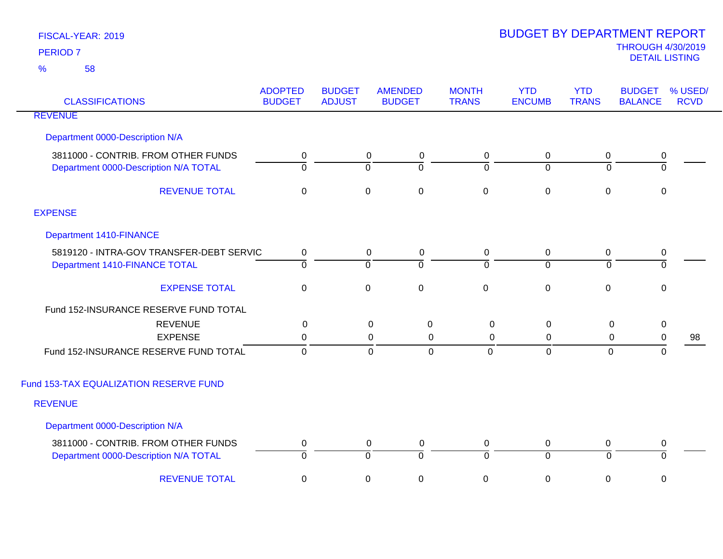| <b>CLASSIFICATIONS</b>                                                       | <b>ADOPTED</b><br><b>BUDGET</b> | <b>BUDGET</b><br><b>ADJUST</b> | <b>AMENDED</b><br><b>BUDGET</b> | <b>MONTH</b><br><b>TRANS</b> | <b>YTD</b><br><b>ENCUMB</b>   | <b>YTD</b><br><b>TRANS</b> | <b>BUDGET</b><br><b>BALANCE</b> | % USED/<br><b>RCVD</b> |
|------------------------------------------------------------------------------|---------------------------------|--------------------------------|---------------------------------|------------------------------|-------------------------------|----------------------------|---------------------------------|------------------------|
| <b>REVENUE</b>                                                               |                                 |                                |                                 |                              |                               |                            |                                 |                        |
| Department 0000-Description N/A                                              |                                 |                                |                                 |                              |                               |                            |                                 |                        |
| 3811000 - CONTRIB. FROM OTHER FUNDS<br>Department 0000-Description N/A TOTAL | 0<br>$\overline{0}$             | $\overline{0}$                 | 0<br>$\mathbf 0$<br>0           | 0<br>$\overline{0}$          | $\mathbf 0$<br>$\overline{0}$ | 0<br>$\mathbf 0$           | $\pmb{0}$<br>ō                  |                        |
| <b>REVENUE TOTAL</b>                                                         | $\pmb{0}$                       | $\pmb{0}$                      | $\pmb{0}$                       | $\pmb{0}$                    | $\mathbf 0$                   | $\mathbf 0$                | $\pmb{0}$                       |                        |
| <b>EXPENSE</b>                                                               |                                 |                                |                                 |                              |                               |                            |                                 |                        |
| Department 1410-FINANCE                                                      |                                 |                                |                                 |                              |                               |                            |                                 |                        |
| 5819120 - INTRA-GOV TRANSFER-DEBT SERVIC                                     | $\mathbf 0$                     |                                | $\mathbf 0$<br>0                | 0                            | $\mathbf 0$                   | $\mathbf 0$                | 0                               |                        |
| Department 1410-FINANCE TOTAL                                                | $\overline{0}$                  | $\overline{0}$                 | ō                               | $\overline{0}$               | $\overline{0}$                | $\mathbf 0$                | $\overline{0}$                  |                        |
| <b>EXPENSE TOTAL</b>                                                         | $\pmb{0}$                       | $\mathbf 0$                    | $\pmb{0}$                       | $\pmb{0}$                    | $\pmb{0}$                     | $\mathbf 0$                | $\mathbf 0$                     |                        |
| Fund 152-INSURANCE RESERVE FUND TOTAL                                        |                                 |                                |                                 |                              |                               |                            |                                 |                        |
| <b>REVENUE</b>                                                               | $\mathbf 0$                     |                                | $\mathsf 0$<br>$\mathbf 0$      | $\mathsf 0$                  | $\mathbf 0$                   | $\mathbf 0$                | $\pmb{0}$                       |                        |
| <b>EXPENSE</b>                                                               | 0                               |                                | 0<br>0                          | 0                            | 0                             | 0                          | 0                               | 98                     |
| Fund 152-INSURANCE RESERVE FUND TOTAL                                        | $\mathbf 0$                     |                                | $\mathbf 0$<br>$\mathbf 0$      | $\overline{0}$               | $\mathbf 0$                   | $\mathbf 0$                | $\mathbf 0$                     |                        |
| Fund 153-TAX EQUALIZATION RESERVE FUND                                       |                                 |                                |                                 |                              |                               |                            |                                 |                        |
| <b>REVENUE</b>                                                               |                                 |                                |                                 |                              |                               |                            |                                 |                        |
| Department 0000-Description N/A                                              |                                 |                                |                                 |                              |                               |                            |                                 |                        |
| 3811000 - CONTRIB. FROM OTHER FUNDS                                          | 0                               |                                | $\mathbf 0$<br>$\mathbf 0$      | 0                            | $\mathbf 0$                   | 0                          | 0                               |                        |
| Department 0000-Description N/A TOTAL                                        | $\overline{0}$                  | $\overline{0}$                 | $\overline{0}$                  | 0                            | $\overline{0}$                | $\overline{0}$             | $\overline{0}$                  |                        |
| <b>REVENUE TOTAL</b>                                                         | $\pmb{0}$                       | $\pmb{0}$                      | $\pmb{0}$                       | $\boldsymbol{0}$             | $\boldsymbol{0}$              | 0                          | 0                               |                        |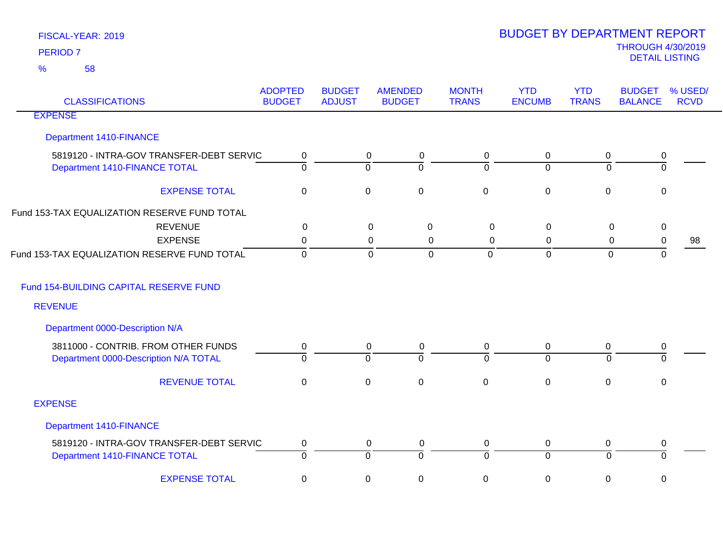| <b>CLASSIFICATIONS</b>                       | <b>ADOPTED</b><br><b>BUDGET</b> | <b>BUDGET</b><br><b>ADJUST</b> | <b>AMENDED</b><br><b>BUDGET</b> | <b>MONTH</b><br><b>TRANS</b> | <b>YTD</b><br><b>ENCUMB</b> | <b>YTD</b><br><b>TRANS</b> | <b>BUDGET</b><br><b>BALANCE</b> | % USED/<br><b>RCVD</b> |
|----------------------------------------------|---------------------------------|--------------------------------|---------------------------------|------------------------------|-----------------------------|----------------------------|---------------------------------|------------------------|
| <b>EXPENSE</b>                               |                                 |                                |                                 |                              |                             |                            |                                 |                        |
| <b>Department 1410-FINANCE</b>               |                                 |                                |                                 |                              |                             |                            |                                 |                        |
| 5819120 - INTRA-GOV TRANSFER-DEBT SERVIC     | 0                               |                                | $\mathbf 0$<br>0                | 0                            | 0                           | 0                          | 0                               |                        |
| Department 1410-FINANCE TOTAL                | $\overline{0}$                  |                                | $\Omega$<br>$\Omega$            | $\Omega$                     | $\Omega$                    | $\Omega$                   | $\overline{0}$                  |                        |
| <b>EXPENSE TOTAL</b>                         | $\mathbf 0$                     |                                | $\mathsf 0$<br>$\mathbf 0$      | $\mathbf 0$                  | $\mathbf 0$                 | $\pmb{0}$                  | 0                               |                        |
| Fund 153-TAX EQUALIZATION RESERVE FUND TOTAL |                                 |                                |                                 |                              |                             |                            |                                 |                        |
| <b>REVENUE</b>                               | 0                               |                                | $\pmb{0}$<br>$\mathbf 0$        | $\mathbf 0$                  | $\mathbf 0$                 | $\mathbf 0$                | $\pmb{0}$                       |                        |
| <b>EXPENSE</b>                               | 0                               |                                | 0<br>0                          | $\Omega$                     | 0                           | 0                          | 0                               | 98                     |
| Fund 153-TAX EQUALIZATION RESERVE FUND TOTAL | $\mathbf 0$                     |                                | $\mathbf 0$<br>$\mathbf 0$      | $\mathbf 0$                  | $\mathbf 0$                 | $\mathbf 0$                | $\mathbf 0$                     |                        |
| Fund 154-BUILDING CAPITAL RESERVE FUND       |                                 |                                |                                 |                              |                             |                            |                                 |                        |
| <b>REVENUE</b>                               |                                 |                                |                                 |                              |                             |                            |                                 |                        |
| Department 0000-Description N/A              |                                 |                                |                                 |                              |                             |                            |                                 |                        |
| 3811000 - CONTRIB. FROM OTHER FUNDS          | 0                               |                                | $\mathbf 0$<br>0                | 0                            | $\mathbf 0$                 | 0                          | 0                               |                        |
| Department 0000-Description N/A TOTAL        | $\overline{0}$                  |                                | $\overline{0}$<br>$\Omega$      | $\Omega$                     | $\overline{0}$              | $\Omega$                   | $\Omega$                        |                        |
| <b>REVENUE TOTAL</b>                         | $\mathbf 0$                     |                                | $\mathbf 0$<br>$\mathbf 0$      | $\mathbf 0$                  | $\mathbf 0$                 | $\pmb{0}$                  | $\pmb{0}$                       |                        |
| <b>EXPENSE</b>                               |                                 |                                |                                 |                              |                             |                            |                                 |                        |
| <b>Department 1410-FINANCE</b>               |                                 |                                |                                 |                              |                             |                            |                                 |                        |
| 5819120 - INTRA-GOV TRANSFER-DEBT SERVIC     | 0                               |                                | $\mathbf 0$<br>0                | 0                            | $\mathbf 0$                 | 0                          | 0                               |                        |
| Department 1410-FINANCE TOTAL                | $\overline{0}$                  |                                | $\overline{0}$<br>ō             | $\Omega$                     | $\overline{0}$              | $\overline{0}$             | ō                               |                        |
| <b>EXPENSE TOTAL</b>                         | $\mathbf 0$                     |                                | $\mathbf 0$<br>0                | 0                            | 0                           | 0                          | 0                               |                        |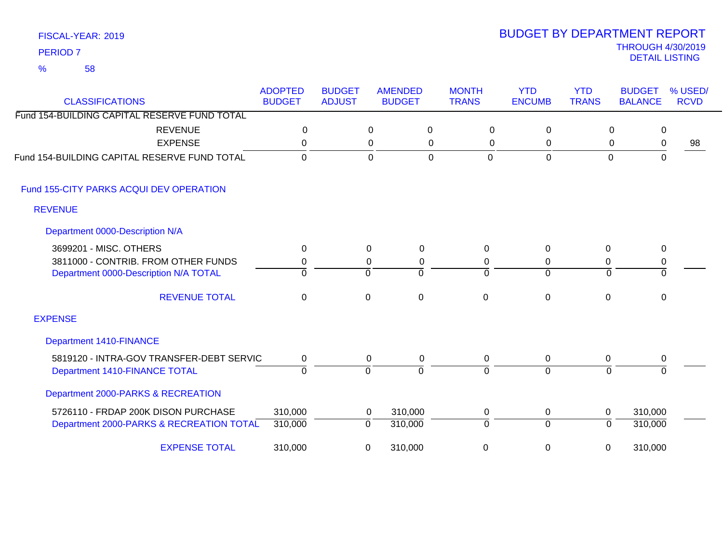### FISCAL-YEAR: 2019 58 %

| <b>CLASSIFICATIONS</b>                       | <b>ADOPTED</b><br><b>BUDGET</b> | <b>BUDGET</b><br><b>ADJUST</b> | <b>AMENDED</b><br><b>BUDGET</b> | <b>MONTH</b><br><b>TRANS</b> | <b>YTD</b><br><b>ENCUMB</b> | <b>YTD</b><br><b>TRANS</b> | <b>BUDGET</b><br><b>BALANCE</b> | % USED/<br><b>RCVD</b> |
|----------------------------------------------|---------------------------------|--------------------------------|---------------------------------|------------------------------|-----------------------------|----------------------------|---------------------------------|------------------------|
| Fund 154-BUILDING CAPITAL RESERVE FUND TOTAL |                                 |                                |                                 |                              |                             |                            |                                 |                        |
| <b>REVENUE</b>                               | $\Omega$                        |                                | $\mathbf 0$<br>0                | $\mathbf 0$                  | $\Omega$                    | 0                          | 0                               |                        |
| <b>EXPENSE</b>                               | 0                               |                                | 0<br>0                          | 0                            | 0                           | 0                          | 0                               | 98                     |
| Fund 154-BUILDING CAPITAL RESERVE FUND TOTAL | $\overline{0}$                  |                                | $\overline{0}$<br>$\Omega$      | $\overline{0}$               | $\mathbf 0$                 | $\overline{0}$             | $\mathbf 0$                     |                        |
| Fund 155-CITY PARKS ACQUI DEV OPERATION      |                                 |                                |                                 |                              |                             |                            |                                 |                        |
| <b>REVENUE</b>                               |                                 |                                |                                 |                              |                             |                            |                                 |                        |
| Department 0000-Description N/A              |                                 |                                |                                 |                              |                             |                            |                                 |                        |
| 3699201 - MISC. OTHERS                       | 0                               |                                | 0<br>$\Omega$                   | $\Omega$                     | $\mathbf{0}$                | 0                          | 0                               |                        |
| 3811000 - CONTRIB. FROM OTHER FUNDS          | 0                               |                                | 0<br>$\mathbf 0$                | 0                            | 0                           | 0                          | $\pmb{0}$                       |                        |
| Department 0000-Description N/A TOTAL        | $\Omega$                        | $\Omega$                       | $\overline{0}$                  | $\Omega$                     | $\overline{0}$              | $\overline{0}$             | $\overline{0}$                  |                        |
| <b>REVENUE TOTAL</b>                         | $\mathbf 0$                     | 0                              | $\mathbf 0$                     | $\mathbf 0$                  | $\mathbf 0$                 | $\mathbf 0$                | $\mathbf 0$                     |                        |
| <b>EXPENSE</b>                               |                                 |                                |                                 |                              |                             |                            |                                 |                        |
| Department 1410-FINANCE                      |                                 |                                |                                 |                              |                             |                            |                                 |                        |
| 5819120 - INTRA-GOV TRANSFER-DEBT SERVIC     | 0                               |                                | $\mathbf 0$<br>0                | 0                            | $\mathbf 0$                 | 0                          | 0                               |                        |
| Department 1410-FINANCE TOTAL                | $\overline{0}$                  | ō                              | $\Omega$                        | $\Omega$                     | $\overline{0}$              | $\overline{0}$             | $\Omega$                        |                        |
| Department 2000-PARKS & RECREATION           |                                 |                                |                                 |                              |                             |                            |                                 |                        |
| 5726110 - FRDAP 200K DISON PURCHASE          | 310,000                         |                                | 310,000<br>0                    | 0                            | 0                           | $\mathbf{0}$               | 310,000                         |                        |
| Department 2000-PARKS & RECREATION TOTAL     | 310,000                         | $\mathbf 0$                    | 310,000                         | $\Omega$                     | $\Omega$                    | 0                          | 310,000                         |                        |
| <b>EXPENSE TOTAL</b>                         | 310,000                         | 0                              | 310,000                         | 0                            | $\pmb{0}$                   | 0                          | 310,000                         |                        |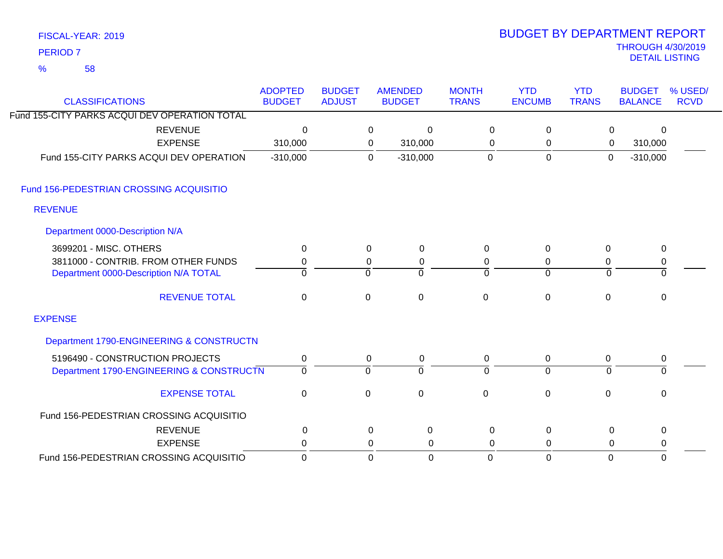| FISCAL-YEAR: 2019 |  |
|-------------------|--|
| <b>PERIOD 7</b>   |  |

# THROUGH 4/30/2019 DETAIL LISTING PERIOD <sup>7</sup> BUDGET BY DEPARTMENT REPORT

| <b>CLASSIFICATIONS</b>                        | <b>ADOPTED</b><br><b>BUDGET</b> | <b>BUDGET</b><br><b>ADJUST</b> |                     | <b>AMENDED</b><br><b>BUDGET</b> | <b>MONTH</b><br><b>TRANS</b> | <b>YTD</b><br><b>ENCUMB</b> | <b>YTD</b><br><b>TRANS</b> | <b>BUDGET</b><br><b>BALANCE</b> | % USED/<br><b>RCVD</b> |
|-----------------------------------------------|---------------------------------|--------------------------------|---------------------|---------------------------------|------------------------------|-----------------------------|----------------------------|---------------------------------|------------------------|
| Fund 155-CITY PARKS ACQUI DEV OPERATION TOTAL |                                 |                                |                     |                                 |                              |                             |                            |                                 |                        |
|                                               |                                 |                                |                     |                                 |                              |                             |                            |                                 |                        |
| <b>REVENUE</b><br><b>EXPENSE</b>              | 0                               |                                | $\mathbf 0$         | 0                               | $\mathbf 0$                  | 0                           | 0                          | $\Omega$                        |                        |
|                                               | 310,000                         |                                | $\mathbf 0$         | 310,000                         | 0                            | 0                           | 0                          | 310,000                         |                        |
| Fund 155-CITY PARKS ACQUI DEV OPERATION       | $-310,000$                      |                                | $\mathbf 0$         | $-310,000$                      | $\mathbf 0$                  | $\mathbf 0$                 | $\mathbf 0$                | $-310,000$                      |                        |
| Fund 156-PEDESTRIAN CROSSING ACQUISITIO       |                                 |                                |                     |                                 |                              |                             |                            |                                 |                        |
| <b>REVENUE</b>                                |                                 |                                |                     |                                 |                              |                             |                            |                                 |                        |
| Department 0000-Description N/A               |                                 |                                |                     |                                 |                              |                             |                            |                                 |                        |
| 3699201 - MISC. OTHERS                        | 0                               |                                | $\mathbf 0$         | 0                               | $\Omega$                     | 0                           | 0                          | 0                               |                        |
| 3811000 - CONTRIB. FROM OTHER FUNDS           | 0                               |                                | 0                   | 0                               | 0                            | 0                           | 0                          | $\mathbf 0$                     |                        |
| Department 0000-Description N/A TOTAL         | $\Omega$                        |                                | $\Omega$            | $\Omega$                        | $\Omega$                     | $\overline{0}$              | $\Omega$                   | $\mathbf{0}$                    |                        |
| <b>REVENUE TOTAL</b>                          | $\mathbf 0$                     |                                | $\mathsf{O}\xspace$ | $\pmb{0}$                       | $\mathbf 0$                  | $\mathbf 0$                 | $\mathbf 0$                | $\mathsf 0$                     |                        |
| <b>EXPENSE</b>                                |                                 |                                |                     |                                 |                              |                             |                            |                                 |                        |
| Department 1790-ENGINEERING & CONSTRUCTN      |                                 |                                |                     |                                 |                              |                             |                            |                                 |                        |
| 5196490 - CONSTRUCTION PROJECTS               | 0                               |                                | 0                   | 0                               | 0                            | 0                           | 0                          | $\pmb{0}$                       |                        |
| Department 1790-ENGINEERING & CONSTRUCTN      | $\overline{0}$                  |                                | ō                   | $\Omega$                        | 0                            | $\overline{0}$              | $\Omega$                   | $\Omega$                        |                        |
| <b>EXPENSE TOTAL</b>                          | $\mathbf 0$                     |                                | $\mathbf 0$         | 0                               | $\Omega$                     | $\mathbf 0$                 | 0                          | $\mathbf 0$                     |                        |
| Fund 156-PEDESTRIAN CROSSING ACQUISITIO       |                                 |                                |                     |                                 |                              |                             |                            |                                 |                        |
| <b>REVENUE</b>                                | 0                               |                                | $\mathbf 0$         | 0                               | 0                            | 0                           | 0                          | 0                               |                        |
| <b>EXPENSE</b>                                | 0                               |                                | 0                   | 0                               | 0                            | 0                           | 0                          | 0                               |                        |
| Fund 156-PEDESTRIAN CROSSING ACQUISITIO       | $\overline{0}$                  |                                | $\overline{0}$      | $\mathbf 0$                     | $\mathbf 0$                  | $\mathbf 0$                 | $\overline{0}$             | $\mathbf{0}$                    |                        |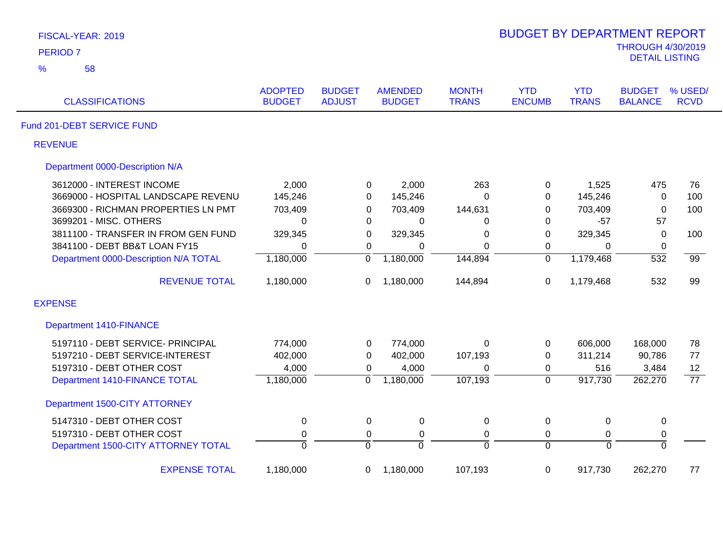| FISCAL-YEAR: 2019                     |                                 |                                |                                 |                              | <b>BUDGET BY DEPARTMENT REPORT</b> |                            |                                                   |                        |
|---------------------------------------|---------------------------------|--------------------------------|---------------------------------|------------------------------|------------------------------------|----------------------------|---------------------------------------------------|------------------------|
| <b>PERIOD 7</b>                       |                                 |                                |                                 |                              |                                    |                            | <b>THROUGH 4/30/2019</b><br><b>DETAIL LISTING</b> |                        |
| %<br>58                               |                                 |                                |                                 |                              |                                    |                            |                                                   |                        |
| <b>CLASSIFICATIONS</b>                | <b>ADOPTED</b><br><b>BUDGET</b> | <b>BUDGET</b><br><b>ADJUST</b> | <b>AMENDED</b><br><b>BUDGET</b> | <b>MONTH</b><br><b>TRANS</b> | <b>YTD</b><br><b>ENCUMB</b>        | <b>YTD</b><br><b>TRANS</b> | <b>BUDGET</b><br><b>BALANCE</b>                   | % USED/<br><b>RCVD</b> |
| Fund 201-DEBT SERVICE FUND            |                                 |                                |                                 |                              |                                    |                            |                                                   |                        |
| <b>REVENUE</b>                        |                                 |                                |                                 |                              |                                    |                            |                                                   |                        |
| Department 0000-Description N/A       |                                 |                                |                                 |                              |                                    |                            |                                                   |                        |
| 3612000 - INTEREST INCOME             | 2,000                           |                                | 2,000<br>0                      | 263                          | 0                                  | 1,525                      | 475                                               | 76                     |
| 3669000 - HOSPITAL LANDSCAPE REVENU   | 145,246                         |                                | 145,246<br>0                    | $\Omega$                     | 0                                  | 145,246                    | $\mathbf 0$                                       | 100                    |
| 3669300 - RICHMAN PROPERTIES LN PMT   | 703,409                         |                                | 0<br>703,409                    | 144,631                      | 0                                  | 703,409                    | $\mathbf 0$                                       | 100                    |
| 3699201 - MISC. OTHERS                | $\mathbf 0$                     |                                | 0<br>0                          | 0                            | 0                                  | $-57$                      | 57                                                |                        |
| 3811100 - TRANSFER IN FROM GEN FUND   | 329,345                         |                                | 329,345<br>0                    | $\mathbf 0$                  | 0                                  | 329,345                    | $\mathbf 0$                                       | 100                    |
| 3841100 - DEBT BB&T LOAN FY15         | $\mathbf 0$                     |                                | $\mathbf 0$<br>0                | $\Omega$                     | 0                                  | 0                          | $\mathbf 0$                                       |                        |
| Department 0000-Description N/A TOTAL | 1,180,000                       | $\overline{0}$                 | 1,180,000                       | 144,894                      | $\overline{0}$                     | 1,179,468                  | $\overline{532}$                                  | $\overline{99}$        |
| <b>REVENUE TOTAL</b>                  | 1,180,000                       | 0                              | 1,180,000                       | 144,894                      | 0                                  | 1,179,468                  | 532                                               | 99                     |
| <b>EXPENSE</b>                        |                                 |                                |                                 |                              |                                    |                            |                                                   |                        |
| <b>Department 1410-FINANCE</b>        |                                 |                                |                                 |                              |                                    |                            |                                                   |                        |
| 5197110 - DEBT SERVICE- PRINCIPAL     | 774,000                         |                                | 774,000<br>0                    | $\Omega$                     | $\mathbf 0$                        | 606,000                    | 168,000                                           | 78                     |
| 5197210 - DEBT SERVICE-INTEREST       | 402,000                         |                                | 0<br>402,000                    | 107,193                      | 0                                  | 311,214                    | 90,786                                            | 77                     |
| 5197310 - DEBT OTHER COST             | 4,000                           |                                | 4,000<br>0                      | 0                            | 0                                  | 516                        | 3,484                                             | 12                     |
| Department 1410-FINANCE TOTAL         | 1,180,000                       | $\overline{0}$                 | 1,180,000                       | 107,193                      | $\overline{0}$                     | 917,730                    | 262,270                                           | $\overline{77}$        |
| Department 1500-CITY ATTORNEY         |                                 |                                |                                 |                              |                                    |                            |                                                   |                        |
| 5147310 - DEBT OTHER COST             | $\pmb{0}$                       |                                | $\pmb{0}$<br>0                  | $\mathbf 0$                  | $\pmb{0}$                          | $\mathbf 0$                | $\pmb{0}$                                         |                        |
| 5197310 - DEBT OTHER COST             | $\pmb{0}$                       |                                | $\pmb{0}$<br>0                  | $\mathsf 0$                  | $\mathbf 0$                        | 0                          | 0                                                 |                        |
| Department 1500-CITY ATTORNEY TOTAL   | $\overline{0}$                  | ō                              | $\overline{0}$                  | $\overline{0}$               | $\overline{0}$                     | $\overline{0}$             | $\overline{0}$                                    |                        |
| <b>EXPENSE TOTAL</b>                  | 1,180,000                       | 0                              | 1,180,000                       | 107,193                      | $\mathbf 0$                        | 917,730                    | 262,270                                           | 77                     |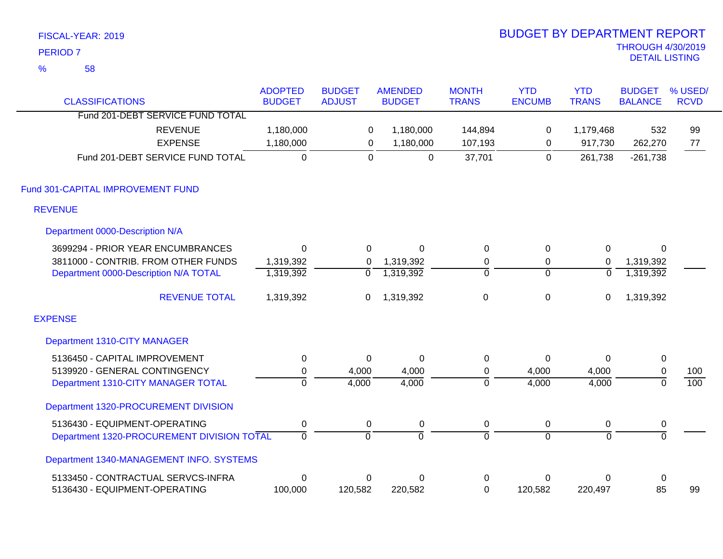|               | FISCAL-YEAR: 2019                          |                                 |                                |                                 |                              | <b>BUDGET BY DEPARTMENT REPORT</b> |                            |                                                   |                        |
|---------------|--------------------------------------------|---------------------------------|--------------------------------|---------------------------------|------------------------------|------------------------------------|----------------------------|---------------------------------------------------|------------------------|
|               | <b>PERIOD 7</b>                            |                                 |                                |                                 |                              |                                    |                            | <b>THROUGH 4/30/2019</b><br><b>DETAIL LISTING</b> |                        |
| $\frac{9}{6}$ | 58                                         |                                 |                                |                                 |                              |                                    |                            |                                                   |                        |
|               | <b>CLASSIFICATIONS</b>                     | <b>ADOPTED</b><br><b>BUDGET</b> | <b>BUDGET</b><br><b>ADJUST</b> | <b>AMENDED</b><br><b>BUDGET</b> | <b>MONTH</b><br><b>TRANS</b> | <b>YTD</b><br><b>ENCUMB</b>        | <b>YTD</b><br><b>TRANS</b> | <b>BUDGET</b><br><b>BALANCE</b>                   | % USED/<br><b>RCVD</b> |
|               | Fund 201-DEBT SERVICE FUND TOTAL           |                                 |                                |                                 |                              |                                    |                            |                                                   |                        |
|               | <b>REVENUE</b>                             | 1,180,000                       | 0                              | 1,180,000                       | 144,894                      | $\pmb{0}$                          | 1,179,468                  | 532                                               | 99                     |
|               | <b>EXPENSE</b>                             | 1,180,000                       | $\mathbf 0$                    | 1,180,000                       | 107,193                      | 0                                  | 917,730                    | 262,270                                           | 77                     |
|               | Fund 201-DEBT SERVICE FUND TOTAL           | $\overline{0}$                  | $\mathbf 0$                    | $\overline{0}$                  | 37,701                       | $\Omega$                           | 261,738                    | $-261,738$                                        |                        |
|               | Fund 301-CAPITAL IMPROVEMENT FUND          |                                 |                                |                                 |                              |                                    |                            |                                                   |                        |
|               | <b>REVENUE</b>                             |                                 |                                |                                 |                              |                                    |                            |                                                   |                        |
|               | Department 0000-Description N/A            |                                 |                                |                                 |                              |                                    |                            |                                                   |                        |
|               | 3699294 - PRIOR YEAR ENCUMBRANCES          | $\mathbf 0$                     | 0                              | $\mathbf 0$                     | $\pmb{0}$                    | 0                                  | $\pmb{0}$                  | 0                                                 |                        |
|               | 3811000 - CONTRIB. FROM OTHER FUNDS        | 1,319,392                       | 0                              | 1,319,392                       | $\pmb{0}$                    | 0                                  | $\mathbf 0$                | 1,319,392                                         |                        |
|               | Department 0000-Description N/A TOTAL      | 1,319,392                       | $\overline{0}$                 | 1,319,392                       | $\overline{0}$               | $\overline{0}$                     | $\overline{0}$             | 1,319,392                                         |                        |
|               | <b>REVENUE TOTAL</b>                       | 1,319,392                       | $\mathbf 0$                    | 1,319,392                       | $\mathsf 0$                  | $\boldsymbol{0}$                   | 0                          | 1,319,392                                         |                        |
|               | <b>EXPENSE</b>                             |                                 |                                |                                 |                              |                                    |                            |                                                   |                        |
|               | Department 1310-CITY MANAGER               |                                 |                                |                                 |                              |                                    |                            |                                                   |                        |
|               | 5136450 - CAPITAL IMPROVEMENT              | $\boldsymbol{0}$                | $\mathbf 0$                    | $\mathbf 0$                     | $\pmb{0}$                    | 0                                  | $\Omega$                   | $\pmb{0}$                                         |                        |
|               | 5139920 - GENERAL CONTINGENCY              | $\pmb{0}$                       | 4,000                          | 4,000                           | $\pmb{0}$                    | 4,000                              | 4,000                      | $\pmb{0}$                                         | 100                    |
|               | Department 1310-CITY MANAGER TOTAL         | $\overline{0}$                  | 4,000                          | 4,000                           | $\overline{0}$               | 4,000                              | 4,000                      | $\overline{0}$                                    | 100                    |
|               | Department 1320-PROCUREMENT DIVISION       |                                 |                                |                                 |                              |                                    |                            |                                                   |                        |
|               | 5136430 - EQUIPMENT-OPERATING              | 0                               | 0                              | $\pmb{0}$                       | 0                            | 0                                  | 0                          | $\pmb{0}$                                         |                        |
|               | Department 1320-PROCUREMENT DIVISION TOTAL | $\overline{0}$                  | ō                              | $\overline{0}$                  | ō                            | $\overline{0}$                     | $\overline{0}$             | $\overline{0}$                                    |                        |
|               | Department 1340-MANAGEMENT INFO. SYSTEMS   |                                 |                                |                                 |                              |                                    |                            |                                                   |                        |
|               | 5133450 - CONTRACTUAL SERVCS-INFRA         | $\mathbf 0$                     | 0                              | $\mathbf 0$                     | $\pmb{0}$                    | 0                                  | 0                          | $\pmb{0}$                                         |                        |
|               | 5136430 - EQUIPMENT-OPERATING              | 100,000                         | 120,582                        | 220,582                         | $\mathbf 0$                  | 120,582                            | 220,497                    | 85                                                | 99                     |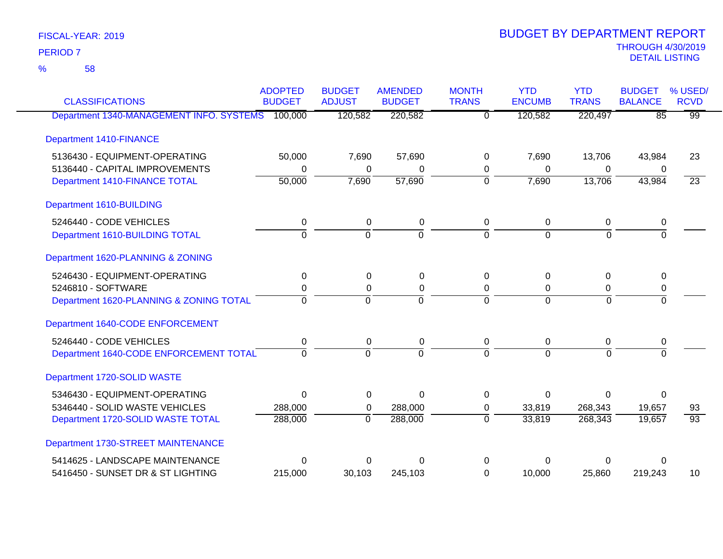58 %

| <b>CLASSIFICATIONS</b>                           | <b>ADOPTED</b><br><b>BUDGET</b> | <b>BUDGET</b><br><b>ADJUST</b> | <b>AMENDED</b><br><b>BUDGET</b> | <b>MONTH</b><br><b>TRANS</b> | <b>YTD</b><br><b>ENCUMB</b> | <b>YTD</b><br><b>TRANS</b> | <b>BUDGET</b><br><b>BALANCE</b> | % USED/<br><b>RCVD</b> |
|--------------------------------------------------|---------------------------------|--------------------------------|---------------------------------|------------------------------|-----------------------------|----------------------------|---------------------------------|------------------------|
| Department 1340-MANAGEMENT INFO. SYSTEMS 100,000 |                                 | 120,582                        | 220,582                         | $\overline{0}$               | 120,582                     | 220,497                    | $\overline{85}$                 | $\overline{99}$        |
| <b>Department 1410-FINANCE</b>                   |                                 |                                |                                 |                              |                             |                            |                                 |                        |
| 5136430 - EQUIPMENT-OPERATING                    | 50,000                          | 7,690                          | 57,690                          | 0                            | 7,690                       | 13,706                     | 43,984                          | 23                     |
| 5136440 - CAPITAL IMPROVEMENTS                   | 0                               | 0                              | 0                               | 0                            | 0                           | 0                          | 0                               |                        |
| Department 1410-FINANCE TOTAL                    | 50,000                          | 7,690                          | 57,690                          | $\mathbf 0$                  | 7,690                       | 13,706                     | 43,984                          | $\overline{23}$        |
| Department 1610-BUILDING                         |                                 |                                |                                 |                              |                             |                            |                                 |                        |
| 5246440 - CODE VEHICLES                          | 0                               | 0                              | 0                               | 0                            | 0                           | 0                          | 0                               |                        |
| Department 1610-BUILDING TOTAL                   | $\overline{0}$                  | $\overline{0}$                 | ō                               | $\Omega$                     | $\Omega$                    | $\overline{0}$             | $\overline{0}$                  |                        |
| Department 1620-PLANNING & ZONING                |                                 |                                |                                 |                              |                             |                            |                                 |                        |
| 5246430 - EQUIPMENT-OPERATING                    | 0                               | $\Omega$                       | 0                               | 0                            | 0                           | 0                          | 0                               |                        |
| 5246810 - SOFTWARE                               | 0                               | $\Omega$                       | 0                               | 0                            | $\Omega$                    | 0                          | 0                               |                        |
| Department 1620-PLANNING & ZONING TOTAL          | $\Omega$                        | $\Omega$                       | $\Omega$                        | $\Omega$                     | $\Omega$                    | $\Omega$                   | $\Omega$                        |                        |
| Department 1640-CODE ENFORCEMENT                 |                                 |                                |                                 |                              |                             |                            |                                 |                        |
| 5246440 - CODE VEHICLES                          | $\mathbf 0$                     | 0                              | $\pmb{0}$                       | 0                            | 0                           | 0                          | 0                               |                        |
| Department 1640-CODE ENFORCEMENT TOTAL           | $\Omega$                        | $\Omega$                       | $\Omega$                        | $\Omega$                     | $\Omega$                    | $\Omega$                   | $\Omega$                        |                        |
| Department 1720-SOLID WASTE                      |                                 |                                |                                 |                              |                             |                            |                                 |                        |
| 5346430 - EQUIPMENT-OPERATING                    | $\mathbf 0$                     | $\Omega$                       | $\mathbf 0$                     | $\Omega$                     | $\Omega$                    | $\overline{0}$             | $\Omega$                        |                        |
| 5346440 - SOLID WASTE VEHICLES                   | 288,000                         | 0                              | 288,000                         | 0                            | 33,819                      | 268,343                    | 19,657                          | 93                     |
| Department 1720-SOLID WASTE TOTAL                | 288,000                         | $\overline{0}$                 | 288,000                         | $\overline{0}$               | 33,819                      | 268,343                    | 19,657                          | $\overline{93}$        |
| Department 1730-STREET MAINTENANCE               |                                 |                                |                                 |                              |                             |                            |                                 |                        |
| 5414625 - LANDSCAPE MAINTENANCE                  | $\Omega$                        | O                              | O                               | 0                            | ∩                           | 0                          | 0                               |                        |
| 5416450 - SUNSET DR & ST LIGHTING                | 215,000                         | 30,103                         | 245,103                         | $\Omega$                     | 10,000                      | 25,860                     | 219,243                         | 10                     |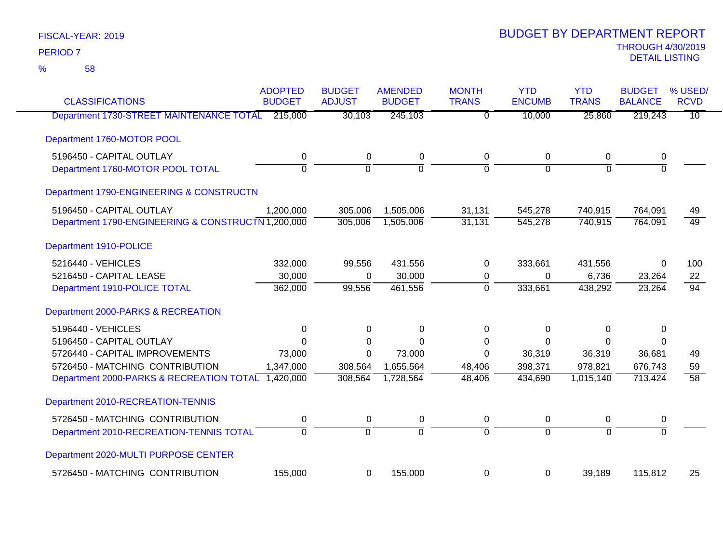| <b>CLASSIFICATIONS</b>                             | <b>ADOPTED</b><br><b>BUDGET</b> | <b>BUDGET</b><br><b>ADJUST</b> | <b>AMENDED</b><br><b>BUDGET</b> | <b>MONTH</b><br><b>TRANS</b> | <b>YTD</b><br><b>ENCUMB</b> | <b>YTD</b><br><b>TRANS</b> | <b>BUDGET</b><br><b>BALANCE</b> | % USED/<br><b>RCVD</b> |
|----------------------------------------------------|---------------------------------|--------------------------------|---------------------------------|------------------------------|-----------------------------|----------------------------|---------------------------------|------------------------|
| Department 1730-STREET MAINTENANCE TOTAL           | 215,000                         | 30,103                         | 245,103                         | $\overline{0}$               | 10,000                      | 25,860                     | 219,243                         | $\overline{10}$        |
| Department 1760-MOTOR POOL                         |                                 |                                |                                 |                              |                             |                            |                                 |                        |
| 5196450 - CAPITAL OUTLAY                           | 0                               | $\mathsf 0$                    | $\pmb{0}$                       | 0                            | 0                           | $\mathbf 0$                | 0                               |                        |
| Department 1760-MOTOR POOL TOTAL                   | $\overline{0}$                  | $\overline{0}$                 | $\overline{0}$                  | $\overline{0}$               | $\Omega$                    | $\Omega$                   | $\overline{0}$                  |                        |
| Department 1790-ENGINEERING & CONSTRUCTN           |                                 |                                |                                 |                              |                             |                            |                                 |                        |
| 5196450 - CAPITAL OUTLAY                           | 1,200,000                       | 305,006                        | 1,505,006                       | 31,131                       | 545,278                     | 740,915                    | 764,091                         | 49                     |
| Department 1790-ENGINEERING & CONSTRUCTN 1,200,000 |                                 | 305,006                        | 1,505,006                       | 31,131                       | 545,278                     | 740,915                    | 764,091                         | $\overline{49}$        |
| Department 1910-POLICE                             |                                 |                                |                                 |                              |                             |                            |                                 |                        |
| 5216440 - VEHICLES                                 | 332,000                         | 99,556                         | 431,556                         | 0                            | 333,661                     | 431,556                    | 0                               | 100                    |
| 5216450 - CAPITAL LEASE                            | 30,000                          | $\Omega$                       | 30,000                          | 0                            | $\Omega$                    | 6,736                      | 23,264                          | 22                     |
| Department 1910-POLICE TOTAL                       | 362,000                         | 99,556                         | 461,556                         | $\mathbf 0$                  | 333,661                     | 438,292                    | 23,264                          | 94                     |
| Department 2000-PARKS & RECREATION                 |                                 |                                |                                 |                              |                             |                            |                                 |                        |
| 5196440 - VEHICLES                                 | 0                               | 0                              | 0                               | $\Omega$                     | 0                           | 0                          | 0                               |                        |
| 5196450 - CAPITAL OUTLAY                           | $\Omega$                        | 0                              | $\Omega$                        | $\Omega$                     | $\Omega$                    | $\Omega$                   | $\Omega$                        |                        |
| 5726440 - CAPITAL IMPROVEMENTS                     | 73,000                          | 0                              | 73,000                          | $\Omega$                     | 36,319                      | 36,319                     | 36,681                          | 49                     |
| 5726450 - MATCHING CONTRIBUTION                    | 1,347,000                       | 308,564                        | 1,655,564                       | 48,406                       | 398,371                     | 978,821                    | 676,743                         | 59                     |
| Department 2000-PARKS & RECREATION TOTAL 1,420,000 |                                 | 308,564                        | 1,728,564                       | 48,406                       | 434,690                     | 1,015,140                  | 713,424                         | $\overline{58}$        |
| Department 2010-RECREATION-TENNIS                  |                                 |                                |                                 |                              |                             |                            |                                 |                        |
| 5726450 - MATCHING CONTRIBUTION                    | 0                               | $\pmb{0}$                      | $\pmb{0}$                       | $\mathbf 0$                  | 0                           | 0                          | 0                               |                        |
| Department 2010-RECREATION-TENNIS TOTAL            | $\overline{0}$                  | $\overline{0}$                 | $\overline{0}$                  | $\overline{0}$               | $\overline{0}$              | $\overline{0}$             | $\overline{0}$                  |                        |
| Department 2020-MULTI PURPOSE CENTER               |                                 |                                |                                 |                              |                             |                            |                                 |                        |
| 5726450 - MATCHING CONTRIBUTION                    | 155,000                         | 0                              | 155,000                         | 0                            | 0                           | 39,189                     | 115,812                         | 25                     |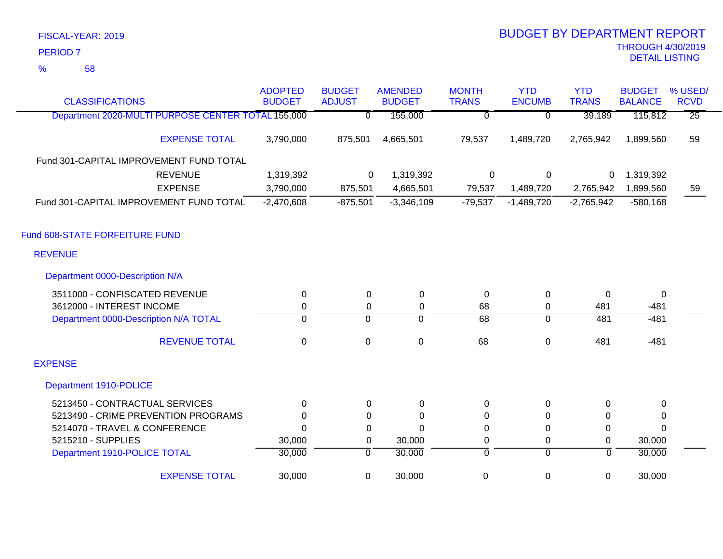58 %

| <b>CLASSIFICATIONS</b>                             | <b>ADOPTED</b><br><b>BUDGET</b> | <b>BUDGET</b><br><b>ADJUST</b> | <b>AMENDED</b><br><b>BUDGET</b> | <b>MONTH</b><br><b>TRANS</b> | <b>YTD</b><br><b>ENCUMB</b> | <b>YTD</b><br><b>TRANS</b> | <b>BUDGET</b><br><b>BALANCE</b> | % USED/<br><b>RCVD</b> |
|----------------------------------------------------|---------------------------------|--------------------------------|---------------------------------|------------------------------|-----------------------------|----------------------------|---------------------------------|------------------------|
| Department 2020-MULTI PURPOSE CENTER TOTAL 155,000 |                                 | $\overline{0}$                 | 155,000                         | 0                            | $\overline{0}$              | 39,189                     | 115,812                         | $\overline{25}$        |
| <b>EXPENSE TOTAL</b>                               | 3,790,000                       | 875,501                        | 4,665,501                       | 79,537                       | 1,489,720                   | 2,765,942                  | 1,899,560                       | 59                     |
| Fund 301-CAPITAL IMPROVEMENT FUND TOTAL            |                                 |                                |                                 |                              |                             |                            |                                 |                        |
| <b>REVENUE</b>                                     | 1,319,392                       | 0                              | 1,319,392                       | 0                            | 0                           | 0                          | 1,319,392                       |                        |
| <b>EXPENSE</b>                                     | 3,790,000                       | 875,501                        | 4,665,501                       | 79,537                       | 1,489,720                   | 2,765,942                  | 1,899,560                       | 59                     |
| Fund 301-CAPITAL IMPROVEMENT FUND TOTAL            | $-2,470,608$                    | $-875,501$                     | $-3,346,109$                    | $-79,537$                    | $-1,489,720$                | $-2,765,942$               | $-580,168$                      |                        |
| Fund 608-STATE FORFEITURE FUND                     |                                 |                                |                                 |                              |                             |                            |                                 |                        |
| <b>REVENUE</b>                                     |                                 |                                |                                 |                              |                             |                            |                                 |                        |
| Department 0000-Description N/A                    |                                 |                                |                                 |                              |                             |                            |                                 |                        |
| 3511000 - CONFISCATED REVENUE                      | 0                               | 0                              | 0                               | 0                            | 0                           | $\Omega$                   | 0                               |                        |
| 3612000 - INTEREST INCOME                          | 0                               | 0                              | 0                               | 68                           | $\pmb{0}$                   | 481                        | $-481$                          |                        |
| Department 0000-Description N/A TOTAL              | $\overline{0}$                  | $\mathbf 0$                    | $\mathbf 0$                     | $\overline{68}$              | $\mathbf 0$                 | 481                        | $-481$                          |                        |
| <b>REVENUE TOTAL</b>                               | $\mathbf 0$                     | $\mathbf 0$                    | $\mathsf 0$                     | 68                           | $\mathbf 0$                 | 481                        | $-481$                          |                        |
| <b>EXPENSE</b>                                     |                                 |                                |                                 |                              |                             |                            |                                 |                        |
| Department 1910-POLICE                             |                                 |                                |                                 |                              |                             |                            |                                 |                        |
| 5213450 - CONTRACTUAL SERVICES                     | 0                               | $\Omega$                       | 0                               | 0                            | 0                           | $\Omega$                   | 0                               |                        |
| 5213490 - CRIME PREVENTION PROGRAMS                | 0                               | $\Omega$                       | $\Omega$                        | 0                            | $\Omega$                    | $\Omega$                   | $\Omega$                        |                        |
| 5214070 - TRAVEL & CONFERENCE                      | $\Omega$                        | 0                              | $\Omega$                        | 0                            | 0                           | 0                          | $\Omega$                        |                        |
| 5215210 - SUPPLIES                                 | 30,000                          | 0                              | 30,000                          | 0                            | 0                           | 0                          | 30,000                          |                        |
| Department 1910-POLICE TOTAL                       | 30,000                          | $\overline{0}$                 | 30,000                          | 0                            | $\overline{0}$              | $\overline{0}$             | 30,000                          |                        |
| <b>EXPENSE TOTAL</b>                               | 30,000                          | $\mathbf 0$                    | 30,000                          | $\pmb{0}$                    | $\pmb{0}$                   | $\mathbf 0$                | 30,000                          |                        |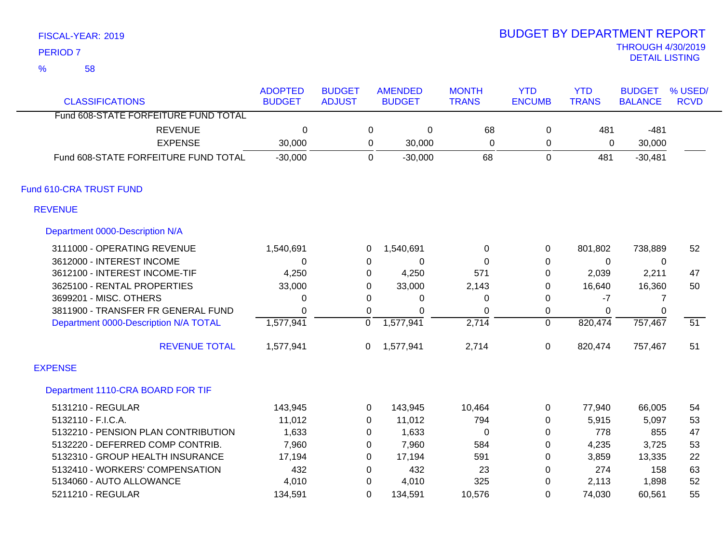58 %

| <b>CLASSIFICATIONS</b>                | <b>ADOPTED</b><br><b>BUDGET</b> | <b>BUDGET</b><br><b>ADJUST</b> |             | <b>AMENDED</b><br><b>BUDGET</b> | <b>MONTH</b><br><b>TRANS</b> | <b>YTD</b><br><b>ENCUMB</b> | <b>YTD</b><br><b>TRANS</b> | <b>BUDGET</b><br><b>BALANCE</b> | % USED/<br><b>RCVD</b> |
|---------------------------------------|---------------------------------|--------------------------------|-------------|---------------------------------|------------------------------|-----------------------------|----------------------------|---------------------------------|------------------------|
| Fund 608-STATE FORFEITURE FUND TOTAL  |                                 |                                |             |                                 |                              |                             |                            |                                 |                        |
| <b>REVENUE</b>                        | 0                               |                                | 0           | $\mathbf 0$                     | 68                           | 0                           | 481                        | $-481$                          |                        |
| <b>EXPENSE</b>                        | 30,000                          |                                | 0           | 30,000                          | 0                            | 0                           | 0                          | 30,000                          |                        |
| Fund 608-STATE FORFEITURE FUND TOTAL  | $-30,000$                       |                                | $\Omega$    | $-30,000$                       | 68                           | $\mathbf 0$                 | 481                        | $-30,481$                       |                        |
| Fund 610-CRA TRUST FUND               |                                 |                                |             |                                 |                              |                             |                            |                                 |                        |
| <b>REVENUE</b>                        |                                 |                                |             |                                 |                              |                             |                            |                                 |                        |
| Department 0000-Description N/A       |                                 |                                |             |                                 |                              |                             |                            |                                 |                        |
| 3111000 - OPERATING REVENUE           | 1,540,691                       |                                | 0           | 1,540,691                       | 0                            | 0                           | 801,802                    | 738,889                         | 52                     |
| 3612000 - INTEREST INCOME             | 0                               |                                | 0           | 0                               | 0                            | $\pmb{0}$                   | 0                          | 0                               |                        |
| 3612100 - INTEREST INCOME-TIF         | 4,250                           |                                | 0           | 4,250                           | 571                          | $\pmb{0}$                   | 2,039                      | 2,211                           | 47                     |
| 3625100 - RENTAL PROPERTIES           | 33,000                          |                                | $\Omega$    | 33,000                          | 2,143                        | $\Omega$                    | 16,640                     | 16,360                          | 50                     |
| 3699201 - MISC. OTHERS                | 0                               |                                | $\Omega$    | 0                               | 0                            | $\Omega$                    | $-7$                       | 7                               |                        |
| 3811900 - TRANSFER FR GENERAL FUND    | 0                               |                                | $\mathbf 0$ | 0                               | 0                            | 0                           | 0                          | 0                               |                        |
| Department 0000-Description N/A TOTAL | 1,577,941                       | $\overline{0}$                 |             | 1,577,941                       | 2,714                        | $\overline{0}$              | 820,474                    | 757,467                         | $\overline{51}$        |
| <b>REVENUE TOTAL</b>                  | 1,577,941                       |                                | 0           | 1,577,941                       | 2,714                        | 0                           | 820,474                    | 757,467                         | 51                     |
| <b>EXPENSE</b>                        |                                 |                                |             |                                 |                              |                             |                            |                                 |                        |
| Department 1110-CRA BOARD FOR TIF     |                                 |                                |             |                                 |                              |                             |                            |                                 |                        |
| 5131210 - REGULAR                     | 143,945                         |                                | 0           | 143,945                         | 10,464                       | 0                           | 77,940                     | 66,005                          | 54                     |
| 5132110 - F.I.C.A.                    | 11,012                          |                                | $\Omega$    | 11,012                          | 794                          | 0                           | 5,915                      | 5,097                           | 53                     |
| 5132210 - PENSION PLAN CONTRIBUTION   | 1,633                           |                                | $\Omega$    | 1,633                           | 0                            | $\Omega$                    | 778                        | 855                             | 47                     |
| 5132220 - DEFERRED COMP CONTRIB.      | 7,960                           |                                | 0           | 7,960                           | 584                          | $\pmb{0}$                   | 4,235                      | 3,725                           | 53                     |
| 5132310 - GROUP HEALTH INSURANCE      | 17,194                          |                                | 0           | 17,194                          | 591                          | $\pmb{0}$                   | 3,859                      | 13,335                          | 22                     |
| 5132410 - WORKERS' COMPENSATION       | 432                             |                                | 0           | 432                             | 23                           | $\Omega$                    | 274                        | 158                             | 63                     |
| 5134060 - AUTO ALLOWANCE              | 4,010                           |                                | 0           | 4,010                           | 325                          | $\Omega$                    | 2,113                      | 1,898                           | 52                     |
| 5211210 - REGULAR                     | 134,591                         |                                | $\Omega$    | 134,591                         | 10,576                       | $\Omega$                    | 74,030                     | 60,561                          | 55                     |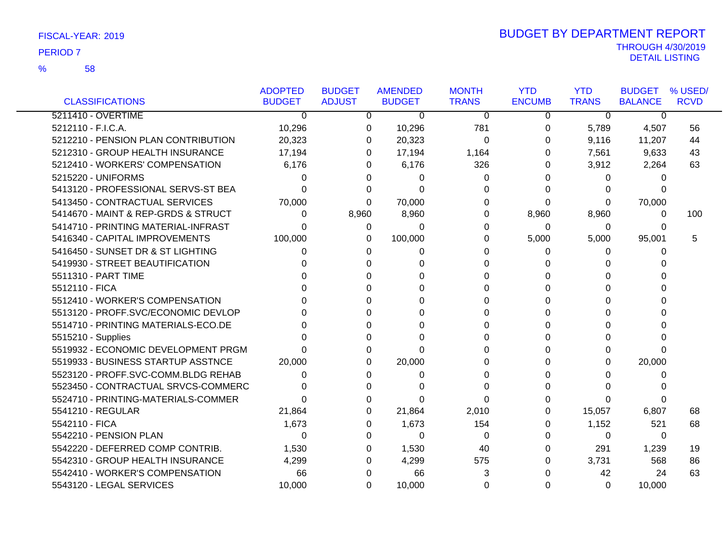### 58 %

|                                     | <b>ADOPTED</b> | <b>BUDGET</b> | <b>AMENDED</b> | <b>MONTH</b> | <b>YTD</b>    | <b>YTD</b>   | <b>BUDGET</b>  | % USED/     |
|-------------------------------------|----------------|---------------|----------------|--------------|---------------|--------------|----------------|-------------|
| <b>CLASSIFICATIONS</b>              | <b>BUDGET</b>  | <b>ADJUST</b> | <b>BUDGET</b>  | <b>TRANS</b> | <b>ENCUMB</b> | <b>TRANS</b> | <b>BALANCE</b> | <b>RCVD</b> |
| 5211410 - OVERTIME                  | 0              | 0             | 0              | 0            | 0             | 0            | 0              |             |
| 5212110 - F.I.C.A.                  | 10,296         | 0             | 10,296         | 781          | 0             | 5,789        | 4,507          | 56          |
| 5212210 - PENSION PLAN CONTRIBUTION | 20,323         | 0             | 20,323         | 0            | 0             | 9,116        | 11,207         | 44          |
| 5212310 - GROUP HEALTH INSURANCE    | 17,194         | 0             | 17,194         | 1,164        | 0             | 7,561        | 9,633          | 43          |
| 5212410 - WORKERS' COMPENSATION     | 6,176          | 0             | 6,176          | 326          | 0             | 3,912        | 2,264          | 63          |
| 5215220 - UNIFORMS                  | 0              | 0             | 0              | 0            | 0             | 0            | 0              |             |
| 5413120 - PROFESSIONAL SERVS-ST BEA | 0              | 0             | 0              | 0            | 0             | 0            | 0              |             |
| 5413450 - CONTRACTUAL SERVICES      | 70,000         | 0             | 70,000         | 0            | 0             | 0            | 70,000         |             |
| 5414670 - MAINT & REP-GRDS & STRUCT | 0              | 8,960         | 8,960          | 0            | 8,960         | 8,960        | 0              | 100         |
| 5414710 - PRINTING MATERIAL-INFRAST | 0              | 0             | 0              | 0            | 0             | 0            | 0              |             |
| 5416340 - CAPITAL IMPROVEMENTS      | 100,000        | 0             | 100,000        | 0            | 5,000         | 5,000        | 95,001         | 5           |
| 5416450 - SUNSET DR & ST LIGHTING   | 0              | 0             | 0              | 0            | 0             | 0            | 0              |             |
| 5419930 - STREET BEAUTIFICATION     |                | 0             | 0              | 0            | $\Omega$      | 0            | 0              |             |
| 5511310 - PART TIME                 |                |               | 0              | 0            | 0             | 0            | 0              |             |
| 5512110 - FICA                      |                |               | U              | 0            | 0             | 0            | 0              |             |
| 5512410 - WORKER'S COMPENSATION     |                |               | O              | 0            | 0             | 0            | 0              |             |
| 5513120 - PROFF.SVC/ECONOMIC DEVLOP |                |               | O              | 0            | 0             | 0            | 0              |             |
| 5514710 - PRINTING MATERIALS-ECO.DE |                |               | O              | 0            | 0             | 0            | 0              |             |
| 5515210 - Supplies                  |                | U             | U              | $\Omega$     | $\Omega$      | 0            | 0              |             |
| 5519932 - ECONOMIC DEVELOPMENT PRGM | O              | 0             | 0              | 0            | 0             | 0            | $\Omega$       |             |
| 5519933 - BUSINESS STARTUP ASSTNCE  | 20,000         | 0             | 20,000         | 0            | 0             | 0            | 20,000         |             |
| 5523120 - PROFF.SVC-COMM.BLDG REHAB | 0              | 0             | 0              | 0            | $\Omega$      | U            | 0              |             |
| 5523450 - CONTRACTUAL SRVCS-COMMERC | 0              | 0             | ∩              | $\Omega$     | $\Omega$      | 0            | 0              |             |
| 5524710 - PRINTING-MATERIALS-COMMER | 0              | O             | 0              | 0            | 0             | 0            | 0              |             |
| 5541210 - REGULAR                   | 21,864         | 0             | 21,864         | 2,010        | 0             | 15,057       | 6,807          | 68          |
| 5542110 - FICA                      | 1,673          | 0             | 1,673          | 154          | 0             | 1,152        | 521            | 68          |
| 5542210 - PENSION PLAN              | 0              | 0             | $\Omega$       | 0            | 0             | 0            | 0              |             |
| 5542220 - DEFERRED COMP CONTRIB.    | 1,530          | 0             | 1,530          | 40           | 0             | 291          | 1,239          | 19          |
| 5542310 - GROUP HEALTH INSURANCE    | 4,299          | 0             | 4,299          | 575          | 0             | 3,731        | 568            | 86          |
| 5542410 - WORKER'S COMPENSATION     | 66             | 0             | 66             | 3            | 0             | 42           | 24             | 63          |
| 5543120 - LEGAL SERVICES            | 10,000         | 0             | 10,000         | 0            | $\Omega$      | 0            | 10,000         |             |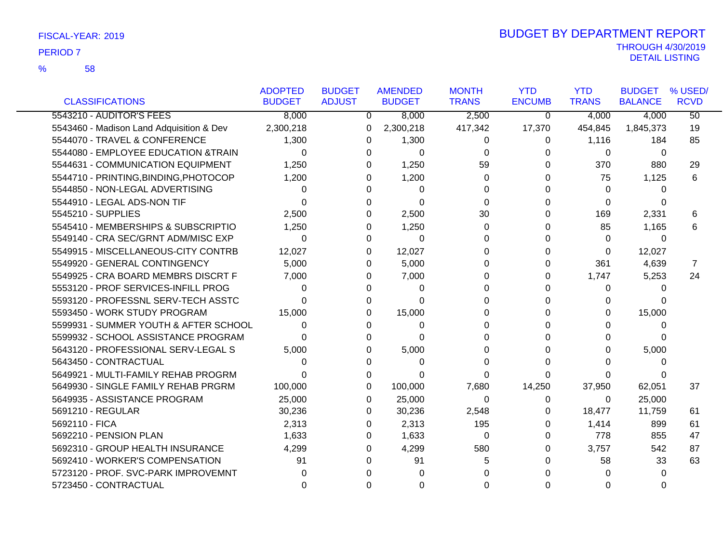|                                          | <b>ADOPTED</b> | <b>BUDGET</b>  | <b>AMENDED</b> | <b>MONTH</b>         | <b>YTD</b>    | <b>YTD</b>   | <b>BUDGET</b>  | % USED/         |
|------------------------------------------|----------------|----------------|----------------|----------------------|---------------|--------------|----------------|-----------------|
| <b>CLASSIFICATIONS</b>                   | <b>BUDGET</b>  | <b>ADJUST</b>  | <b>BUDGET</b>  | <b>TRANS</b>         | <b>ENCUMB</b> | <b>TRANS</b> | <b>BALANCE</b> | <b>RCVD</b>     |
| 5543210 - AUDITOR'S FEES                 | 8,000          | $\overline{0}$ | 8,000          | 2,500                | 0             | 4,000        | 4,000          | $\overline{50}$ |
| 5543460 - Madison Land Adquisition & Dev | 2,300,218      | 0              | 2,300,218      | 417,342              | 17,370        | 454,845      | 1,845,373      | 19              |
| 5544070 - TRAVEL & CONFERENCE            | 1,300          | 0              | 1,300          | 0                    | 0             | 1,116        | 184            | 85              |
| 5544080 - EMPLOYEE EDUCATION &TRAIN      | 0              | 0              |                | 0<br>0               | 0             | 0            | 0              |                 |
| 5544631 - COMMUNICATION EQUIPMENT        | 1,250          | $\Omega$       | 1,250          | 59                   | 0             | 370          | 880            | 29              |
| 5544710 - PRINTING, BINDING, PHOTOCOP    | 1,200          | 0              | 1,200          | 0                    |               | 75           | 1,125          | 6               |
| 5544850 - NON-LEGAL ADVERTISING          | 0              | 0              |                | 0<br>0               |               | 0            | 0              |                 |
| 5544910 - LEGAL ADS-NON TIF              | $\Omega$       | 0              |                | $\Omega$<br>$\Omega$ |               | $\Omega$     | $\Omega$       |                 |
| 5545210 - SUPPLIES                       | 2,500          | 0              | 2,500          | 30                   |               | 169          | 2,331          | 6               |
| 5545410 - MEMBERSHIPS & SUBSCRIPTIO      | 1,250          | 0              | 1,250          | 0                    |               | 85           | 1,165          | 6               |
| 5549140 - CRA SEC/GRNT ADM/MISC EXP      | $\Omega$       | 0              |                | $\Omega$<br>$\Omega$ |               | $\Omega$     | $\Omega$       |                 |
| 5549915 - MISCELLANEOUS-CITY CONTRB      | 12,027         | $\Omega$       | 12,027         | 0                    |               | 0            | 12,027         |                 |
| 5549920 - GENERAL CONTINGENCY            | 5,000          | 0              | 5,000          | 0                    | 0             | 361          | 4,639          | 7               |
| 5549925 - CRA BOARD MEMBRS DISCRT F      | 7,000          | $\Omega$       | 7,000          | $\Omega$             | 0             | 1,747        | 5,253          | 24              |
| 5553120 - PROF SERVICES-INFILL PROG      | $\Omega$       | 0              |                | $\Omega$<br>0        | 0             | 0            | 0              |                 |
| 5593120 - PROFESSNL SERV-TECH ASSTC      | 0              | 0              |                | $\Omega$<br>0        |               | 0            | 0              |                 |
| 5593450 - WORK STUDY PROGRAM             | 15,000         | 0              | 15,000         | 0                    |               | 0            | 15,000         |                 |
| 5599931 - SUMMER YOUTH & AFTER SCHOOL    | $\Omega$       | 0              |                | $\Omega$<br>0        |               | 0            | 0              |                 |
| 5599932 - SCHOOL ASSISTANCE PROGRAM      | 0              | 0              |                | $\Omega$<br>0        |               | 0            | 0              |                 |
| 5643120 - PROFESSIONAL SERV-LEGAL S      | 5,000          | $\Omega$       | 5,000          | 0                    |               | 0            | 5,000          |                 |
| 5643450 - CONTRACTUAL                    | 0              | 0              |                | $\Omega$<br>0        |               | 0            | 0              |                 |
| 5649921 - MULTI-FAMILY REHAB PROGRM      | 0              | 0              |                | 0<br>0               |               | 0            | $\Omega$       |                 |
| 5649930 - SINGLE FAMILY REHAB PRGRM      | 100,000        | $\Omega$       | 100,000        | 7,680                | 14,250        | 37,950       | 62,051         | 37              |
| 5649935 - ASSISTANCE PROGRAM             | 25,000         | 0              | 25,000         | 0                    | 0             | 0            | 25,000         |                 |
| 5691210 - REGULAR                        | 30,236         | 0              | 30,236         | 2,548                | 0             | 18,477       | 11,759         | 61              |
| 5692110 - FICA                           | 2,313          | $\Omega$       | 2,313          | 195                  | 0             | 1,414        | 899            | 61              |
| 5692210 - PENSION PLAN                   | 1,633          | $\Omega$       | 1,633          | 0                    | 0             | 778          | 855            | 47              |
| 5692310 - GROUP HEALTH INSURANCE         | 4,299          | 0              | 4,299          | 580                  |               | 3,757        | 542            | 87              |
| 5692410 - WORKER'S COMPENSATION          | 91             | $\Omega$       | 91             | 5                    |               | 58           | 33             | 63              |
| 5723120 - PROF. SVC-PARK IMPROVEMNT      | 0              |                |                | 0<br>n               |               | $\Omega$     | 0              |                 |
| 5723450 - CONTRACTUAL                    | $\Omega$       | 0              |                | 0<br>0               | 0             | 0            | $\Omega$       |                 |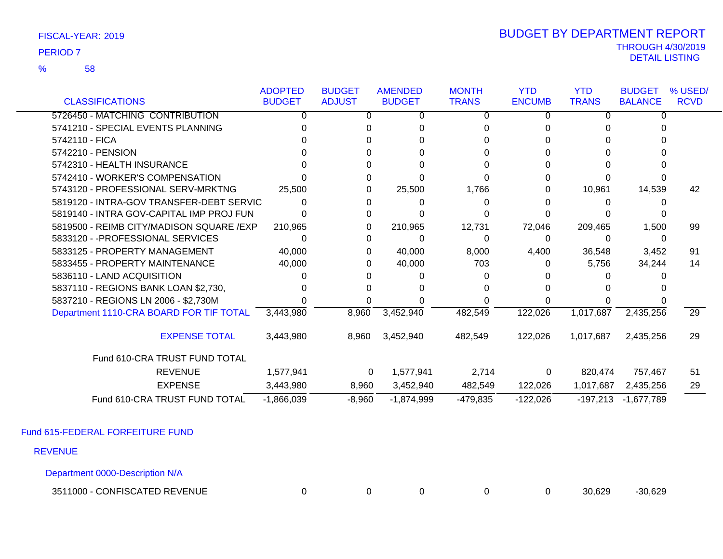58 %

### THROUGH 4/30/2019<br>DETAIL LISTING DETAIL LISTING PERIOD <sup>7</sup> BUDGET BY DEPARTMENT REPORT

|                                          | <b>ADOPTED</b> | <b>BUDGET</b>  | <b>AMENDED</b> | <b>MONTH</b> | <b>YTD</b>    | <b>YTD</b>   | <b>BUDGET</b>  | % USED/         |
|------------------------------------------|----------------|----------------|----------------|--------------|---------------|--------------|----------------|-----------------|
| <b>CLASSIFICATIONS</b>                   | <b>BUDGET</b>  | <b>ADJUST</b>  | <b>BUDGET</b>  | <b>TRANS</b> | <b>ENCUMB</b> | <b>TRANS</b> | <b>BALANCE</b> | <b>RCVD</b>     |
| 5726450 - MATCHING CONTRIBUTION          |                | 0              | O              | 0            | 0             |              | O              |                 |
| 5741210 - SPECIAL EVENTS PLANNING        |                |                |                |              |               |              |                |                 |
| 5742110 - FICA                           |                |                |                |              |               |              |                |                 |
| 5742210 - PENSION                        |                |                |                |              |               |              |                |                 |
| 5742310 - HEALTH INSURANCE               |                |                |                |              |               |              |                |                 |
| 5742410 - WORKER'S COMPENSATION          |                |                |                |              |               |              |                |                 |
| 5743120 - PROFESSIONAL SERV-MRKTNG       | 25,500         |                | 25,500         | 1,766        | 0             | 10,961       | 14,539         | 42              |
| 5819120 - INTRA-GOV TRANSFER-DEBT SERVIC |                |                |                | 0            |               |              |                |                 |
| 5819140 - INTRA GOV-CAPITAL IMP PROJ FUN |                |                |                |              |               |              |                |                 |
| 5819500 - REIMB CITY/MADISON SQUARE /EXP | 210,965        | 0              | 210,965        | 12,731       | 72,046        | 209,465      | 1,500          | 99              |
| 5833120 - - PROFESSIONAL SERVICES        |                |                | O              | $\Omega$     | 0             | 0            | $\Omega$       |                 |
| 5833125 - PROPERTY MANAGEMENT            | 40,000         | 0              | 40,000         | 8,000        | 4,400         | 36,548       | 3,452          | 91              |
| 5833455 - PROPERTY MAINTENANCE           | 40,000         |                | 40,000         | 703          | 0             | 5,756        | 34,244         | 14              |
| 5836110 - LAND ACQUISITION               |                |                |                |              |               |              |                |                 |
| 5837110 - REGIONS BANK LOAN \$2,730,     |                |                |                |              |               |              |                |                 |
| 5837210 - REGIONS LN 2006 - \$2,730M     |                |                |                |              |               |              |                |                 |
| Department 1110-CRA BOARD FOR TIF TOTAL  | 3,443,980      | 8,960          | 3,452,940      | 482,549      | 122,026       | 1,017,687    | 2,435,256      | $\overline{29}$ |
| <b>EXPENSE TOTAL</b>                     | 3,443,980      | 8,960          | 3,452,940      | 482,549      | 122,026       | 1,017,687    | 2,435,256      | 29              |
| Fund 610-CRA TRUST FUND TOTAL            |                |                |                |              |               |              |                |                 |
| <b>REVENUE</b>                           | 1,577,941      | $\overline{0}$ | 1,577,941      | 2,714        | 0             | 820,474      | 757,467        | 51              |
| <b>EXPENSE</b>                           | 3,443,980      | 8,960          | 3,452,940      | 482,549      | 122,026       | 1,017,687    | 2,435,256      | 29              |
| Fund 610-CRA TRUST FUND TOTAL            | $-1,866,039$   | $-8,960$       | $-1,874,999$   | -479,835     | $-122,026$    | $-197,213$   | $-1,677,789$   |                 |

Fund 615-FEDERAL FORFEITURE FUND

REVENUE

Department 0000-Description N/A

3511000 - CONFISCATED REVENUE 0 0 0 0 0 30,629 -30,629